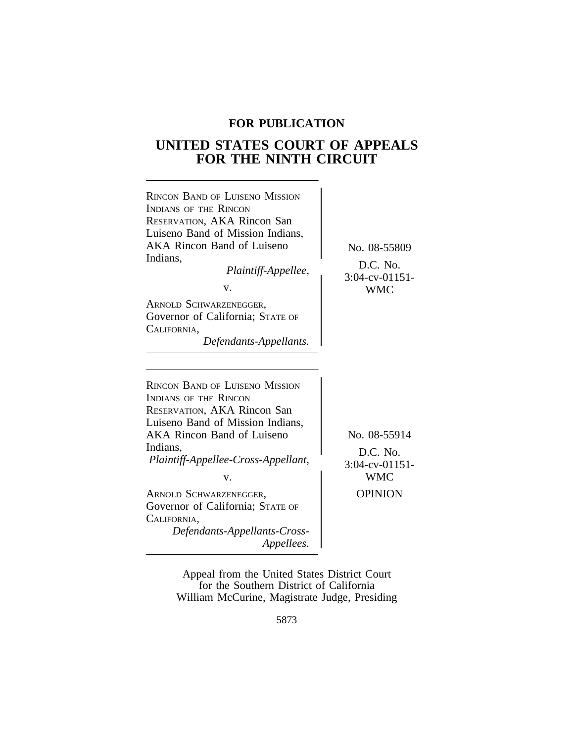# **FOR PUBLICATION**

# **UNITED STATES COURT OF APPEALS FOR THE NINTH CIRCUIT**

| <b>RINCON BAND OF LUISENO MISSION</b><br>INDIANS OF THE RINCON<br>RESERVATION, AKA Rincon San<br>Luiseno Band of Mission Indians,<br><b>AKA Rincon Band of Luiseno</b><br>Indians,<br>Plaintiff-Appellee,<br>V.<br>ARNOLD SCHWARZENEGGER,<br>Governor of California; STATE OF<br>CALIFORNIA,<br>Defendants-Appellants.                                     | No. 08-55809<br>D.C. No.<br>$3:04$ -cv-01151-<br><b>WMC</b>                   |
|------------------------------------------------------------------------------------------------------------------------------------------------------------------------------------------------------------------------------------------------------------------------------------------------------------------------------------------------------------|-------------------------------------------------------------------------------|
| <b>RINCON BAND OF LUISENO MISSION</b><br><b>INDIANS OF THE RINCON</b><br>RESERVATION, AKA Rincon San<br>Luiseno Band of Mission Indians,<br>AKA Rincon Band of Luiseno<br>Indians,<br>Plaintiff-Appellee-Cross-Appellant,<br>v.<br>ARNOLD SCHWARZENEGGER,<br>Governor of California; STATE OF<br>CALIFORNIA,<br>Defendants-Appellants-Cross-<br>Appellees. | No. 08-55914<br>D.C. No.<br>$3:04$ -cv-01151-<br><b>WMC</b><br><b>OPINION</b> |

Appeal from the United States District Court for the Southern District of California William McCurine, Magistrate Judge, Presiding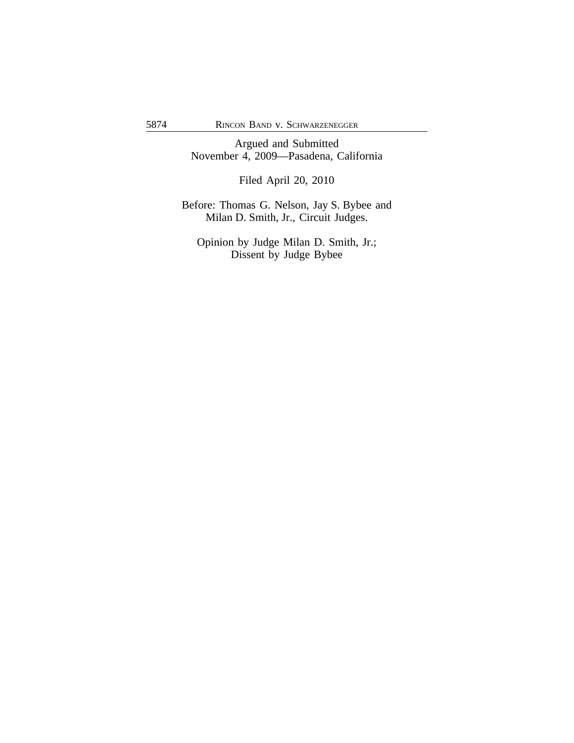Argued and Submitted November 4, 2009—Pasadena, California

Filed April 20, 2010

Before: Thomas G. Nelson, Jay S. Bybee and Milan D. Smith, Jr., Circuit Judges.

Opinion by Judge Milan D. Smith, Jr.; Dissent by Judge Bybee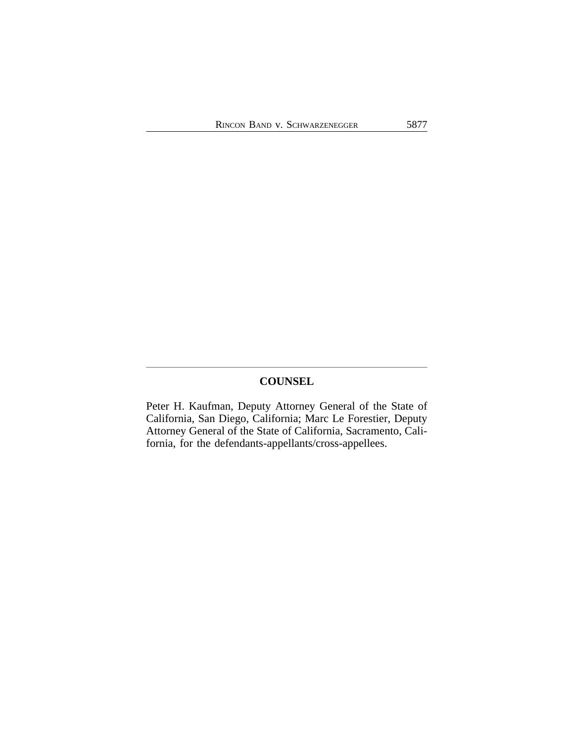## **COUNSEL**

Peter H. Kaufman, Deputy Attorney General of the State of California, San Diego, California; Marc Le Forestier, Deputy Attorney General of the State of California, Sacramento, California, for the defendants-appellants/cross-appellees.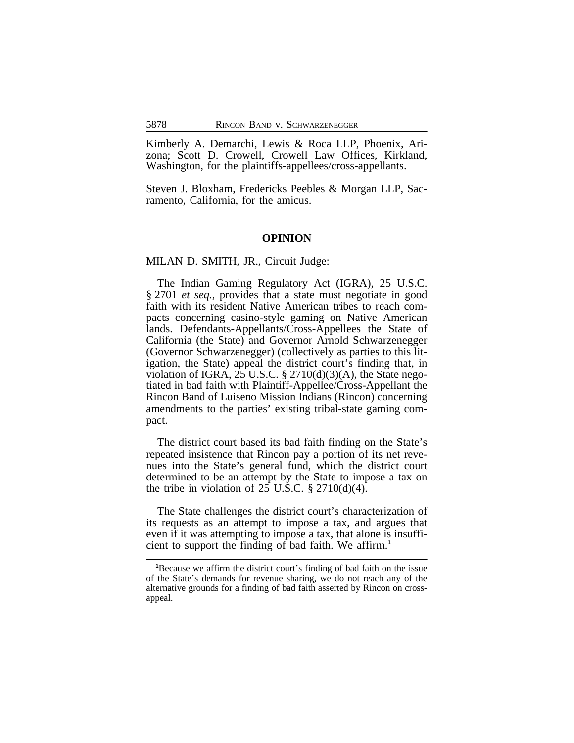Kimberly A. Demarchi, Lewis & Roca LLP, Phoenix, Arizona; Scott D. Crowell, Crowell Law Offices, Kirkland, Washington, for the plaintiffs-appellees/cross-appellants.

Steven J. Bloxham, Fredericks Peebles & Morgan LLP, Sacramento, California, for the amicus.

### **OPINION**

MILAN D. SMITH, JR., Circuit Judge:

The Indian Gaming Regulatory Act (IGRA), 25 U.S.C. § 2701 *et seq.*, provides that a state must negotiate in good faith with its resident Native American tribes to reach compacts concerning casino-style gaming on Native American lands. Defendants-Appellants/Cross-Appellees the State of California (the State) and Governor Arnold Schwarzenegger (Governor Schwarzenegger) (collectively as parties to this litigation, the State) appeal the district court's finding that, in violation of IGRA, 25 U.S.C.  $\S 2710(d)(3)(A)$ , the State negotiated in bad faith with Plaintiff-Appellee/Cross-Appellant the Rincon Band of Luiseno Mission Indians (Rincon) concerning amendments to the parties' existing tribal-state gaming compact.

The district court based its bad faith finding on the State's repeated insistence that Rincon pay a portion of its net revenues into the State's general fund, which the district court determined to be an attempt by the State to impose a tax on the tribe in violation of  $25$  U.S.C.  $\S 2710(d)(4)$ .

The State challenges the district court's characterization of its requests as an attempt to impose a tax, and argues that even if it was attempting to impose a tax, that alone is insufficient to support the finding of bad faith. We affirm.**<sup>1</sup>**

**<sup>1</sup>**Because we affirm the district court's finding of bad faith on the issue of the State's demands for revenue sharing, we do not reach any of the alternative grounds for a finding of bad faith asserted by Rincon on crossappeal.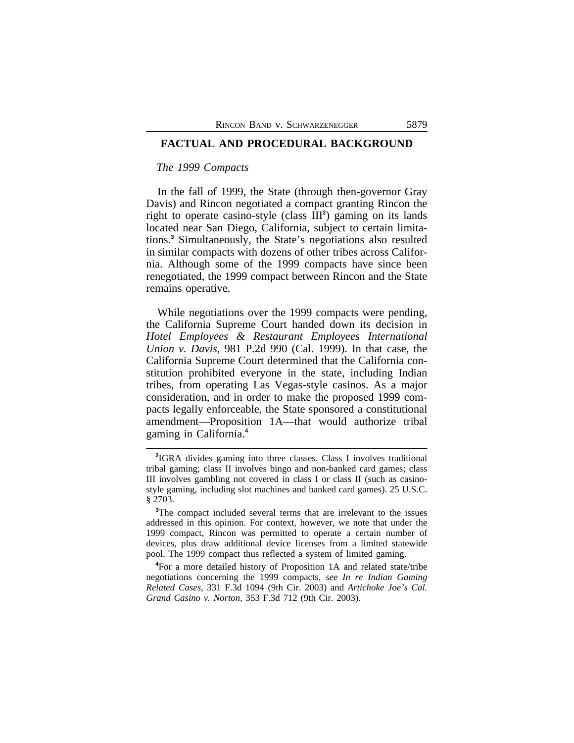## **FACTUAL AND PROCEDURAL BACKGROUND**

## *The 1999 Compacts*

In the fall of 1999, the State (through then-governor Gray Davis) and Rincon negotiated a compact granting Rincon the right to operate casino-style (class III**<sup>2</sup>** ) gaming on its lands located near San Diego, California, subject to certain limitations.**<sup>3</sup>** Simultaneously, the State's negotiations also resulted in similar compacts with dozens of other tribes across California. Although some of the 1999 compacts have since been renegotiated, the 1999 compact between Rincon and the State remains operative.

While negotiations over the 1999 compacts were pending, the California Supreme Court handed down its decision in *Hotel Employees & Restaurant Employees International Union v. Davis*, 981 P.2d 990 (Cal. 1999). In that case, the California Supreme Court determined that the California constitution prohibited everyone in the state, including Indian tribes, from operating Las Vegas-style casinos. As a major consideration, and in order to make the proposed 1999 compacts legally enforceable, the State sponsored a constitutional amendment—Proposition 1A—that would authorize tribal gaming in California.**<sup>4</sup>**

**<sup>4</sup>**For a more detailed history of Proposition 1A and related state/tribe negotiations concerning the 1999 compacts, *see In re Indian Gaming Related Cases*, 331 F.3d 1094 (9th Cir. 2003) and *Artichoke Joe's Cal. Grand Casino v. Norton*, 353 F.3d 712 (9th Cir. 2003).

**<sup>2</sup>** IGRA divides gaming into three classes. Class I involves traditional tribal gaming; class II involves bingo and non-banked card games; class III involves gambling not covered in class I or class II (such as casinostyle gaming, including slot machines and banked card games). 25 U.S.C. § 2703.

**<sup>3</sup>**The compact included several terms that are irrelevant to the issues addressed in this opinion. For context, however, we note that under the 1999 compact, Rincon was permitted to operate a certain number of devices, plus draw additional device licenses from a limited statewide pool. The 1999 compact thus reflected a system of limited gaming.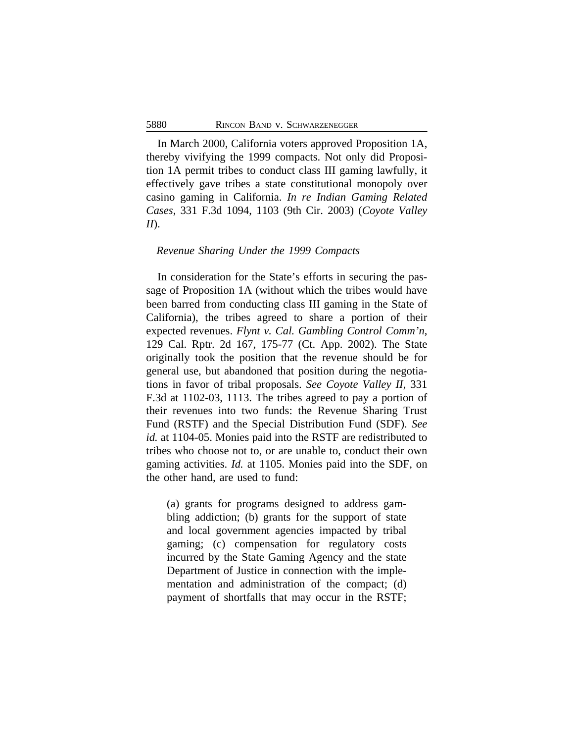In March 2000, California voters approved Proposition 1A, thereby vivifying the 1999 compacts. Not only did Proposition 1A permit tribes to conduct class III gaming lawfully, it effectively gave tribes a state constitutional monopoly over casino gaming in California. *In re Indian Gaming Related Cases*, 331 F.3d 1094, 1103 (9th Cir. 2003) (*Coyote Valley II*).

### *Revenue Sharing Under the 1999 Compacts*

In consideration for the State's efforts in securing the passage of Proposition 1A (without which the tribes would have been barred from conducting class III gaming in the State of California), the tribes agreed to share a portion of their expected revenues. *Flynt v. Cal. Gambling Control Comm'n*, 129 Cal. Rptr. 2d 167, 175-77 (Ct. App. 2002). The State originally took the position that the revenue should be for general use, but abandoned that position during the negotiations in favor of tribal proposals. *See Coyote Valley II*, 331 F.3d at 1102-03, 1113. The tribes agreed to pay a portion of their revenues into two funds: the Revenue Sharing Trust Fund (RSTF) and the Special Distribution Fund (SDF). *See id.* at 1104-05. Monies paid into the RSTF are redistributed to tribes who choose not to, or are unable to, conduct their own gaming activities. *Id.* at 1105. Monies paid into the SDF, on the other hand, are used to fund:

(a) grants for programs designed to address gambling addiction; (b) grants for the support of state and local government agencies impacted by tribal gaming; (c) compensation for regulatory costs incurred by the State Gaming Agency and the state Department of Justice in connection with the implementation and administration of the compact; (d) payment of shortfalls that may occur in the RSTF;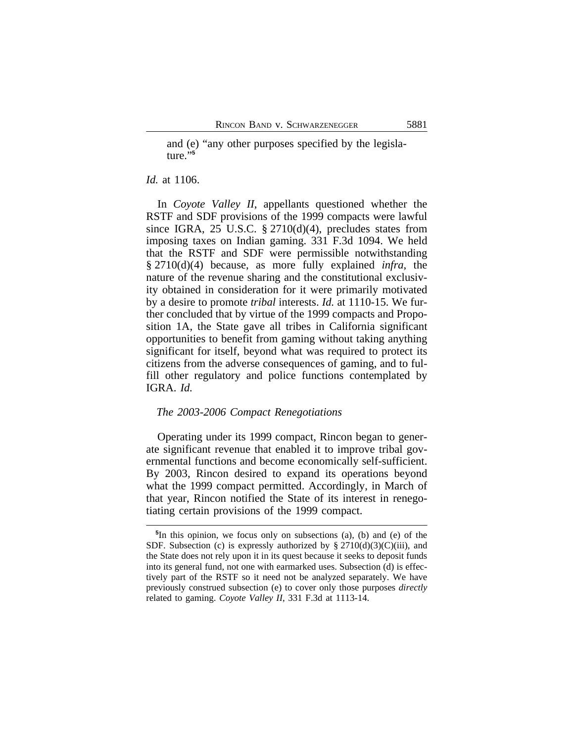and (e) "any other purposes specified by the legislature."**<sup>5</sup>**

#### *Id.* at 1106.

In *Coyote Valley II*, appellants questioned whether the RSTF and SDF provisions of the 1999 compacts were lawful since IGRA, 25 U.S.C.  $\S 2710(d)(4)$ , precludes states from imposing taxes on Indian gaming. 331 F.3d 1094. We held that the RSTF and SDF were permissible notwithstanding § 2710(d)(4) because, as more fully explained *infra*, the nature of the revenue sharing and the constitutional exclusivity obtained in consideration for it were primarily motivated by a desire to promote *tribal* interests. *Id.* at 1110-15. We further concluded that by virtue of the 1999 compacts and Proposition 1A, the State gave all tribes in California significant opportunities to benefit from gaming without taking anything significant for itself, beyond what was required to protect its citizens from the adverse consequences of gaming, and to fulfill other regulatory and police functions contemplated by IGRA. *Id.* 

## *The 2003-2006 Compact Renegotiations*

Operating under its 1999 compact, Rincon began to generate significant revenue that enabled it to improve tribal governmental functions and become economically self-sufficient. By 2003, Rincon desired to expand its operations beyond what the 1999 compact permitted. Accordingly, in March of that year, Rincon notified the State of its interest in renegotiating certain provisions of the 1999 compact.

**<sup>5</sup>** In this opinion, we focus only on subsections (a), (b) and (e) of the SDF. Subsection (c) is expressly authorized by  $\S 2710(d)(3)(C)(iii)$ , and the State does not rely upon it in its quest because it seeks to deposit funds into its general fund, not one with earmarked uses. Subsection (d) is effectively part of the RSTF so it need not be analyzed separately. We have previously construed subsection (e) to cover only those purposes *directly* related to gaming. *Coyote Valley II*, 331 F.3d at 1113-14.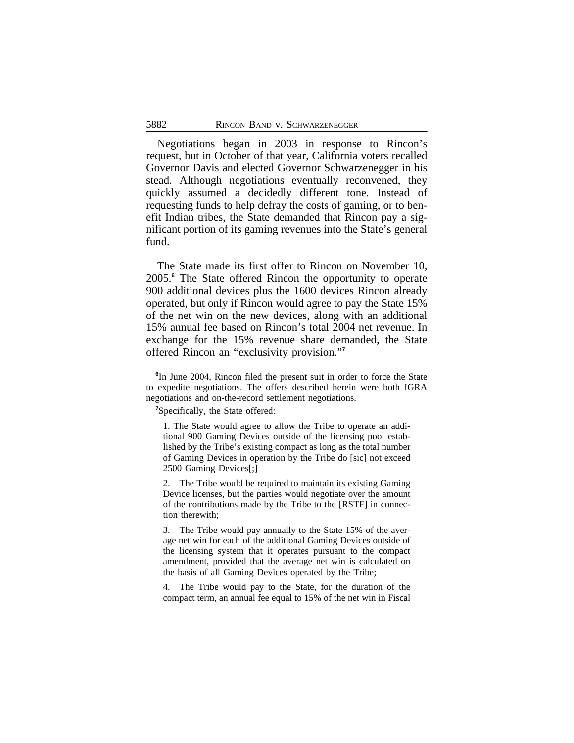Negotiations began in 2003 in response to Rincon's request, but in October of that year, California voters recalled Governor Davis and elected Governor Schwarzenegger in his stead. Although negotiations eventually reconvened, they quickly assumed a decidedly different tone. Instead of requesting funds to help defray the costs of gaming, or to benefit Indian tribes, the State demanded that Rincon pay a significant portion of its gaming revenues into the State's general fund.

The State made its first offer to Rincon on November 10, 2005.**<sup>6</sup>** The State offered Rincon the opportunity to operate 900 additional devices plus the 1600 devices Rincon already operated, but only if Rincon would agree to pay the State 15% of the net win on the new devices, along with an additional 15% annual fee based on Rincon's total 2004 net revenue. In exchange for the 15% revenue share demanded, the State offered Rincon an "exclusivity provision." **7**

**<sup>7</sup>**Specifically, the State offered:

1. The State would agree to allow the Tribe to operate an additional 900 Gaming Devices outside of the licensing pool established by the Tribe's existing compact as long as the total number of Gaming Devices in operation by the Tribe do [sic] not exceed 2500 Gaming Devices[;]

2. The Tribe would be required to maintain its existing Gaming Device licenses, but the parties would negotiate over the amount of the contributions made by the Tribe to the [RSTF] in connection therewith;

3. The Tribe would pay annually to the State 15% of the average net win for each of the additional Gaming Devices outside of the licensing system that it operates pursuant to the compact amendment, provided that the average net win is calculated on the basis of all Gaming Devices operated by the Tribe;

4. The Tribe would pay to the State, for the duration of the compact term, an annual fee equal to 15% of the net win in Fiscal

**<sup>6</sup>** In June 2004, Rincon filed the present suit in order to force the State to expedite negotiations. The offers described herein were both IGRA negotiations and on-the-record settlement negotiations.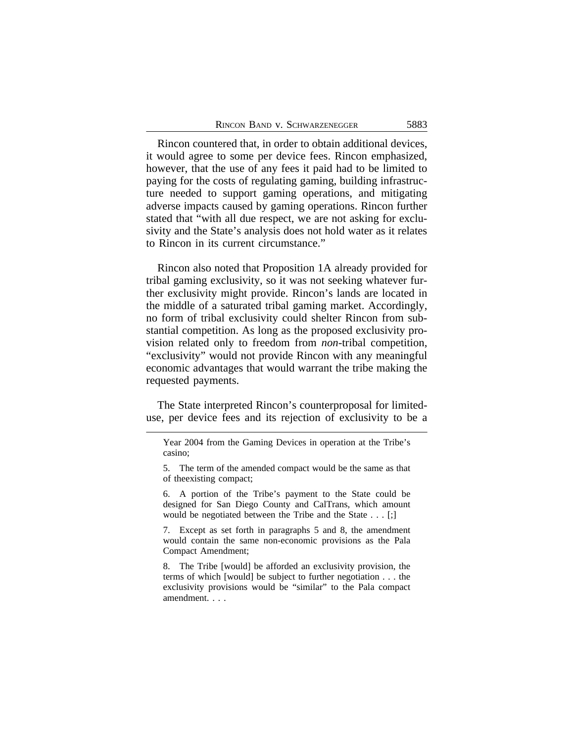Rincon countered that, in order to obtain additional devices, it would agree to some per device fees. Rincon emphasized, however, that the use of any fees it paid had to be limited to paying for the costs of regulating gaming, building infrastructure needed to support gaming operations, and mitigating adverse impacts caused by gaming operations. Rincon further stated that "with all due respect, we are not asking for exclusivity and the State's analysis does not hold water as it relates to Rincon in its current circumstance."

Rincon also noted that Proposition 1A already provided for tribal gaming exclusivity, so it was not seeking whatever further exclusivity might provide. Rincon's lands are located in the middle of a saturated tribal gaming market. Accordingly, no form of tribal exclusivity could shelter Rincon from substantial competition. As long as the proposed exclusivity provision related only to freedom from *non*-tribal competition, "exclusivity" would not provide Rincon with any meaningful economic advantages that would warrant the tribe making the requested payments.

The State interpreted Rincon's counterproposal for limiteduse, per device fees and its rejection of exclusivity to be a

6. A portion of the Tribe's payment to the State could be designed for San Diego County and CalTrans, which amount would be negotiated between the Tribe and the State . . . [;]

7. Except as set forth in paragraphs 5 and 8, the amendment would contain the same non-economic provisions as the Pala Compact Amendment;

8. The Tribe [would] be afforded an exclusivity provision, the terms of which [would] be subject to further negotiation . . . the exclusivity provisions would be "similar" to the Pala compact amendment. . . .

Year 2004 from the Gaming Devices in operation at the Tribe's casino;

<sup>5.</sup> The term of the amended compact would be the same as that of theexisting compact;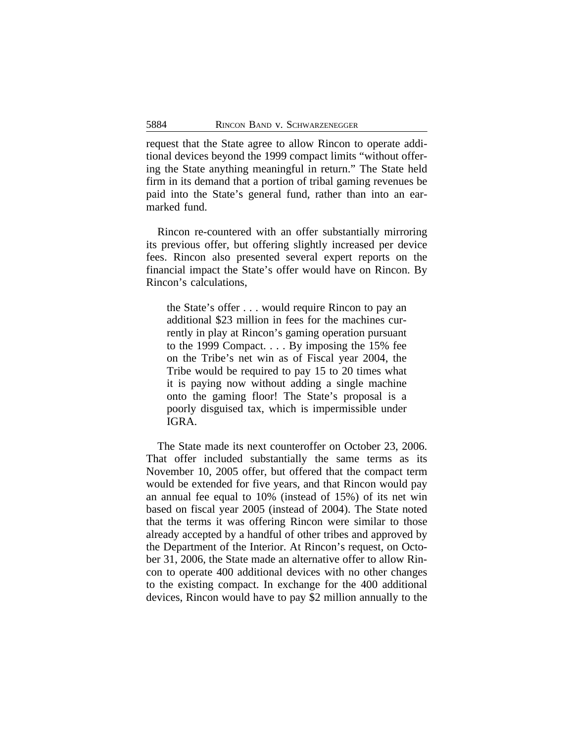request that the State agree to allow Rincon to operate additional devices beyond the 1999 compact limits "without offering the State anything meaningful in return." The State held firm in its demand that a portion of tribal gaming revenues be paid into the State's general fund, rather than into an earmarked fund.

Rincon re-countered with an offer substantially mirroring its previous offer, but offering slightly increased per device fees. Rincon also presented several expert reports on the financial impact the State's offer would have on Rincon. By Rincon's calculations,

the State's offer . . . would require Rincon to pay an additional \$23 million in fees for the machines currently in play at Rincon's gaming operation pursuant to the 1999 Compact. . . . By imposing the 15% fee on the Tribe's net win as of Fiscal year 2004, the Tribe would be required to pay 15 to 20 times what it is paying now without adding a single machine onto the gaming floor! The State's proposal is a poorly disguised tax, which is impermissible under IGRA.

The State made its next counteroffer on October 23, 2006. That offer included substantially the same terms as its November 10, 2005 offer, but offered that the compact term would be extended for five years, and that Rincon would pay an annual fee equal to 10% (instead of 15%) of its net win based on fiscal year 2005 (instead of 2004). The State noted that the terms it was offering Rincon were similar to those already accepted by a handful of other tribes and approved by the Department of the Interior. At Rincon's request, on October 31, 2006, the State made an alternative offer to allow Rincon to operate 400 additional devices with no other changes to the existing compact. In exchange for the 400 additional devices, Rincon would have to pay \$2 million annually to the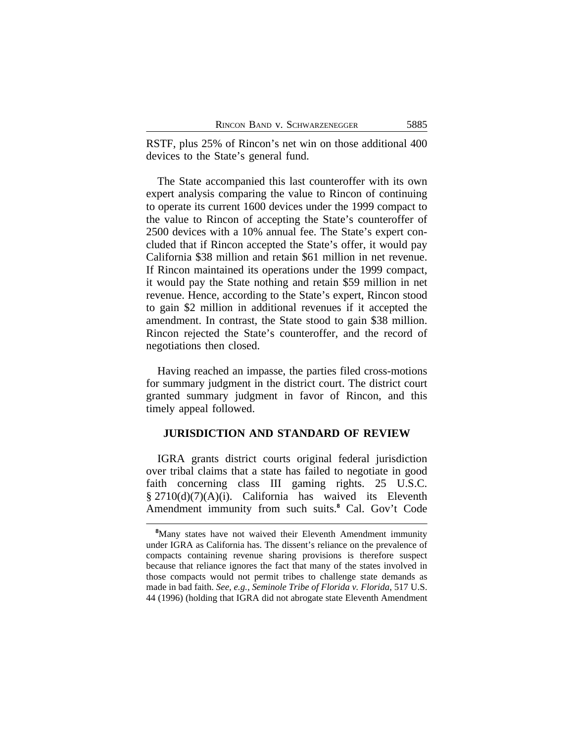RSTF, plus 25% of Rincon's net win on those additional 400 devices to the State's general fund.

The State accompanied this last counteroffer with its own expert analysis comparing the value to Rincon of continuing to operate its current 1600 devices under the 1999 compact to the value to Rincon of accepting the State's counteroffer of 2500 devices with a 10% annual fee. The State's expert concluded that if Rincon accepted the State's offer, it would pay California \$38 million and retain \$61 million in net revenue. If Rincon maintained its operations under the 1999 compact, it would pay the State nothing and retain \$59 million in net revenue. Hence, according to the State's expert, Rincon stood to gain \$2 million in additional revenues if it accepted the amendment. In contrast, the State stood to gain \$38 million. Rincon rejected the State's counteroffer, and the record of negotiations then closed.

Having reached an impasse, the parties filed cross-motions for summary judgment in the district court. The district court granted summary judgment in favor of Rincon, and this timely appeal followed.

## **JURISDICTION AND STANDARD OF REVIEW**

IGRA grants district courts original federal jurisdiction over tribal claims that a state has failed to negotiate in good faith concerning class III gaming rights. 25 U.S.C.  $§$  2710(d)(7)(A)(i). California has waived its Eleventh Amendment immunity from such suits.**<sup>8</sup>** Cal. Gov't Code

**<sup>8</sup>**Many states have not waived their Eleventh Amendment immunity under IGRA as California has. The dissent's reliance on the prevalence of compacts containing revenue sharing provisions is therefore suspect because that reliance ignores the fact that many of the states involved in those compacts would not permit tribes to challenge state demands as made in bad faith. *See, e.g., Seminole Tribe of Florida v. Florida*, 517 U.S. 44 (1996) (holding that IGRA did not abrogate state Eleventh Amendment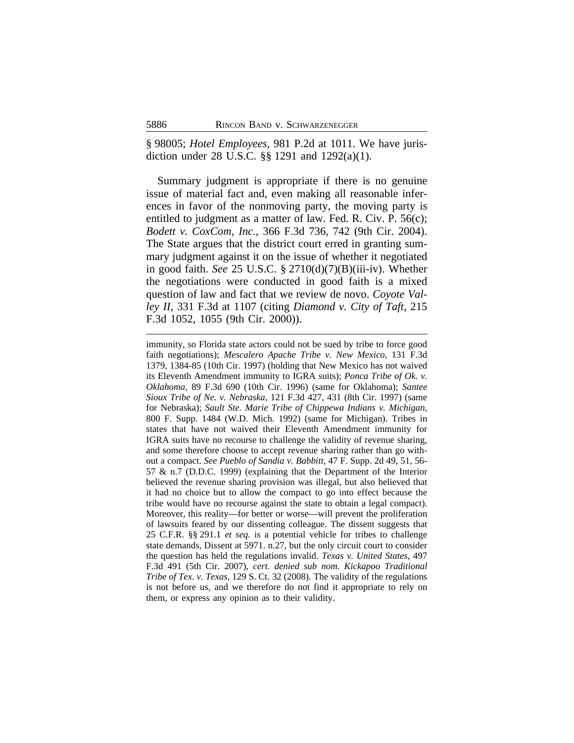§ 98005; *Hotel Employees*, 981 P.2d at 1011. We have jurisdiction under 28 U.S.C. §§ 1291 and 1292(a)(1).

Summary judgment is appropriate if there is no genuine issue of material fact and, even making all reasonable inferences in favor of the nonmoving party, the moving party is entitled to judgment as a matter of law. Fed. R. Civ. P. 56(c); *Bodett v. CoxCom, Inc.*, 366 F.3d 736, 742 (9th Cir. 2004). The State argues that the district court erred in granting summary judgment against it on the issue of whether it negotiated in good faith. *See* 25 U.S.C. § 2710(d)(7)(B)(iii-iv). Whether the negotiations were conducted in good faith is a mixed question of law and fact that we review de novo. *Coyote Valley II*, 331 F.3d at 1107 (citing *Diamond v. City of Taft*, 215 F.3d 1052, 1055 (9th Cir. 2000)).

immunity, so Florida state actors could not be sued by tribe to force good faith negotiations); *Mescalero Apache Tribe v. New Mexico*, 131 F.3d 1379, 1384-85 (10th Cir. 1997) (holding that New Mexico has not waived its Eleventh Amendment immunity to IGRA suits); *Ponca Tribe of Ok. v. Oklahoma*, 89 F.3d 690 (10th Cir. 1996) (same for Oklahoma); *Santee Sioux Tribe of Ne. v. Nebraska*, 121 F.3d 427, 431 (8th Cir. 1997) (same for Nebraska); *Sault Ste. Marie Tribe of Chippewa Indians v. Michigan*, 800 F. Supp. 1484 (W.D. Mich. 1992) (same for Michigan). Tribes in states that have not waived their Eleventh Amendment immunity for IGRA suits have no recourse to challenge the validity of revenue sharing, and some therefore choose to accept revenue sharing rather than go without a compact. *See Pueblo of Sandia v. Babbitt*, 47 F. Supp. 2d 49, 51, 56- 57 & n.7 (D.D.C. 1999) (explaining that the Department of the Interior believed the revenue sharing provision was illegal, but also believed that it had no choice but to allow the compact to go into effect because the tribe would have no recourse against the state to obtain a legal compact). Moreover, this reality—for better or worse—will prevent the proliferation of lawsuits feared by our dissenting colleague. The dissent suggests that 25 C.F.R. §§ 291.1 *et seq.* is a potential vehicle for tribes to challenge state demands, Dissent at 5971. n.27, but the only circuit court to consider the question has held the regulations invalid. *Texas v. United States*, 497 F.3d 491 (5th Cir. 2007), *cert. denied sub nom. Kickapoo Traditional Tribe of Tex. v. Texas*, 129 S. Ct. 32 (2008). The validity of the regulations is not before us, and we therefore do not find it appropriate to rely on them, or express any opinion as to their validity.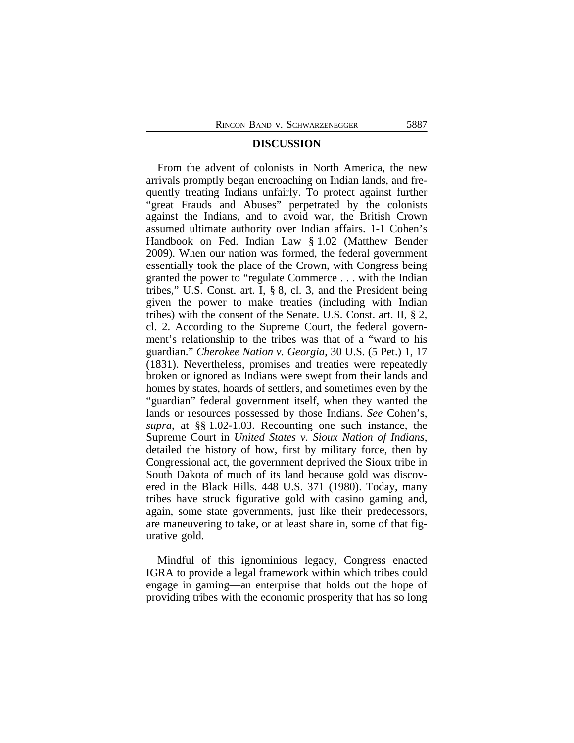#### **DISCUSSION**

From the advent of colonists in North America, the new arrivals promptly began encroaching on Indian lands, and frequently treating Indians unfairly. To protect against further "great Frauds and Abuses" perpetrated by the colonists against the Indians, and to avoid war, the British Crown assumed ultimate authority over Indian affairs. 1-1 Cohen's Handbook on Fed. Indian Law § 1.02 (Matthew Bender 2009). When our nation was formed, the federal government essentially took the place of the Crown, with Congress being granted the power to "regulate Commerce . . . with the Indian tribes," U.S. Const. art. I, § 8, cl. 3, and the President being given the power to make treaties (including with Indian tribes) with the consent of the Senate. U.S. Const. art. II, § 2, cl. 2. According to the Supreme Court, the federal government's relationship to the tribes was that of a "ward to his guardian." *Cherokee Nation v. Georgia*, 30 U.S. (5 Pet.) 1, 17 (1831). Nevertheless, promises and treaties were repeatedly broken or ignored as Indians were swept from their lands and homes by states, hoards of settlers, and sometimes even by the "guardian" federal government itself, when they wanted the lands or resources possessed by those Indians. *See* Cohen's, *supra*, at §§ 1.02-1.03. Recounting one such instance, the Supreme Court in *United States v. Sioux Nation of Indians*, detailed the history of how, first by military force, then by Congressional act, the government deprived the Sioux tribe in South Dakota of much of its land because gold was discovered in the Black Hills. 448 U.S. 371 (1980). Today, many tribes have struck figurative gold with casino gaming and, again, some state governments, just like their predecessors, are maneuvering to take, or at least share in, some of that figurative gold.

Mindful of this ignominious legacy, Congress enacted IGRA to provide a legal framework within which tribes could engage in gaming—an enterprise that holds out the hope of providing tribes with the economic prosperity that has so long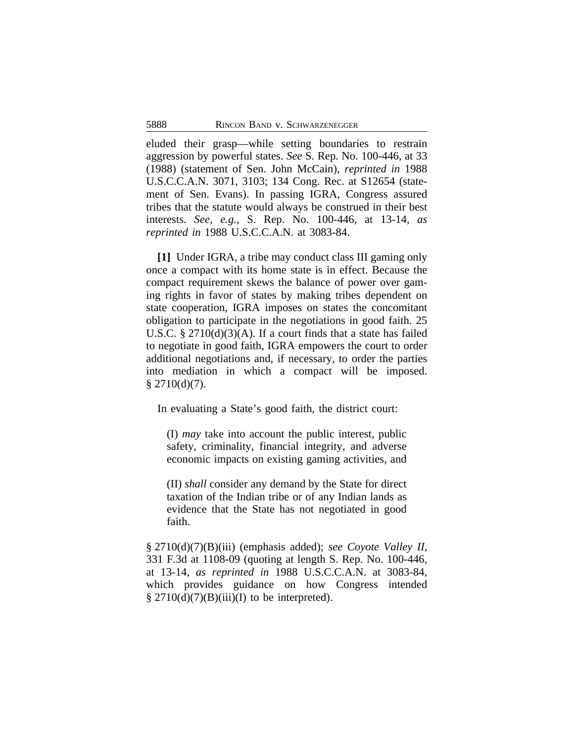eluded their grasp—while setting boundaries to restrain aggression by powerful states. *See* S. Rep. No. 100-446, at 33 (1988) (statement of Sen. John McCain), *reprinted in* 1988 U.S.C.C.A.N. 3071, 3103; 134 Cong. Rec. at S12654 (statement of Sen. Evans). In passing IGRA, Congress assured tribes that the statute would always be construed in their best interests. *See, e.g.,* S. Rep. No. 100-446, at 13-14, *as reprinted in* 1988 U.S.C.C.A.N. at 3083-84.

**[1]** Under IGRA, a tribe may conduct class III gaming only once a compact with its home state is in effect. Because the compact requirement skews the balance of power over gaming rights in favor of states by making tribes dependent on state cooperation, IGRA imposes on states the concomitant obligation to participate in the negotiations in good faith. 25 U.S.C. § 2710(d)(3)(A). If a court finds that a state has failed to negotiate in good faith, IGRA empowers the court to order additional negotiations and, if necessary, to order the parties into mediation in which a compact will be imposed.  $§$  2710(d)(7).

In evaluating a State's good faith, the district court:

(I) *may* take into account the public interest, public safety, criminality, financial integrity, and adverse economic impacts on existing gaming activities, and

(II) *shall* consider any demand by the State for direct taxation of the Indian tribe or of any Indian lands as evidence that the State has not negotiated in good faith.

§ 2710(d)(7)(B)(iii) (emphasis added); *see Coyote Valley II*, 331 F.3d at 1108-09 (quoting at length S. Rep. No. 100-446, at 13-14, *as reprinted in* 1988 U.S.C.C.A.N. at 3083-84, which provides guidance on how Congress intended  $\S 2710(d)(7)(B)(iii)(I)$  to be interpreted).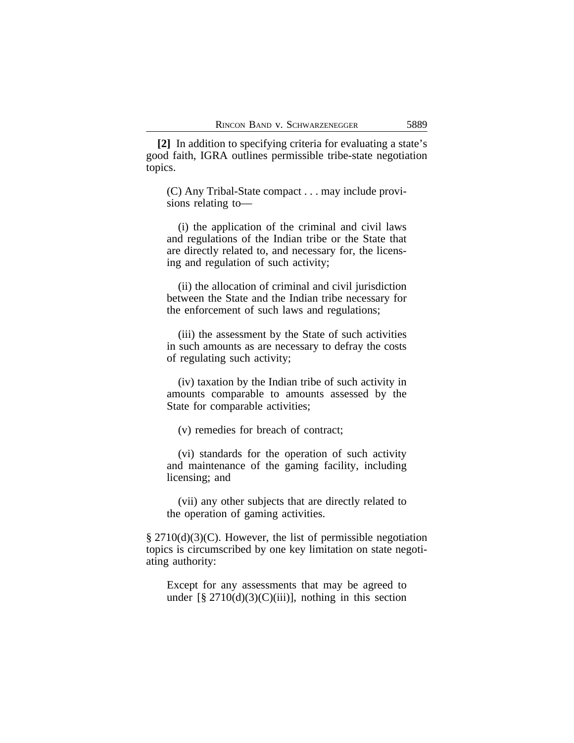**[2]** In addition to specifying criteria for evaluating a state's good faith, IGRA outlines permissible tribe-state negotiation topics.

(C) Any Tribal-State compact . . . may include provisions relating to—

(i) the application of the criminal and civil laws and regulations of the Indian tribe or the State that are directly related to, and necessary for, the licensing and regulation of such activity;

(ii) the allocation of criminal and civil jurisdiction between the State and the Indian tribe necessary for the enforcement of such laws and regulations;

(iii) the assessment by the State of such activities in such amounts as are necessary to defray the costs of regulating such activity;

(iv) taxation by the Indian tribe of such activity in amounts comparable to amounts assessed by the State for comparable activities;

(v) remedies for breach of contract;

(vi) standards for the operation of such activity and maintenance of the gaming facility, including licensing; and

(vii) any other subjects that are directly related to the operation of gaming activities.

§ 2710(d)(3)(C). However, the list of permissible negotiation topics is circumscribed by one key limitation on state negotiating authority:

Except for any assessments that may be agreed to under  $[\S 2710(d)(3)(C(iii))]$ , nothing in this section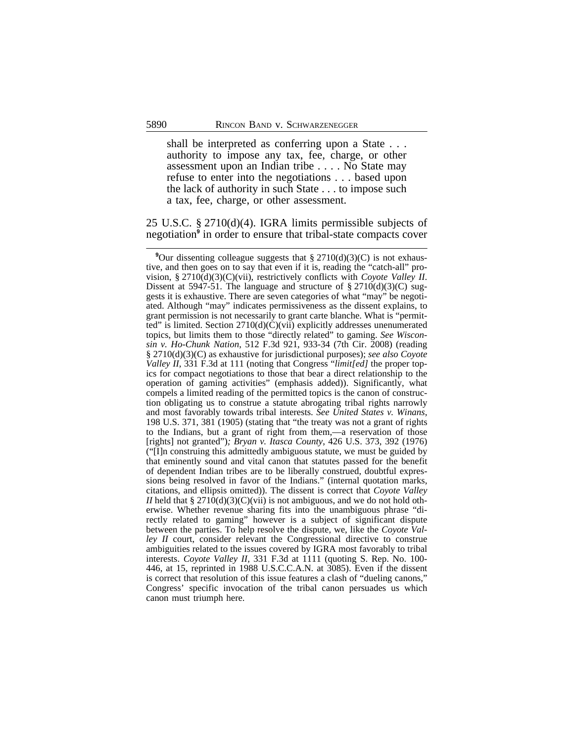shall be interpreted as conferring upon a State . . . authority to impose any tax, fee, charge, or other assessment upon an Indian tribe . . . . No State may refuse to enter into the negotiations . . . based upon the lack of authority in such State . . . to impose such a tax, fee, charge, or other assessment.

25 U.S.C. § 2710(d)(4). IGRA limits permissible subjects of negotiation**<sup>9</sup>** in order to ensure that tribal-state compacts cover

<sup>&</sup>lt;sup>9</sup>Our dissenting colleague suggests that § 2710(d)(3)(C) is not exhaustive, and then goes on to say that even if it is, reading the "catch-all" provision, § 2710(d)(3)(C)(vii), restrictively conflicts with *Coyote Valley II*. Dissent at 5947-51. The language and structure of  $\S 2710(d)(3)(C)$  suggests it is exhaustive. There are seven categories of what "may" be negotiated. Although "may" indicates permissiveness as the dissent explains, to grant permission is not necessarily to grant carte blanche. What is "permitted" is limited. Section  $2710(d)(\dot{C})(\dot{v}i\dot{v})$  explicitly addresses unenumerated topics, but limits them to those "directly related" to gaming. *See Wisconsin v. Ho-Chunk Nation*, 512 F.3d 921, 933-34 (7th Cir. 2008) (reading § 2710(d)(3)(C) as exhaustive for jurisdictional purposes); *see also Coyote Valley II*, 331 F.3d at 111 (noting that Congress "*limit[ed]* the proper topics for compact negotiations to those that bear a direct relationship to the operation of gaming activities" (emphasis added)). Significantly, what compels a limited reading of the permitted topics is the canon of construction obligating us to construe a statute abrogating tribal rights narrowly and most favorably towards tribal interests. *See United States v. Winans*, 198 U.S. 371, 381 (1905) (stating that "the treaty was not a grant of rights to the Indians, but a grant of right from them,—a reservation of those [rights] not granted")*; Bryan v. Itasca County*, 426 U.S. 373, 392 (1976) ("[I]n construing this admittedly ambiguous statute, we must be guided by that eminently sound and vital canon that statutes passed for the benefit of dependent Indian tribes are to be liberally construed, doubtful expressions being resolved in favor of the Indians." (internal quotation marks, citations, and ellipsis omitted)). The dissent is correct that *Coyote Valley II* held that §  $2710(d)(3)(C)(vii)$  is not ambiguous, and we do not hold otherwise. Whether revenue sharing fits into the unambiguous phrase "directly related to gaming" however is a subject of significant dispute between the parties. To help resolve the dispute, we, like the *Coyote Valley II* court, consider relevant the Congressional directive to construe ambiguities related to the issues covered by IGRA most favorably to tribal interests. *Coyote Valley II,* 331 F.3d at 1111 (quoting S. Rep. No. 100- 446, at 15, reprinted in 1988 U.S.C.C.A.N. at 3085). Even if the dissent is correct that resolution of this issue features a clash of "dueling canons," Congress' specific invocation of the tribal canon persuades us which canon must triumph here.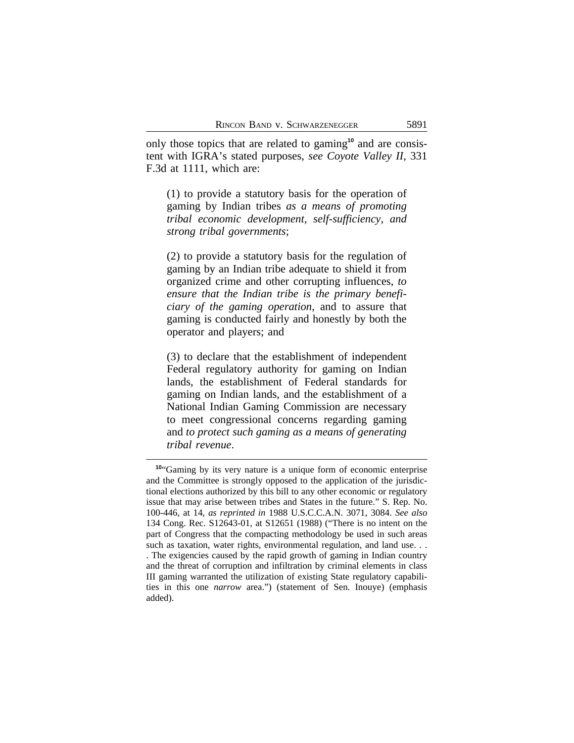only those topics that are related to gaming**10** and are consistent with IGRA's stated purposes, *see Coyote Valley II*, 331 F.3d at 1111, which are:

(1) to provide a statutory basis for the operation of gaming by Indian tribes *as a means of promoting tribal economic development, self-sufficiency, and strong tribal governments*;

(2) to provide a statutory basis for the regulation of gaming by an Indian tribe adequate to shield it from organized crime and other corrupting influences, *to ensure that the Indian tribe is the primary beneficiary of the gaming operation*, and to assure that gaming is conducted fairly and honestly by both the operator and players; and

(3) to declare that the establishment of independent Federal regulatory authority for gaming on Indian lands, the establishment of Federal standards for gaming on Indian lands, and the establishment of a National Indian Gaming Commission are necessary to meet congressional concerns regarding gaming and *to protect such gaming as a means of generating tribal revenue*.

**<sup>10</sup>**"Gaming by its very nature is a unique form of economic enterprise and the Committee is strongly opposed to the application of the jurisdictional elections authorized by this bill to any other economic or regulatory issue that may arise between tribes and States in the future." S. Rep. No. 100-446, at 14, *as reprinted in* 1988 U.S.C.C.A.N. 3071, 3084. *See also* 134 Cong. Rec. S12643-01, at S12651 (1988) ("There is no intent on the part of Congress that the compacting methodology be used in such areas such as taxation, water rights, environmental regulation, and land use. . .

<sup>.</sup> The exigencies caused by the rapid growth of gaming in Indian country and the threat of corruption and infiltration by criminal elements in class III gaming warranted the utilization of existing State regulatory capabilities in this one *narrow* area.") (statement of Sen. Inouye) (emphasis added).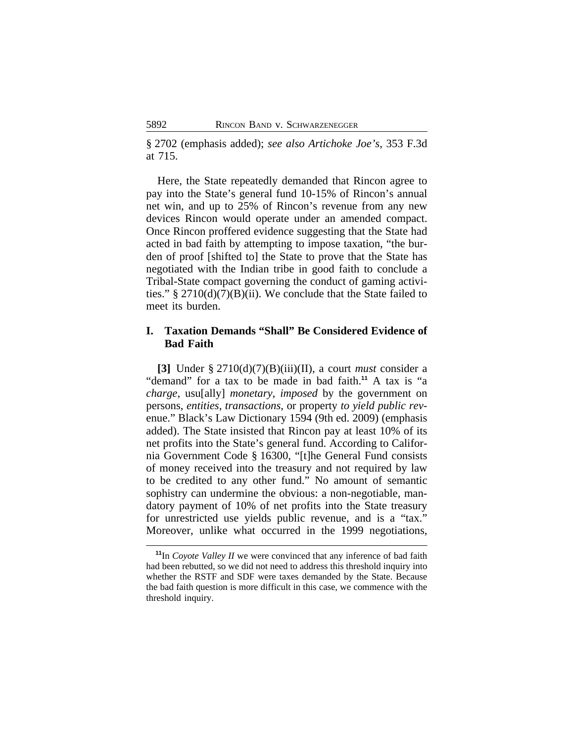§ 2702 (emphasis added); *see also Artichoke Joe's*, 353 F.3d at 715.

Here, the State repeatedly demanded that Rincon agree to pay into the State's general fund 10-15% of Rincon's annual net win, and up to 25% of Rincon's revenue from any new devices Rincon would operate under an amended compact. Once Rincon proffered evidence suggesting that the State had acted in bad faith by attempting to impose taxation, "the burden of proof [shifted to] the State to prove that the State has negotiated with the Indian tribe in good faith to conclude a Tribal-State compact governing the conduct of gaming activities." §  $2710(d)(7)(B)(ii)$ . We conclude that the State failed to meet its burden.

## **I. Taxation Demands "Shall" Be Considered Evidence of Bad Faith**

**[3]** Under § 2710(d)(7)(B)(iii)(II), a court *must* consider a "demand" for a tax to be made in bad faith.**<sup>11</sup>** A tax is "a *charge*, usu[ally] *monetary*, *imposed* by the government on persons, *entities, transactions*, or property *to yield public rev*enue." Black's Law Dictionary 1594 (9th ed. 2009) (emphasis added). The State insisted that Rincon pay at least 10% of its net profits into the State's general fund. According to California Government Code § 16300, "[t]he General Fund consists of money received into the treasury and not required by law to be credited to any other fund." No amount of semantic sophistry can undermine the obvious: a non-negotiable, mandatory payment of 10% of net profits into the State treasury for unrestricted use yields public revenue, and is a "tax." Moreover, unlike what occurred in the 1999 negotiations,

**<sup>11</sup>**In *Coyote Valley II* we were convinced that any inference of bad faith had been rebutted, so we did not need to address this threshold inquiry into whether the RSTF and SDF were taxes demanded by the State. Because the bad faith question is more difficult in this case, we commence with the threshold inquiry.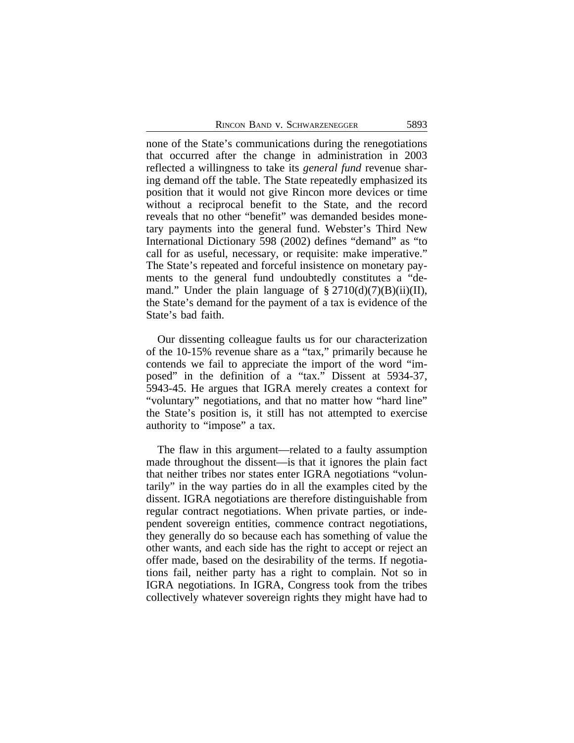none of the State's communications during the renegotiations that occurred after the change in administration in 2003 reflected a willingness to take its *general fund* revenue sharing demand off the table. The State repeatedly emphasized its position that it would not give Rincon more devices or time without a reciprocal benefit to the State, and the record reveals that no other "benefit" was demanded besides monetary payments into the general fund. Webster's Third New International Dictionary 598 (2002) defines "demand" as "to call for as useful, necessary, or requisite: make imperative." The State's repeated and forceful insistence on monetary payments to the general fund undoubtedly constitutes a "demand." Under the plain language of  $\S 2710(d)(7)(B)(ii)(II)$ , the State's demand for the payment of a tax is evidence of the State's bad faith.

Our dissenting colleague faults us for our characterization of the 10-15% revenue share as a "tax," primarily because he contends we fail to appreciate the import of the word "imposed" in the definition of a "tax." Dissent at 5934-37, 5943-45. He argues that IGRA merely creates a context for "voluntary" negotiations, and that no matter how "hard line" the State's position is, it still has not attempted to exercise authority to "impose" a tax.

The flaw in this argument—related to a faulty assumption made throughout the dissent—is that it ignores the plain fact that neither tribes nor states enter IGRA negotiations "voluntarily" in the way parties do in all the examples cited by the dissent. IGRA negotiations are therefore distinguishable from regular contract negotiations. When private parties, or independent sovereign entities, commence contract negotiations, they generally do so because each has something of value the other wants, and each side has the right to accept or reject an offer made, based on the desirability of the terms. If negotiations fail, neither party has a right to complain. Not so in IGRA negotiations. In IGRA, Congress took from the tribes collectively whatever sovereign rights they might have had to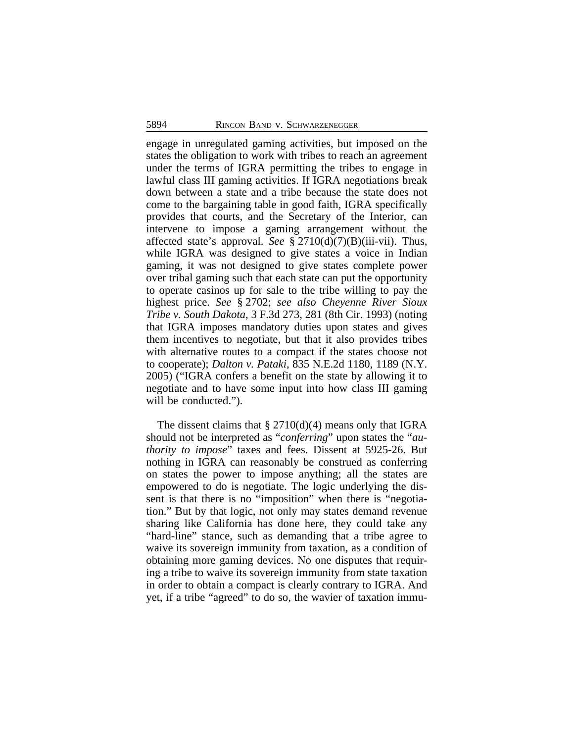engage in unregulated gaming activities, but imposed on the states the obligation to work with tribes to reach an agreement under the terms of IGRA permitting the tribes to engage in lawful class III gaming activities. If IGRA negotiations break down between a state and a tribe because the state does not come to the bargaining table in good faith, IGRA specifically provides that courts, and the Secretary of the Interior, can intervene to impose a gaming arrangement without the affected state's approval. *See* § 2710(d)(7)(B)(iii-vii). Thus, while IGRA was designed to give states a voice in Indian gaming, it was not designed to give states complete power over tribal gaming such that each state can put the opportunity to operate casinos up for sale to the tribe willing to pay the highest price. *See* § 2702; *see also Cheyenne River Sioux Tribe v. South Dakota*, 3 F.3d 273, 281 (8th Cir. 1993) (noting that IGRA imposes mandatory duties upon states and gives them incentives to negotiate, but that it also provides tribes with alternative routes to a compact if the states choose not to cooperate); *Dalton v. Pataki*, 835 N.E.2d 1180, 1189 (N.Y. 2005) ("IGRA confers a benefit on the state by allowing it to negotiate and to have some input into how class III gaming will be conducted.").

The dissent claims that  $\S 2710(d)(4)$  means only that IGRA should not be interpreted as "*conferring*" upon states the "*authority to impose*" taxes and fees. Dissent at 5925-26. But nothing in IGRA can reasonably be construed as conferring on states the power to impose anything; all the states are empowered to do is negotiate. The logic underlying the dissent is that there is no "imposition" when there is "negotiation." But by that logic, not only may states demand revenue sharing like California has done here, they could take any "hard-line" stance, such as demanding that a tribe agree to waive its sovereign immunity from taxation, as a condition of obtaining more gaming devices. No one disputes that requiring a tribe to waive its sovereign immunity from state taxation in order to obtain a compact is clearly contrary to IGRA. And yet, if a tribe "agreed" to do so, the wavier of taxation immu-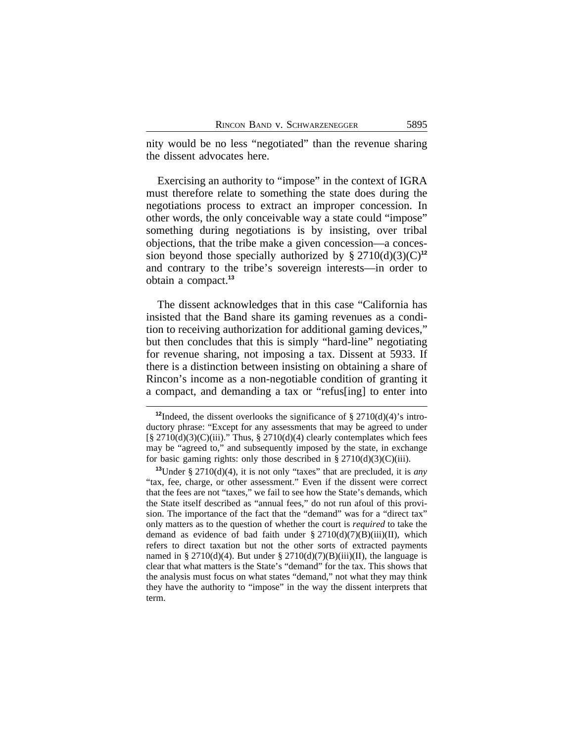nity would be no less "negotiated" than the revenue sharing the dissent advocates here.

Exercising an authority to "impose" in the context of IGRA must therefore relate to something the state does during the negotiations process to extract an improper concession. In other words, the only conceivable way a state could "impose" something during negotiations is by insisting, over tribal objections, that the tribe make a given concession—a concession beyond those specially authorized by  $\S 2710(d)(3)(C)^{12}$ and contrary to the tribe's sovereign interests—in order to obtain a compact.**<sup>13</sup>**

The dissent acknowledges that in this case "California has insisted that the Band share its gaming revenues as a condition to receiving authorization for additional gaming devices," but then concludes that this is simply "hard-line" negotiating for revenue sharing, not imposing a tax. Dissent at 5933. If there is a distinction between insisting on obtaining a share of Rincon's income as a non-negotiable condition of granting it a compact, and demanding a tax or "refus[ing] to enter into

<sup>&</sup>lt;sup>12</sup>Indeed, the dissent overlooks the significance of  $\S 2710(d)(4)$ 's introductory phrase: "Except for any assessments that may be agreed to under  $[\S 2710(d)(3)(C)(iii)$ ." Thus,  $\S 2710(d)(4)$  clearly contemplates which fees may be "agreed to," and subsequently imposed by the state, in exchange for basic gaming rights: only those described in  $\S 2710(d)(3)(C)(iii)$ .

**<sup>13</sup>**Under § 2710(d)(4), it is not only "taxes" that are precluded, it is *any* "tax, fee, charge, or other assessment." Even if the dissent were correct that the fees are not "taxes," we fail to see how the State's demands, which the State itself described as "annual fees," do not run afoul of this provision. The importance of the fact that the "demand" was for a "direct tax" only matters as to the question of whether the court is *required* to take the demand as evidence of bad faith under  $\S 2710(d)(7)(B)(iii)(II)$ , which refers to direct taxation but not the other sorts of extracted payments named in § 2710(d)(4). But under § 2710(d)(7)(B)(iii)(II), the language is clear that what matters is the State's "demand" for the tax. This shows that the analysis must focus on what states "demand," not what they may think they have the authority to "impose" in the way the dissent interprets that term.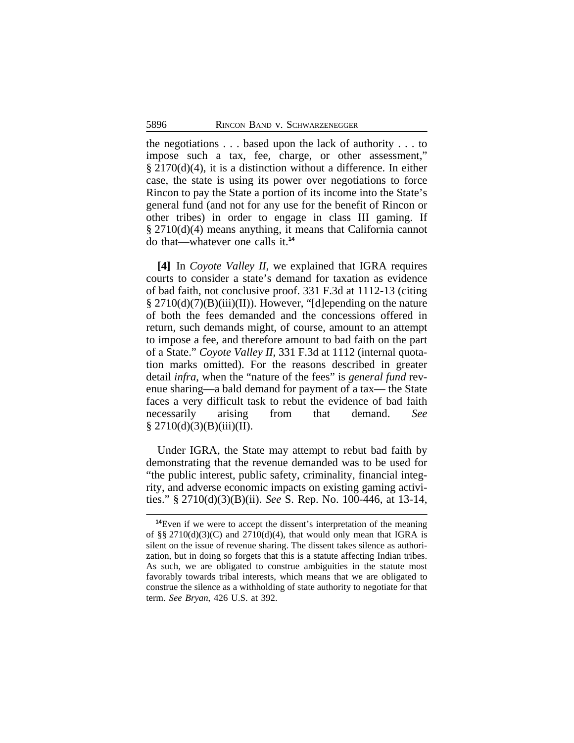the negotiations . . . based upon the lack of authority . . . to impose such a tax, fee, charge, or other assessment," § 2170(d)(4), it is a distinction without a difference. In either case, the state is using its power over negotiations to force Rincon to pay the State a portion of its income into the State's general fund (and not for any use for the benefit of Rincon or other tribes) in order to engage in class III gaming. If § 2710(d)(4) means anything, it means that California cannot do that—whatever one calls it.**<sup>14</sup>**

**[4]** In *Coyote Valley II,* we explained that IGRA requires courts to consider a state's demand for taxation as evidence of bad faith, not conclusive proof. 331 F.3d at 1112-13 (citing  $\S 2710(d)(7)(B)(iii)(II)$ . However, "[d]epending on the nature of both the fees demanded and the concessions offered in return, such demands might, of course, amount to an attempt to impose a fee, and therefore amount to bad faith on the part of a State." *Coyote Valley II*, 331 F.3d at 1112 (internal quotation marks omitted). For the reasons described in greater detail *infra*, when the "nature of the fees" is *general fund* revenue sharing—a bald demand for payment of a tax— the State faces a very difficult task to rebut the evidence of bad faith necessarily arising from that demand. *See*  $§ 2710(d)(3)(B)(iii)(II).$ 

Under IGRA, the State may attempt to rebut bad faith by demonstrating that the revenue demanded was to be used for "the public interest, public safety, criminality, financial integrity, and adverse economic impacts on existing gaming activities." § 2710(d)(3)(B)(ii). *See* S. Rep. No. 100-446, at 13-14,

**<sup>14</sup>**Even if we were to accept the dissent's interpretation of the meaning of §§ 2710(d)(3)(C) and 2710(d)(4), that would only mean that IGRA is silent on the issue of revenue sharing. The dissent takes silence as authorization, but in doing so forgets that this is a statute affecting Indian tribes. As such, we are obligated to construe ambiguities in the statute most favorably towards tribal interests, which means that we are obligated to construe the silence as a withholding of state authority to negotiate for that term. *See Bryan*, 426 U.S. at 392.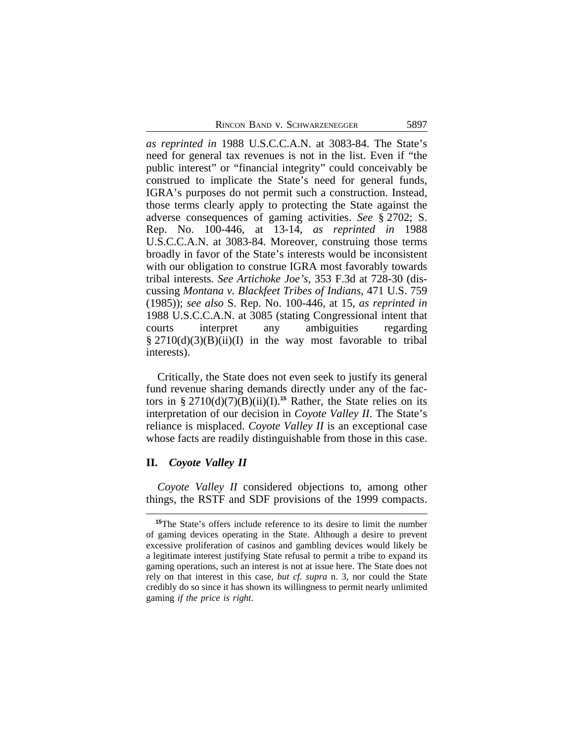*as reprinted in* 1988 U.S.C.C.A.N. at 3083-84. The State's need for general tax revenues is not in the list. Even if "the public interest" or "financial integrity" could conceivably be construed to implicate the State's need for general funds, IGRA's purposes do not permit such a construction. Instead, those terms clearly apply to protecting the State against the adverse consequences of gaming activities. *See* § 2702; S. Rep. No. 100-446, at 13-14, *as reprinted in* 1988 U.S.C.C.A.N. at 3083-84. Moreover, construing those terms broadly in favor of the State's interests would be inconsistent with our obligation to construe IGRA most favorably towards tribal interests. *See Artichoke Joe's*, 353 F.3d at 728-30 (discussing *Montana v. Blackfeet Tribes of Indians*, 471 U.S. 759 (1985)); *see also* S. Rep. No. 100-446, at 15, *as reprinted in* 1988 U.S.C.C.A.N. at 3085 (stating Congressional intent that courts interpret any ambiguities regarding  $\S 2710(d)(3)(B)(ii)(I)$  in the way most favorable to tribal interests).

Critically, the State does not even seek to justify its general fund revenue sharing demands directly under any of the factors in §  $2710(d)(7)(B)(ii)(I).$ <sup>15</sup> Rather, the State relies on its interpretation of our decision in *Coyote Valley II*. The State's reliance is misplaced. *Coyote Valley II* is an exceptional case whose facts are readily distinguishable from those in this case.

## **II.** *Coyote Valley II*

*Coyote Valley II* considered objections to, among other things, the RSTF and SDF provisions of the 1999 compacts.

**<sup>15</sup>**The State's offers include reference to its desire to limit the number of gaming devices operating in the State. Although a desire to prevent excessive proliferation of casinos and gambling devices would likely be a legitimate interest justifying State refusal to permit a tribe to expand its gaming operations, such an interest is not at issue here. The State does not rely on that interest in this case, *but cf. supra* n. 3, nor could the State credibly do so since it has shown its willingness to permit nearly unlimited gaming *if the price is right*.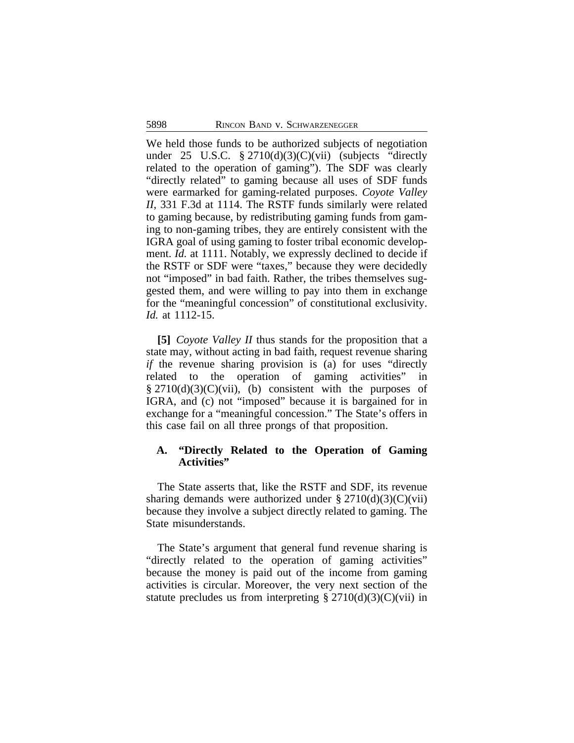We held those funds to be authorized subjects of negotiation under 25 U.S.C.  $\S 2710(d)(3)(C)(vii)$  (subjects "directly related to the operation of gaming"). The SDF was clearly "directly related" to gaming because all uses of SDF funds were earmarked for gaming-related purposes. *Coyote Valley II*, 331 F.3d at 1114. The RSTF funds similarly were related to gaming because, by redistributing gaming funds from gaming to non-gaming tribes, they are entirely consistent with the IGRA goal of using gaming to foster tribal economic development. *Id.* at 1111. Notably, we expressly declined to decide if the RSTF or SDF were "taxes," because they were decidedly not "imposed" in bad faith. Rather, the tribes themselves suggested them, and were willing to pay into them in exchange for the "meaningful concession" of constitutional exclusivity. *Id.* at 1112-15.

**[5]** *Coyote Valley II* thus stands for the proposition that a state may, without acting in bad faith, request revenue sharing *if* the revenue sharing provision is (a) for uses "directly related to the operation of gaming activities" in  $\S 2710(d)(3)(C)(vii)$ , (b) consistent with the purposes of IGRA, and (c) not "imposed" because it is bargained for in exchange for a "meaningful concession." The State's offers in this case fail on all three prongs of that proposition.

## **A. "Directly Related to the Operation of Gaming Activities"**

The State asserts that, like the RSTF and SDF, its revenue sharing demands were authorized under  $\S 2710(d)(3)(C)(vii)$ because they involve a subject directly related to gaming. The State misunderstands.

The State's argument that general fund revenue sharing is "directly related to the operation of gaming activities" because the money is paid out of the income from gaming activities is circular. Moreover, the very next section of the statute precludes us from interpreting  $\S 2710(d)(3)(C)(vi)$  in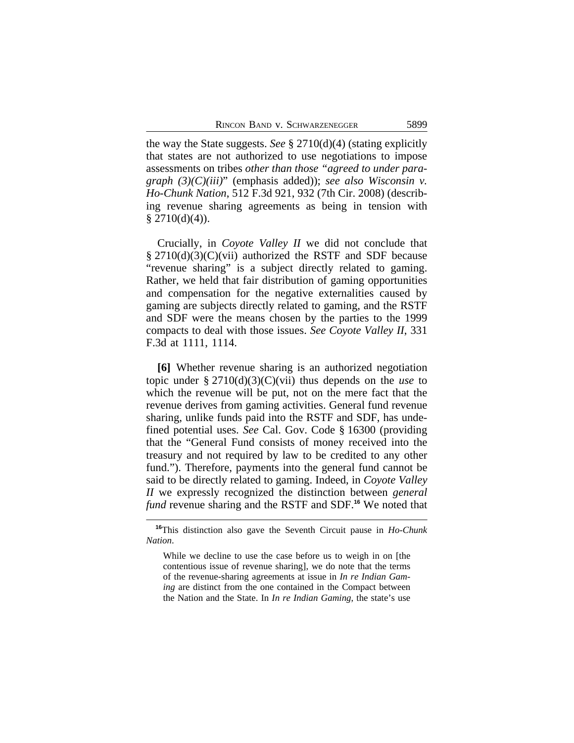the way the State suggests. *See* § 2710(d)(4) (stating explicitly that states are not authorized to use negotiations to impose assessments on tribes *other than those "agreed to under paragraph (3)(C)(iii)*" (emphasis added)); *see also Wisconsin v. Ho-Chunk Nation*, 512 F.3d 921, 932 (7th Cir. 2008) (describing revenue sharing agreements as being in tension with  $§$  2710(d)(4)).

Crucially, in *Coyote Valley II* we did not conclude that § 2710(d)(3)(C)(vii) authorized the RSTF and SDF because "revenue sharing" is a subject directly related to gaming. Rather, we held that fair distribution of gaming opportunities and compensation for the negative externalities caused by gaming are subjects directly related to gaming, and the RSTF and SDF were the means chosen by the parties to the 1999 compacts to deal with those issues. *See Coyote Valley II*, 331 F.3d at 1111, 1114.

**[6]** Whether revenue sharing is an authorized negotiation topic under § 2710(d)(3)(C)(vii) thus depends on the *use* to which the revenue will be put, not on the mere fact that the revenue derives from gaming activities. General fund revenue sharing, unlike funds paid into the RSTF and SDF, has undefined potential uses. *See* Cal. Gov. Code § 16300 (providing that the "General Fund consists of money received into the treasury and not required by law to be credited to any other fund."). Therefore, payments into the general fund cannot be said to be directly related to gaming. Indeed, in *Coyote Valley II* we expressly recognized the distinction between *general fund* revenue sharing and the RSTF and SDF.**<sup>16</sup>** We noted that

**<sup>16</sup>**This distinction also gave the Seventh Circuit pause in *Ho-Chunk Nation*.

While we decline to use the case before us to weigh in on [the contentious issue of revenue sharing], we do note that the terms of the revenue-sharing agreements at issue in *In re Indian Gaming* are distinct from the one contained in the Compact between the Nation and the State. In *In re Indian Gaming*, the state's use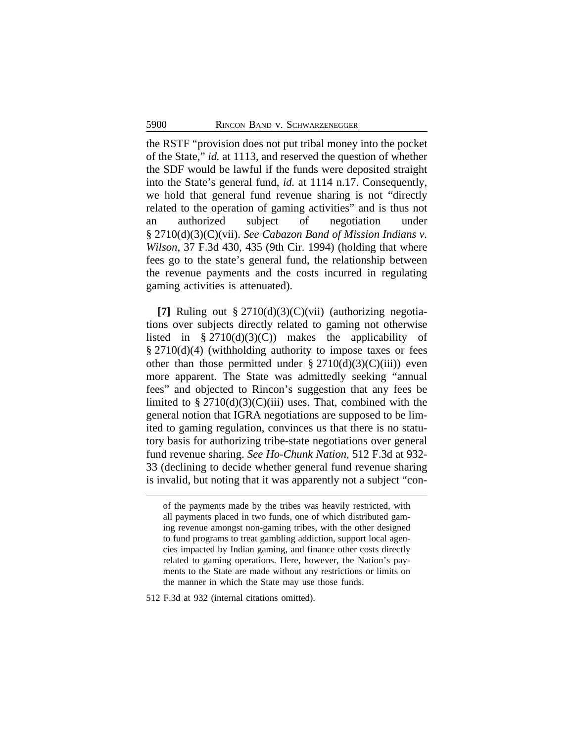the RSTF "provision does not put tribal money into the pocket of the State," *id.* at 1113, and reserved the question of whether the SDF would be lawful if the funds were deposited straight into the State's general fund, *id.* at 1114 n.17. Consequently, we hold that general fund revenue sharing is not "directly related to the operation of gaming activities" and is thus not an authorized subject of negotiation under § 2710(d)(3)(C)(vii). *See Cabazon Band of Mission Indians v. Wilson*, 37 F.3d 430, 435 (9th Cir. 1994) (holding that where fees go to the state's general fund, the relationship between the revenue payments and the costs incurred in regulating gaming activities is attenuated).

**[7]** Ruling out § 2710(d)(3)(C)(vii) (authorizing negotiations over subjects directly related to gaming not otherwise listed in § 2710(d)(3)(C)) makes the applicability of § 2710(d)(4) (withholding authority to impose taxes or fees other than those permitted under  $\S 2710(d)(3)(C(iii))$  even more apparent. The State was admittedly seeking "annual fees" and objected to Rincon's suggestion that any fees be limited to  $\S 2710(d)(3)(C)(iii)$  uses. That, combined with the general notion that IGRA negotiations are supposed to be limited to gaming regulation, convinces us that there is no statutory basis for authorizing tribe-state negotiations over general fund revenue sharing. *See Ho-Chunk Nation*, 512 F.3d at 932- 33 (declining to decide whether general fund revenue sharing is invalid, but noting that it was apparently not a subject "con-

512 F.3d at 932 (internal citations omitted).

of the payments made by the tribes was heavily restricted, with all payments placed in two funds, one of which distributed gaming revenue amongst non-gaming tribes, with the other designed to fund programs to treat gambling addiction, support local agencies impacted by Indian gaming, and finance other costs directly related to gaming operations. Here, however, the Nation's payments to the State are made without any restrictions or limits on the manner in which the State may use those funds.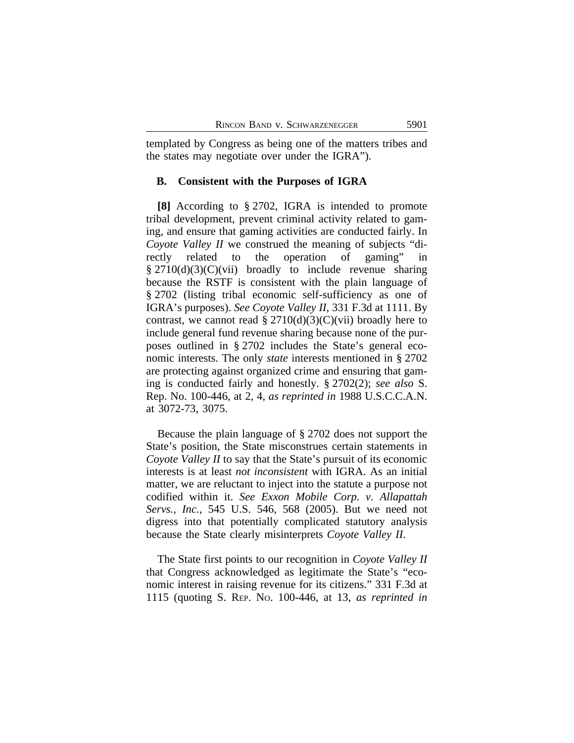templated by Congress as being one of the matters tribes and the states may negotiate over under the IGRA").

#### **B. Consistent with the Purposes of IGRA**

**[8]** According to § 2702, IGRA is intended to promote tribal development, prevent criminal activity related to gaming, and ensure that gaming activities are conducted fairly. In *Coyote Valley II* we construed the meaning of subjects "directly related to the operation of gaming" in  $§$  2710(d)(3)(C)(vii) broadly to include revenue sharing because the RSTF is consistent with the plain language of § 2702 (listing tribal economic self-sufficiency as one of IGRA's purposes). *See Coyote Valley II*, 331 F.3d at 1111. By contrast, we cannot read  $\S 2710(d)(3)(C)(vii)$  broadly here to include general fund revenue sharing because none of the purposes outlined in § 2702 includes the State's general economic interests. The only *state* interests mentioned in § 2702 are protecting against organized crime and ensuring that gaming is conducted fairly and honestly. § 2702(2); *see also* S. Rep. No. 100-446, at 2, 4, *as reprinted in* 1988 U.S.C.C.A.N. at 3072-73, 3075.

Because the plain language of § 2702 does not support the State's position, the State misconstrues certain statements in *Coyote Valley II* to say that the State's pursuit of its economic interests is at least *not inconsistent* with IGRA. As an initial matter, we are reluctant to inject into the statute a purpose not codified within it. *See Exxon Mobile Corp. v. Allapattah Servs., Inc.*, 545 U.S. 546, 568 (2005). But we need not digress into that potentially complicated statutory analysis because the State clearly misinterprets *Coyote Valley II*.

The State first points to our recognition in *Coyote Valley II* that Congress acknowledged as legitimate the State's "economic interest in raising revenue for its citizens." 331 F.3d at 1115 (quoting S. REP. NO. 100-446, at 13, *as reprinted in*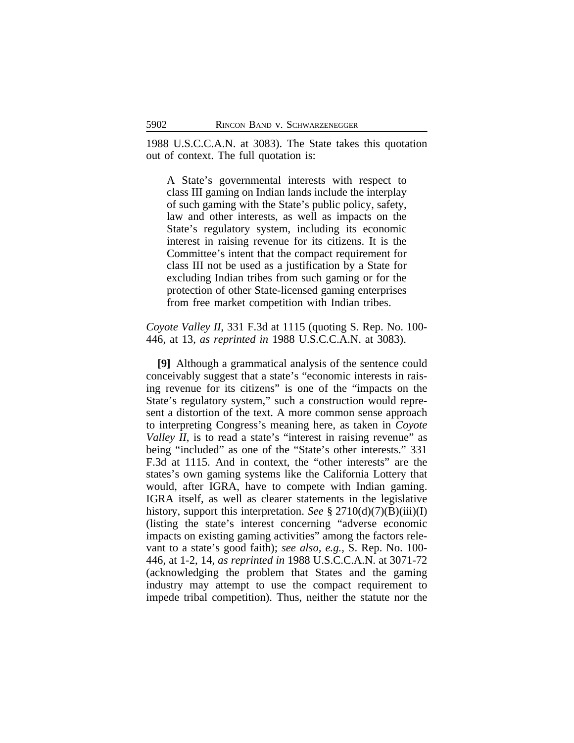1988 U.S.C.C.A.N. at 3083). The State takes this quotation out of context. The full quotation is:

A State's governmental interests with respect to class III gaming on Indian lands include the interplay of such gaming with the State's public policy, safety, law and other interests, as well as impacts on the State's regulatory system, including its economic interest in raising revenue for its citizens. It is the Committee's intent that the compact requirement for class III not be used as a justification by a State for excluding Indian tribes from such gaming or for the protection of other State-licensed gaming enterprises from free market competition with Indian tribes.

*Coyote Valley II*, 331 F.3d at 1115 (quoting S. Rep. No. 100- 446, at 13, *as reprinted in* 1988 U.S.C.C.A.N. at 3083).

**[9]** Although a grammatical analysis of the sentence could conceivably suggest that a state's "economic interests in raising revenue for its citizens" is one of the "impacts on the State's regulatory system," such a construction would represent a distortion of the text. A more common sense approach to interpreting Congress's meaning here, as taken in *Coyote Valley II*, is to read a state's "interest in raising revenue" as being "included" as one of the "State's other interests." 331 F.3d at 1115. And in context, the "other interests" are the states's own gaming systems like the California Lottery that would, after IGRA, have to compete with Indian gaming. IGRA itself, as well as clearer statements in the legislative history, support this interpretation. *See* § 2710(d)(7)(B)(iii)(I) (listing the state's interest concerning "adverse economic impacts on existing gaming activities" among the factors relevant to a state's good faith); *see also, e.g.,* S. Rep. No. 100- 446, at 1-2, 14, *as reprinted in* 1988 U.S.C.C.A.N. at 3071-72 (acknowledging the problem that States and the gaming industry may attempt to use the compact requirement to impede tribal competition). Thus, neither the statute nor the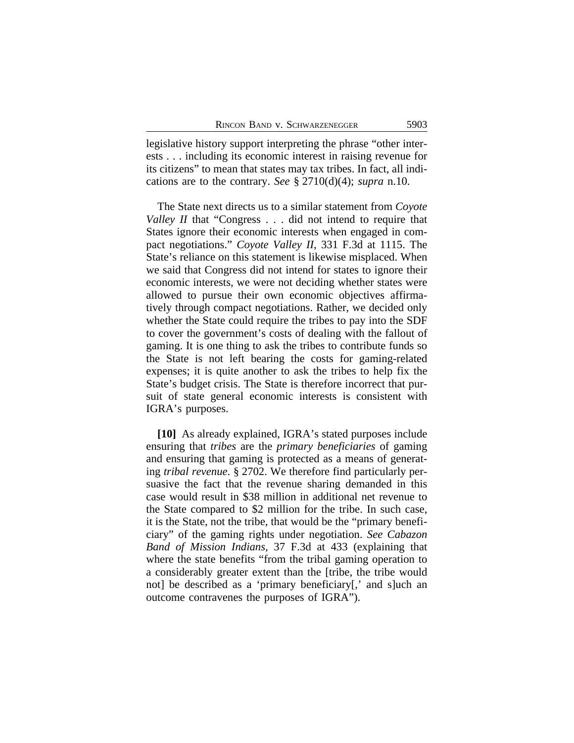legislative history support interpreting the phrase "other interests . . . including its economic interest in raising revenue for its citizens" to mean that states may tax tribes. In fact, all indications are to the contrary. *See* § 2710(d)(4); *supra* n.10.

The State next directs us to a similar statement from *Coyote Valley II* that "Congress . . . did not intend to require that States ignore their economic interests when engaged in compact negotiations." *Coyote Valley II*, 331 F.3d at 1115. The State's reliance on this statement is likewise misplaced. When we said that Congress did not intend for states to ignore their economic interests, we were not deciding whether states were allowed to pursue their own economic objectives affirmatively through compact negotiations. Rather, we decided only whether the State could require the tribes to pay into the SDF to cover the government's costs of dealing with the fallout of gaming. It is one thing to ask the tribes to contribute funds so the State is not left bearing the costs for gaming-related expenses; it is quite another to ask the tribes to help fix the State's budget crisis. The State is therefore incorrect that pursuit of state general economic interests is consistent with IGRA's purposes.

**[10]** As already explained, IGRA's stated purposes include ensuring that *tribes* are the *primary beneficiaries* of gaming and ensuring that gaming is protected as a means of generating *tribal revenue*. § 2702. We therefore find particularly persuasive the fact that the revenue sharing demanded in this case would result in \$38 million in additional net revenue to the State compared to \$2 million for the tribe. In such case, it is the State, not the tribe, that would be the "primary beneficiary" of the gaming rights under negotiation. *See Cabazon Band of Mission Indians,* 37 F.3d at 433 (explaining that where the state benefits "from the tribal gaming operation to a considerably greater extent than the [tribe, the tribe would not] be described as a 'primary beneficiary[,' and s]uch an outcome contravenes the purposes of IGRA").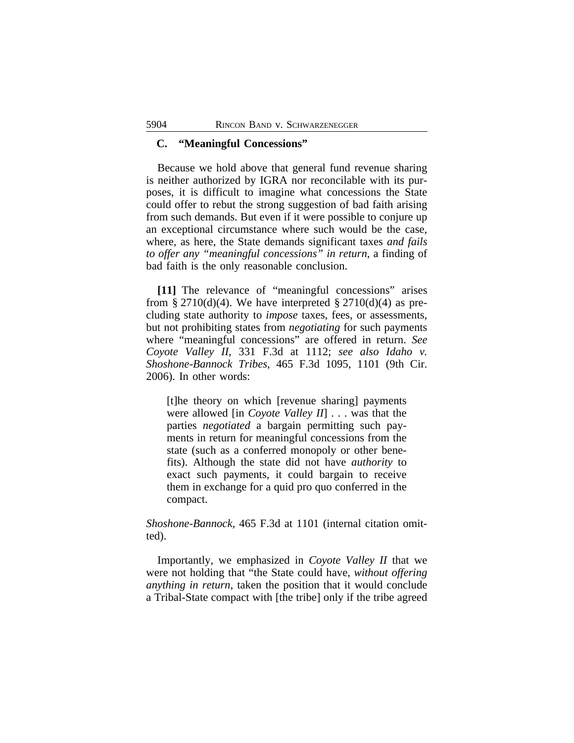### **C. "Meaningful Concessions"**

Because we hold above that general fund revenue sharing is neither authorized by IGRA nor reconcilable with its purposes, it is difficult to imagine what concessions the State could offer to rebut the strong suggestion of bad faith arising from such demands. But even if it were possible to conjure up an exceptional circumstance where such would be the case, where, as here, the State demands significant taxes *and fails to offer any "meaningful concessions" in return*, a finding of bad faith is the only reasonable conclusion.

**[11]** The relevance of "meaningful concessions" arises from § 2710(d)(4). We have interpreted § 2710(d)(4) as precluding state authority to *impose* taxes, fees, or assessments, but not prohibiting states from *negotiating* for such payments where "meaningful concessions" are offered in return. *See Coyote Valley II*, 331 F.3d at 1112; *see also Idaho v. Shoshone-Bannock Tribes*, 465 F.3d 1095, 1101 (9th Cir. 2006). In other words:

[t]he theory on which [revenue sharing] payments were allowed [in *Coyote Valley II*] . . . was that the parties *negotiated* a bargain permitting such payments in return for meaningful concessions from the state (such as a conferred monopoly or other benefits). Although the state did not have *authority* to exact such payments, it could bargain to receive them in exchange for a quid pro quo conferred in the compact.

*Shoshone-Bannock*, 465 F.3d at 1101 (internal citation omitted).

Importantly, we emphasized in *Coyote Valley II* that we were not holding that "the State could have, *without offering anything in return*, taken the position that it would conclude a Tribal-State compact with [the tribe] only if the tribe agreed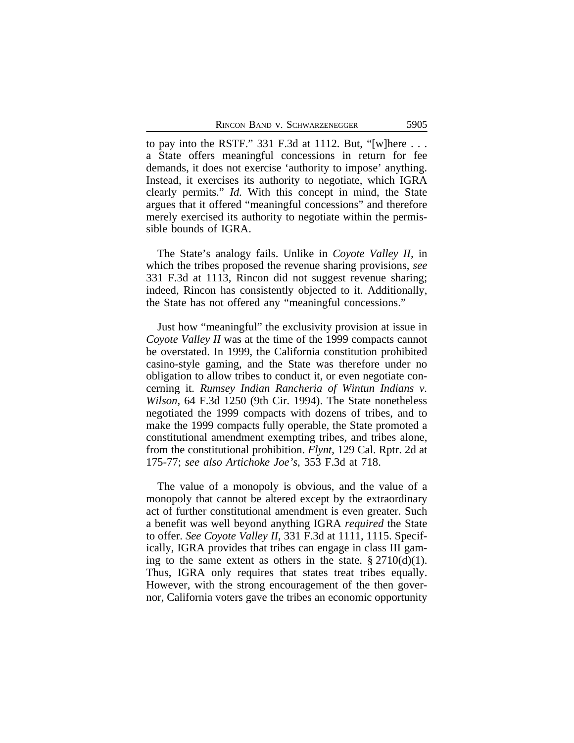to pay into the RSTF." 331 F.3d at 1112. But, "[w]here . . . a State offers meaningful concessions in return for fee demands, it does not exercise 'authority to impose' anything. Instead, it exercises its authority to negotiate, which IGRA clearly permits." *Id.* With this concept in mind, the State argues that it offered "meaningful concessions" and therefore merely exercised its authority to negotiate within the permissible bounds of IGRA.

The State's analogy fails. Unlike in *Coyote Valley II,* in which the tribes proposed the revenue sharing provisions, *see* 331 F.3d at 1113, Rincon did not suggest revenue sharing; indeed, Rincon has consistently objected to it. Additionally, the State has not offered any "meaningful concessions."

Just how "meaningful" the exclusivity provision at issue in *Coyote Valley II* was at the time of the 1999 compacts cannot be overstated. In 1999, the California constitution prohibited casino-style gaming, and the State was therefore under no obligation to allow tribes to conduct it, or even negotiate concerning it. *Rumsey Indian Rancheria of Wintun Indians v. Wilson*, 64 F.3d 1250 (9th Cir. 1994). The State nonetheless negotiated the 1999 compacts with dozens of tribes, and to make the 1999 compacts fully operable, the State promoted a constitutional amendment exempting tribes, and tribes alone, from the constitutional prohibition. *Flynt*, 129 Cal. Rptr. 2d at 175-77; *see also Artichoke Joe's*, 353 F.3d at 718.

The value of a monopoly is obvious, and the value of a monopoly that cannot be altered except by the extraordinary act of further constitutional amendment is even greater. Such a benefit was well beyond anything IGRA *required* the State to offer. *See Coyote Valley II*, 331 F.3d at 1111, 1115. Specifically, IGRA provides that tribes can engage in class III gaming to the same extent as others in the state.  $\S 2710(d)(1)$ . Thus, IGRA only requires that states treat tribes equally. However, with the strong encouragement of the then governor, California voters gave the tribes an economic opportunity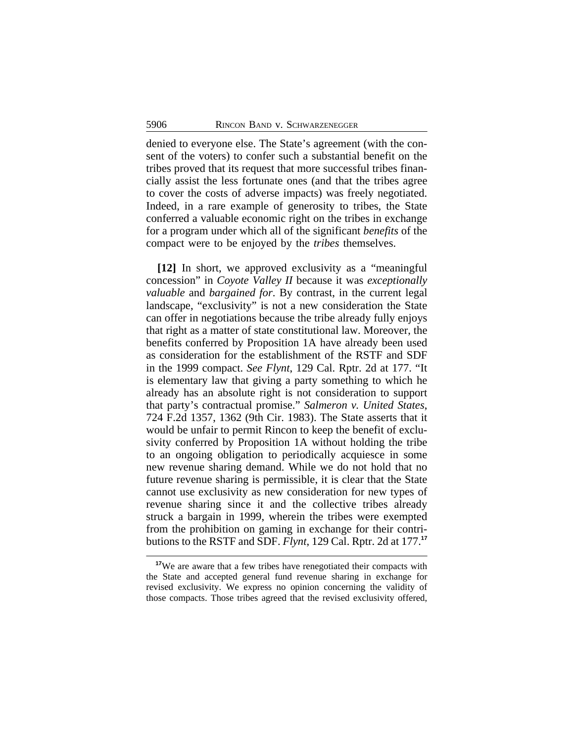denied to everyone else. The State's agreement (with the consent of the voters) to confer such a substantial benefit on the tribes proved that its request that more successful tribes financially assist the less fortunate ones (and that the tribes agree to cover the costs of adverse impacts) was freely negotiated. Indeed, in a rare example of generosity to tribes, the State conferred a valuable economic right on the tribes in exchange for a program under which all of the significant *benefits* of the compact were to be enjoyed by the *tribes* themselves.

**[12]** In short, we approved exclusivity as a "meaningful concession" in *Coyote Valley II* because it was *exceptionally valuable* and *bargained for*. By contrast, in the current legal landscape, "exclusivity" is not a new consideration the State can offer in negotiations because the tribe already fully enjoys that right as a matter of state constitutional law. Moreover, the benefits conferred by Proposition 1A have already been used as consideration for the establishment of the RSTF and SDF in the 1999 compact. *See Flynt*, 129 Cal. Rptr. 2d at 177. "It is elementary law that giving a party something to which he already has an absolute right is not consideration to support that party's contractual promise." *Salmeron v. United States*, 724 F.2d 1357, 1362 (9th Cir. 1983). The State asserts that it would be unfair to permit Rincon to keep the benefit of exclusivity conferred by Proposition 1A without holding the tribe to an ongoing obligation to periodically acquiesce in some new revenue sharing demand. While we do not hold that no future revenue sharing is permissible, it is clear that the State cannot use exclusivity as new consideration for new types of revenue sharing since it and the collective tribes already struck a bargain in 1999, wherein the tribes were exempted from the prohibition on gaming in exchange for their contributions to the RSTF and SDF. *Flynt*, 129 Cal. Rptr. 2d at 177.**<sup>17</sup>**

<sup>&</sup>lt;sup>17</sup>We are aware that a few tribes have renegotiated their compacts with the State and accepted general fund revenue sharing in exchange for revised exclusivity. We express no opinion concerning the validity of those compacts. Those tribes agreed that the revised exclusivity offered,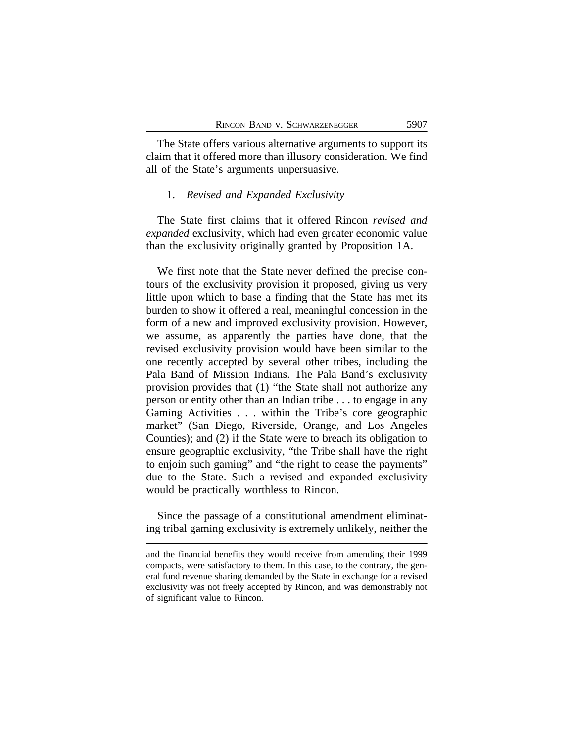The State offers various alternative arguments to support its claim that it offered more than illusory consideration. We find all of the State's arguments unpersuasive.

### 1. *Revised and Expanded Exclusivity*

The State first claims that it offered Rincon *revised and expanded* exclusivity, which had even greater economic value than the exclusivity originally granted by Proposition 1A.

We first note that the State never defined the precise contours of the exclusivity provision it proposed, giving us very little upon which to base a finding that the State has met its burden to show it offered a real, meaningful concession in the form of a new and improved exclusivity provision. However, we assume, as apparently the parties have done, that the revised exclusivity provision would have been similar to the one recently accepted by several other tribes, including the Pala Band of Mission Indians. The Pala Band's exclusivity provision provides that (1) "the State shall not authorize any person or entity other than an Indian tribe . . . to engage in any Gaming Activities . . . within the Tribe's core geographic market" (San Diego, Riverside, Orange, and Los Angeles Counties); and (2) if the State were to breach its obligation to ensure geographic exclusivity, "the Tribe shall have the right to enjoin such gaming" and "the right to cease the payments" due to the State. Such a revised and expanded exclusivity would be practically worthless to Rincon.

Since the passage of a constitutional amendment eliminating tribal gaming exclusivity is extremely unlikely, neither the

and the financial benefits they would receive from amending their 1999 compacts, were satisfactory to them. In this case, to the contrary, the general fund revenue sharing demanded by the State in exchange for a revised exclusivity was not freely accepted by Rincon, and was demonstrably not of significant value to Rincon.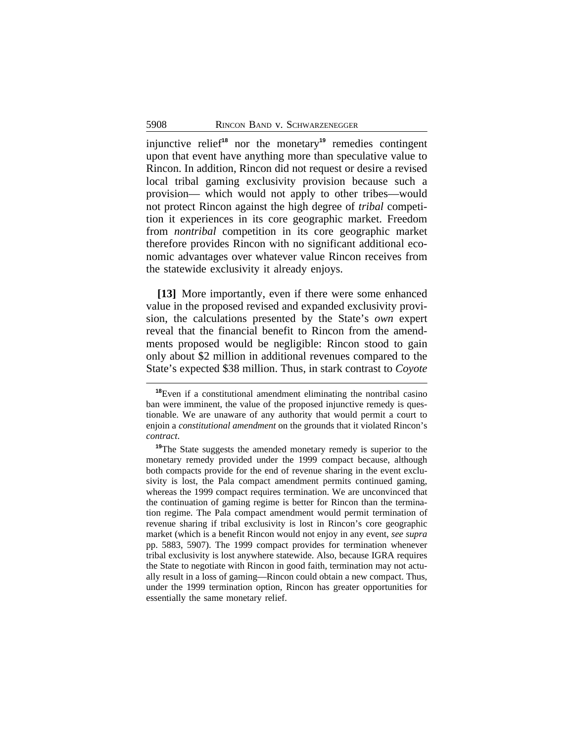injunctive relief**<sup>18</sup>** nor the monetary**<sup>19</sup>** remedies contingent upon that event have anything more than speculative value to Rincon. In addition, Rincon did not request or desire a revised local tribal gaming exclusivity provision because such a provision— which would not apply to other tribes—would not protect Rincon against the high degree of *tribal* competition it experiences in its core geographic market. Freedom from *nontribal* competition in its core geographic market therefore provides Rincon with no significant additional economic advantages over whatever value Rincon receives from the statewide exclusivity it already enjoys.

**[13]** More importantly, even if there were some enhanced value in the proposed revised and expanded exclusivity provision, the calculations presented by the State's *own* expert reveal that the financial benefit to Rincon from the amendments proposed would be negligible: Rincon stood to gain only about \$2 million in additional revenues compared to the State's expected \$38 million. Thus, in stark contrast to *Coyote*

**<sup>18</sup>**Even if a constitutional amendment eliminating the nontribal casino ban were imminent, the value of the proposed injunctive remedy is questionable. We are unaware of any authority that would permit a court to enjoin a *constitutional amendment* on the grounds that it violated Rincon's *contract*.

**<sup>19</sup>**The State suggests the amended monetary remedy is superior to the monetary remedy provided under the 1999 compact because, although both compacts provide for the end of revenue sharing in the event exclusivity is lost, the Pala compact amendment permits continued gaming, whereas the 1999 compact requires termination. We are unconvinced that the continuation of gaming regime is better for Rincon than the termination regime. The Pala compact amendment would permit termination of revenue sharing if tribal exclusivity is lost in Rincon's core geographic market (which is a benefit Rincon would not enjoy in any event, *see supra* pp. 5883, 5907). The 1999 compact provides for termination whenever tribal exclusivity is lost anywhere statewide. Also, because IGRA requires the State to negotiate with Rincon in good faith, termination may not actually result in a loss of gaming—Rincon could obtain a new compact. Thus, under the 1999 termination option, Rincon has greater opportunities for essentially the same monetary relief.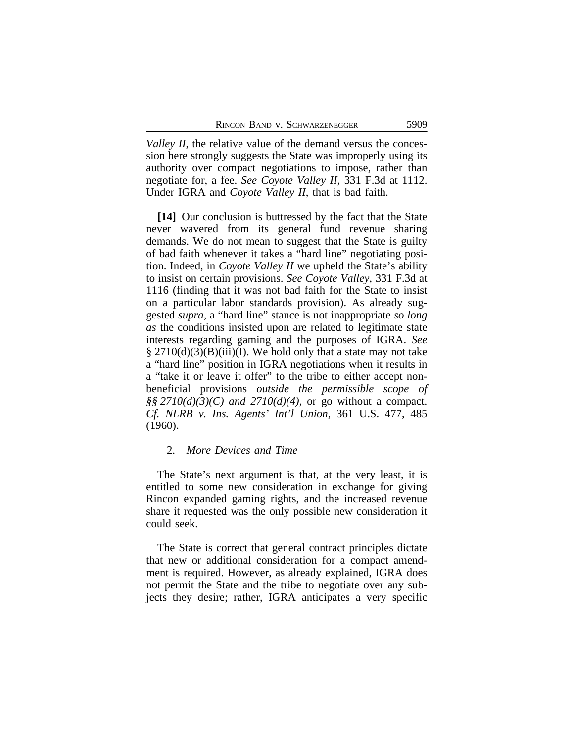*Valley II*, the relative value of the demand versus the concession here strongly suggests the State was improperly using its authority over compact negotiations to impose, rather than negotiate for, a fee. *See Coyote Valley II*, 331 F.3d at 1112. Under IGRA and *Coyote Valley II*, that is bad faith.

**[14]** Our conclusion is buttressed by the fact that the State never wavered from its general fund revenue sharing demands. We do not mean to suggest that the State is guilty of bad faith whenever it takes a "hard line" negotiating position. Indeed, in *Coyote Valley II* we upheld the State's ability to insist on certain provisions. *See Coyote Valley*, 331 F.3d at 1116 (finding that it was not bad faith for the State to insist on a particular labor standards provision). As already suggested *supra*, a "hard line" stance is not inappropriate *so long as* the conditions insisted upon are related to legitimate state interests regarding gaming and the purposes of IGRA. *See*  $\S 2710(d)(3)(B)(iii)(I)$ . We hold only that a state may not take a "hard line" position in IGRA negotiations when it results in a "take it or leave it offer" to the tribe to either accept nonbeneficial provisions *outside the permissible scope of §§ 2710(d)(3)(C) and 2710(d)(4)*, or go without a compact. *Cf. NLRB v. Ins. Agents' Int'l Union*, 361 U.S. 477, 485 (1960).

## 2. *More Devices and Time*

The State's next argument is that, at the very least, it is entitled to some new consideration in exchange for giving Rincon expanded gaming rights, and the increased revenue share it requested was the only possible new consideration it could seek.

The State is correct that general contract principles dictate that new or additional consideration for a compact amendment is required. However, as already explained, IGRA does not permit the State and the tribe to negotiate over any subjects they desire; rather, IGRA anticipates a very specific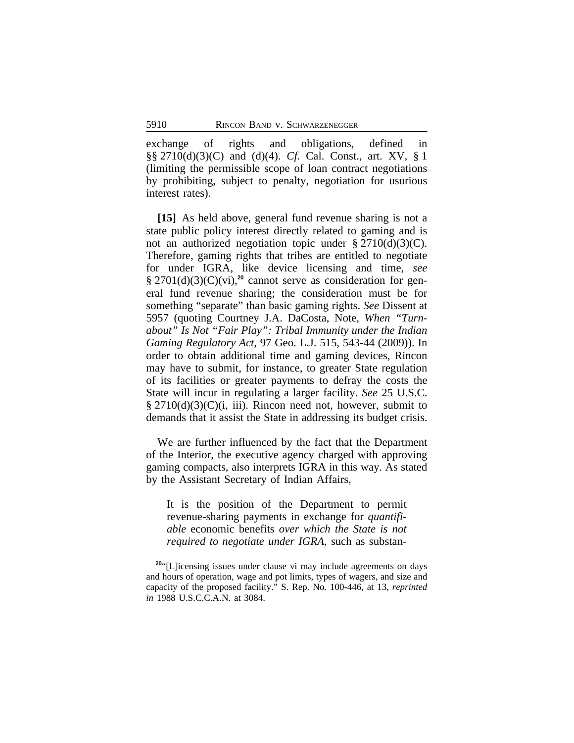exchange of rights and obligations, defined in §§ 2710(d)(3)(C) and (d)(4). *Cf.* Cal. Const., art. XV, § 1 (limiting the permissible scope of loan contract negotiations by prohibiting, subject to penalty, negotiation for usurious interest rates).

**[15]** As held above, general fund revenue sharing is not a state public policy interest directly related to gaming and is not an authorized negotiation topic under  $\S 2710(d)(3)(C)$ . Therefore, gaming rights that tribes are entitled to negotiate for under IGRA, like device licensing and time, *see* § 2701(d)(3)(C)(vi),<sup>20</sup> cannot serve as consideration for general fund revenue sharing; the consideration must be for something "separate" than basic gaming rights. *See* Dissent at 5957 (quoting Courtney J.A. DaCosta, Note, *When "Turnabout" Is Not "Fair Play": Tribal Immunity under the Indian Gaming Regulatory Act*, 97 Geo. L.J. 515, 543-44 (2009)). In order to obtain additional time and gaming devices, Rincon may have to submit, for instance, to greater State regulation of its facilities or greater payments to defray the costs the State will incur in regulating a larger facility. *See* 25 U.S.C. § 2710(d)(3)(C)(i, iii). Rincon need not, however, submit to demands that it assist the State in addressing its budget crisis.

We are further influenced by the fact that the Department of the Interior, the executive agency charged with approving gaming compacts, also interprets IGRA in this way. As stated by the Assistant Secretary of Indian Affairs,

It is the position of the Department to permit revenue-sharing payments in exchange for *quantifiable* economic benefits *over which the State is not required to negotiate under IGRA*, such as substan-

<sup>&</sup>lt;sup>20"</sup>[L]icensing issues under clause vi may include agreements on days and hours of operation, wage and pot limits, types of wagers, and size and capacity of the proposed facility." S. Rep. No. 100-446, at 13, *reprinted in* 1988 U.S.C.C.A.N. at 3084.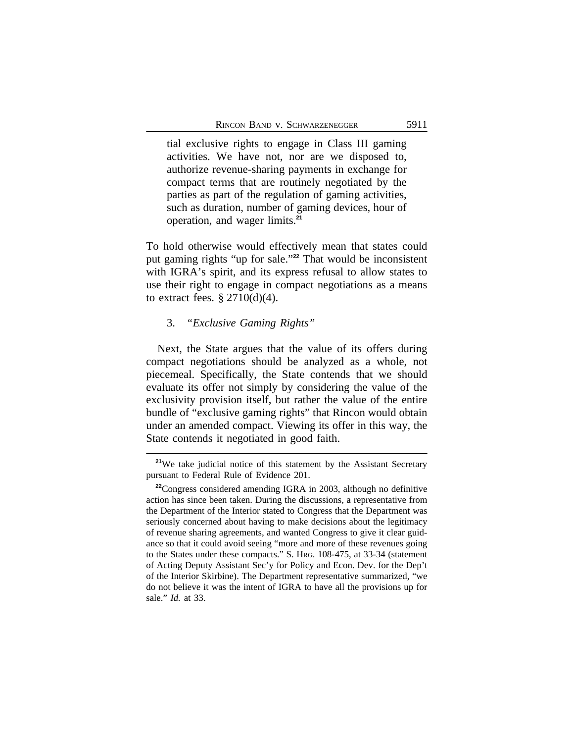tial exclusive rights to engage in Class III gaming activities. We have not, nor are we disposed to, authorize revenue-sharing payments in exchange for compact terms that are routinely negotiated by the parties as part of the regulation of gaming activities, such as duration, number of gaming devices, hour of operation, and wager limits.**<sup>21</sup>**

To hold otherwise would effectively mean that states could put gaming rights "up for sale." **<sup>22</sup>** That would be inconsistent with IGRA's spirit, and its express refusal to allow states to use their right to engage in compact negotiations as a means to extract fees.  $\S 2710(d)(4)$ .

### 3. *"Exclusive Gaming Rights"*

Next, the State argues that the value of its offers during compact negotiations should be analyzed as a whole, not piecemeal. Specifically, the State contends that we should evaluate its offer not simply by considering the value of the exclusivity provision itself, but rather the value of the entire bundle of "exclusive gaming rights" that Rincon would obtain under an amended compact. Viewing its offer in this way, the State contends it negotiated in good faith.

**<sup>21</sup>**We take judicial notice of this statement by the Assistant Secretary pursuant to Federal Rule of Evidence 201.

**<sup>22</sup>**Congress considered amending IGRA in 2003, although no definitive action has since been taken. During the discussions, a representative from the Department of the Interior stated to Congress that the Department was seriously concerned about having to make decisions about the legitimacy of revenue sharing agreements, and wanted Congress to give it clear guidance so that it could avoid seeing "more and more of these revenues going to the States under these compacts." S. HRG. 108-475, at 33-34 (statement of Acting Deputy Assistant Sec'y for Policy and Econ. Dev. for the Dep't of the Interior Skirbine). The Department representative summarized, "we do not believe it was the intent of IGRA to have all the provisions up for sale." *Id.* at 33.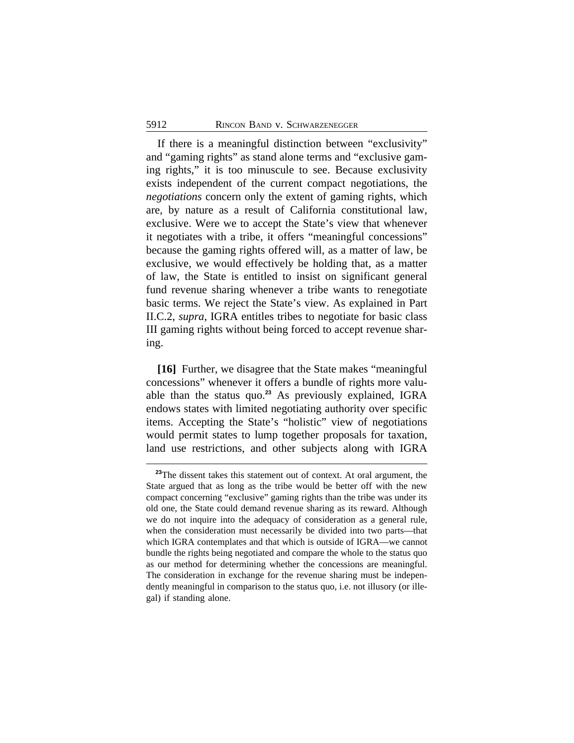If there is a meaningful distinction between "exclusivity" and "gaming rights" as stand alone terms and "exclusive gaming rights," it is too minuscule to see. Because exclusivity exists independent of the current compact negotiations, the *negotiations* concern only the extent of gaming rights, which are, by nature as a result of California constitutional law, exclusive. Were we to accept the State's view that whenever it negotiates with a tribe, it offers "meaningful concessions" because the gaming rights offered will, as a matter of law, be exclusive, we would effectively be holding that, as a matter of law, the State is entitled to insist on significant general fund revenue sharing whenever a tribe wants to renegotiate basic terms. We reject the State's view. As explained in Part II.C.2, *supra*, IGRA entitles tribes to negotiate for basic class III gaming rights without being forced to accept revenue sharing.

**[16]** Further, we disagree that the State makes "meaningful concessions" whenever it offers a bundle of rights more valuable than the status quo.**<sup>23</sup>** As previously explained, IGRA endows states with limited negotiating authority over specific items. Accepting the State's "holistic" view of negotiations would permit states to lump together proposals for taxation, land use restrictions, and other subjects along with IGRA

**<sup>23</sup>**The dissent takes this statement out of context. At oral argument, the State argued that as long as the tribe would be better off with the new compact concerning "exclusive" gaming rights than the tribe was under its old one, the State could demand revenue sharing as its reward. Although we do not inquire into the adequacy of consideration as a general rule, when the consideration must necessarily be divided into two parts—that which IGRA contemplates and that which is outside of IGRA—we cannot bundle the rights being negotiated and compare the whole to the status quo as our method for determining whether the concessions are meaningful. The consideration in exchange for the revenue sharing must be independently meaningful in comparison to the status quo, i.e. not illusory (or illegal) if standing alone.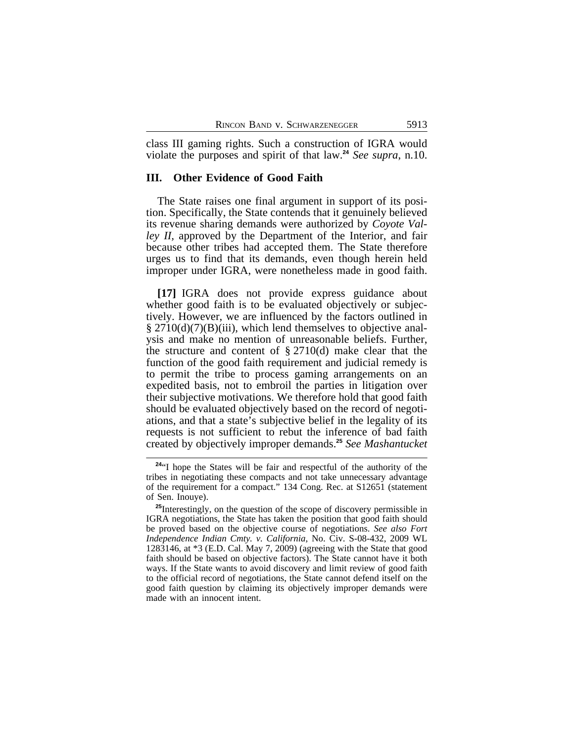class III gaming rights. Such a construction of IGRA would violate the purposes and spirit of that law.**<sup>24</sup>** *See supra*, n.10.

## **III. Other Evidence of Good Faith**

The State raises one final argument in support of its position. Specifically, the State contends that it genuinely believed its revenue sharing demands were authorized by *Coyote Valley II,* approved by the Department of the Interior, and fair because other tribes had accepted them. The State therefore urges us to find that its demands, even though herein held improper under IGRA, were nonetheless made in good faith.

**[17]** IGRA does not provide express guidance about whether good faith is to be evaluated objectively or subjectively. However, we are influenced by the factors outlined in  $\S 2710(d)(7)(B)(iii)$ , which lend themselves to objective analysis and make no mention of unreasonable beliefs. Further, the structure and content of  $\S 2710(d)$  make clear that the function of the good faith requirement and judicial remedy is to permit the tribe to process gaming arrangements on an expedited basis, not to embroil the parties in litigation over their subjective motivations. We therefore hold that good faith should be evaluated objectively based on the record of negotiations, and that a state's subjective belief in the legality of its requests is not sufficient to rebut the inference of bad faith created by objectively improper demands.**<sup>25</sup>** *See Mashantucket*

**<sup>24</sup>**"I hope the States will be fair and respectful of the authority of the tribes in negotiating these compacts and not take unnecessary advantage of the requirement for a compact." 134 Cong. Rec. at S12651 (statement of Sen. Inouye).

**<sup>25</sup>**Interestingly, on the question of the scope of discovery permissible in IGRA negotiations, the State has taken the position that good faith should be proved based on the objective course of negotiations. *See also Fort Independence Indian Cmty. v. California*, No. Civ. S-08-432, 2009 WL 1283146, at \*3 (E.D. Cal. May 7, 2009) (agreeing with the State that good faith should be based on objective factors). The State cannot have it both ways. If the State wants to avoid discovery and limit review of good faith to the official record of negotiations, the State cannot defend itself on the good faith question by claiming its objectively improper demands were made with an innocent intent.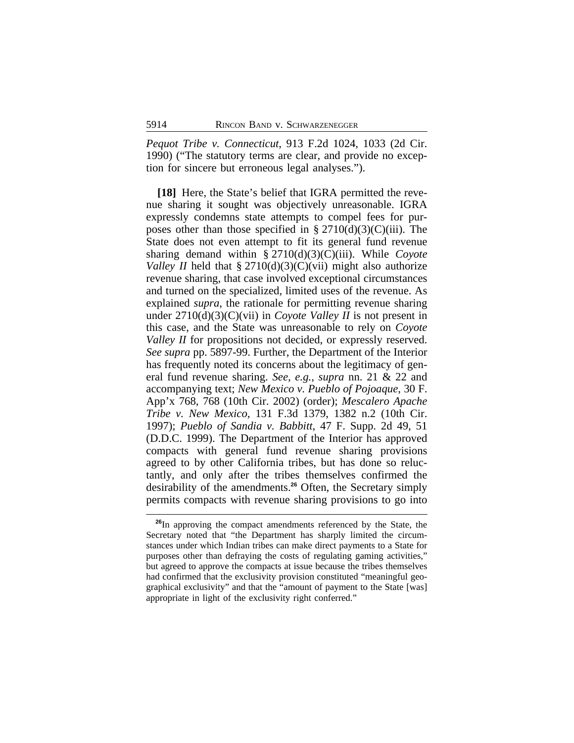*Pequot Tribe v. Connecticut*, 913 F.2d 1024, 1033 (2d Cir. 1990) ("The statutory terms are clear, and provide no exception for sincere but erroneous legal analyses.").

**[18]** Here, the State's belief that IGRA permitted the revenue sharing it sought was objectively unreasonable. IGRA expressly condemns state attempts to compel fees for purposes other than those specified in  $\S 2710(d)(3)(C)(iii)$ . The State does not even attempt to fit its general fund revenue sharing demand within § 2710(d)(3)(C)(iii). While *Coyote Valley II* held that  $\S 2710(d)(3)(C)(vi)$  might also authorize revenue sharing, that case involved exceptional circumstances and turned on the specialized, limited uses of the revenue. As explained *supra*, the rationale for permitting revenue sharing under 2710(d)(3)(C)(vii) in *Coyote Valley II* is not present in this case, and the State was unreasonable to rely on *Coyote Valley II* for propositions not decided, or expressly reserved. *See supra* pp. 5897-99. Further, the Department of the Interior has frequently noted its concerns about the legitimacy of general fund revenue sharing. *See, e.g., supra* nn. 21 & 22 and accompanying text; *New Mexico v. Pueblo of Pojoaque*, 30 F. App'x 768, 768 (10th Cir. 2002) (order); *Mescalero Apache Tribe v. New Mexico*, 131 F.3d 1379, 1382 n.2 (10th Cir. 1997); *Pueblo of Sandia v. Babbitt*, 47 F. Supp. 2d 49, 51 (D.D.C. 1999). The Department of the Interior has approved compacts with general fund revenue sharing provisions agreed to by other California tribes, but has done so reluctantly, and only after the tribes themselves confirmed the desirability of the amendments.**<sup>26</sup>** Often, the Secretary simply permits compacts with revenue sharing provisions to go into

**<sup>26</sup>**In approving the compact amendments referenced by the State, the Secretary noted that "the Department has sharply limited the circumstances under which Indian tribes can make direct payments to a State for purposes other than defraying the costs of regulating gaming activities," but agreed to approve the compacts at issue because the tribes themselves had confirmed that the exclusivity provision constituted "meaningful geographical exclusivity" and that the "amount of payment to the State [was] appropriate in light of the exclusivity right conferred."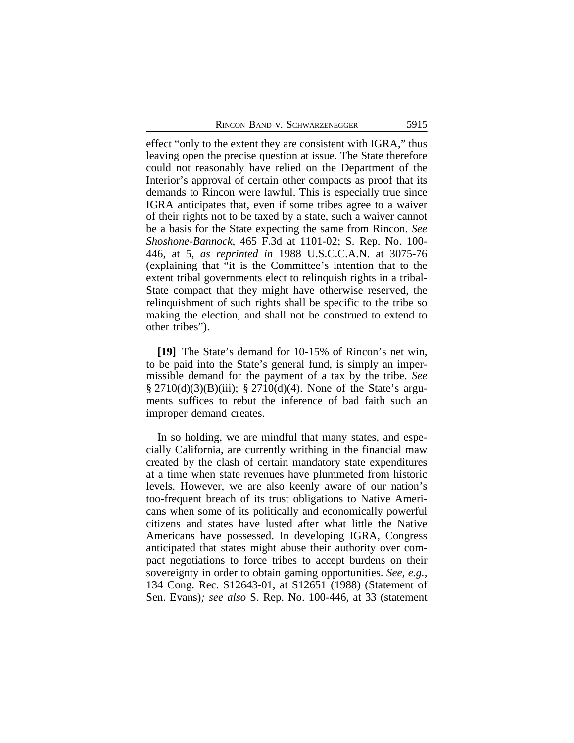effect "only to the extent they are consistent with IGRA," thus leaving open the precise question at issue. The State therefore could not reasonably have relied on the Department of the Interior's approval of certain other compacts as proof that its demands to Rincon were lawful. This is especially true since IGRA anticipates that, even if some tribes agree to a waiver of their rights not to be taxed by a state, such a waiver cannot be a basis for the State expecting the same from Rincon. *See Shoshone-Bannock*, 465 F.3d at 1101-02; S. Rep. No. 100- 446, at 5, *as reprinted in* 1988 U.S.C.C.A.N. at 3075-76 (explaining that "it is the Committee's intention that to the extent tribal governments elect to relinquish rights in a tribal-State compact that they might have otherwise reserved, the relinquishment of such rights shall be specific to the tribe so making the election, and shall not be construed to extend to other tribes").

**[19]** The State's demand for 10-15% of Rincon's net win, to be paid into the State's general fund, is simply an impermissible demand for the payment of a tax by the tribe. *See* § 2710(d)(3)(B)(iii); § 2710(d)(4). None of the State's arguments suffices to rebut the inference of bad faith such an improper demand creates.

In so holding, we are mindful that many states, and especially California, are currently writhing in the financial maw created by the clash of certain mandatory state expenditures at a time when state revenues have plummeted from historic levels. However, we are also keenly aware of our nation's too-frequent breach of its trust obligations to Native Americans when some of its politically and economically powerful citizens and states have lusted after what little the Native Americans have possessed. In developing IGRA, Congress anticipated that states might abuse their authority over compact negotiations to force tribes to accept burdens on their sovereignty in order to obtain gaming opportunities. *See, e.g.,* 134 Cong. Rec. S12643-01, at S12651 (1988) (Statement of Sen. Evans)*; see also* S. Rep. No. 100-446, at 33 (statement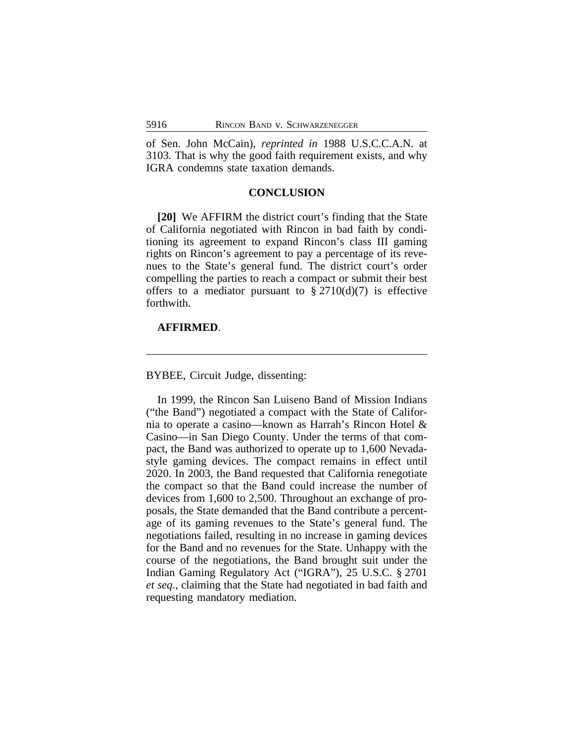of Sen. John McCain), *reprinted in* 1988 U.S.C.C.A.N. at 3103*.* That is why the good faith requirement exists, and why IGRA condemns state taxation demands.

### **CONCLUSION**

**[20]** We AFFIRM the district court's finding that the State of California negotiated with Rincon in bad faith by conditioning its agreement to expand Rincon's class III gaming rights on Rincon's agreement to pay a percentage of its revenues to the State's general fund. The district court's order compelling the parties to reach a compact or submit their best offers to a mediator pursuant to  $\S 2710(d)(7)$  is effective forthwith.

### **AFFIRMED**.

BYBEE, Circuit Judge, dissenting:

In 1999, the Rincon San Luiseno Band of Mission Indians ("the Band") negotiated a compact with the State of California to operate a casino—known as Harrah's Rincon Hotel & Casino—in San Diego County. Under the terms of that compact, the Band was authorized to operate up to 1,600 Nevadastyle gaming devices. The compact remains in effect until 2020. In 2003, the Band requested that California renegotiate the compact so that the Band could increase the number of devices from 1,600 to 2,500. Throughout an exchange of proposals, the State demanded that the Band contribute a percentage of its gaming revenues to the State's general fund. The negotiations failed, resulting in no increase in gaming devices for the Band and no revenues for the State. Unhappy with the course of the negotiations, the Band brought suit under the Indian Gaming Regulatory Act ("IGRA"), 25 U.S.C. § 2701 *et seq*., claiming that the State had negotiated in bad faith and requesting mandatory mediation.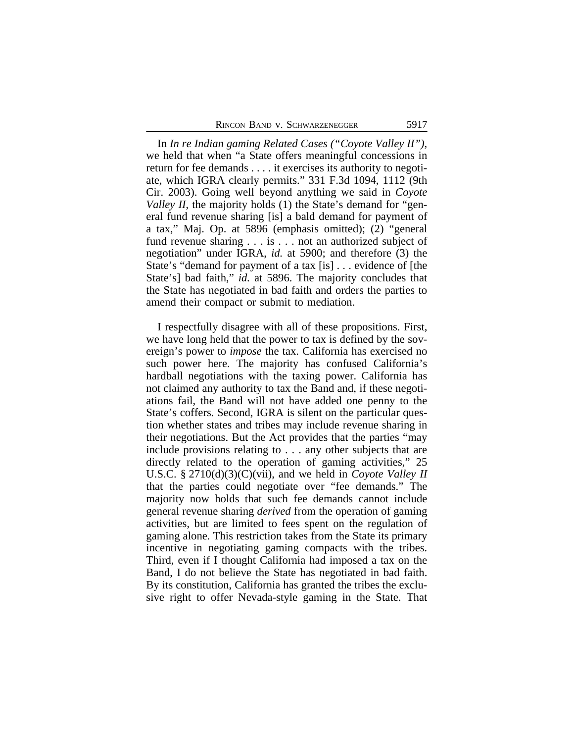In *In re Indian gaming Related Cases ("Coyote Valley II")*, we held that when "a State offers meaningful concessions in return for fee demands . . . . it exercises its authority to negotiate, which IGRA clearly permits." 331 F.3d 1094, 1112 (9th Cir. 2003). Going well beyond anything we said in *Coyote Valley II*, the majority holds (1) the State's demand for "general fund revenue sharing [is] a bald demand for payment of a tax," Maj. Op. at 5896 (emphasis omitted); (2) "general fund revenue sharing . . . is . . . not an authorized subject of negotiation" under IGRA, *id.* at 5900; and therefore (3) the State's "demand for payment of a tax [is] . . . evidence of [the State's] bad faith," *id.* at 5896. The majority concludes that the State has negotiated in bad faith and orders the parties to amend their compact or submit to mediation.

I respectfully disagree with all of these propositions. First, we have long held that the power to tax is defined by the sovereign's power to *impose* the tax. California has exercised no such power here. The majority has confused California's hardball negotiations with the taxing power. California has not claimed any authority to tax the Band and, if these negotiations fail, the Band will not have added one penny to the State's coffers. Second, IGRA is silent on the particular question whether states and tribes may include revenue sharing in their negotiations. But the Act provides that the parties "may include provisions relating to . . . any other subjects that are directly related to the operation of gaming activities," 25 U.S.C. § 2710(d)(3)(C)(vii), and we held in *Coyote Valley II* that the parties could negotiate over "fee demands." The majority now holds that such fee demands cannot include general revenue sharing *derived* from the operation of gaming activities, but are limited to fees spent on the regulation of gaming alone. This restriction takes from the State its primary incentive in negotiating gaming compacts with the tribes. Third, even if I thought California had imposed a tax on the Band, I do not believe the State has negotiated in bad faith. By its constitution, California has granted the tribes the exclusive right to offer Nevada-style gaming in the State. That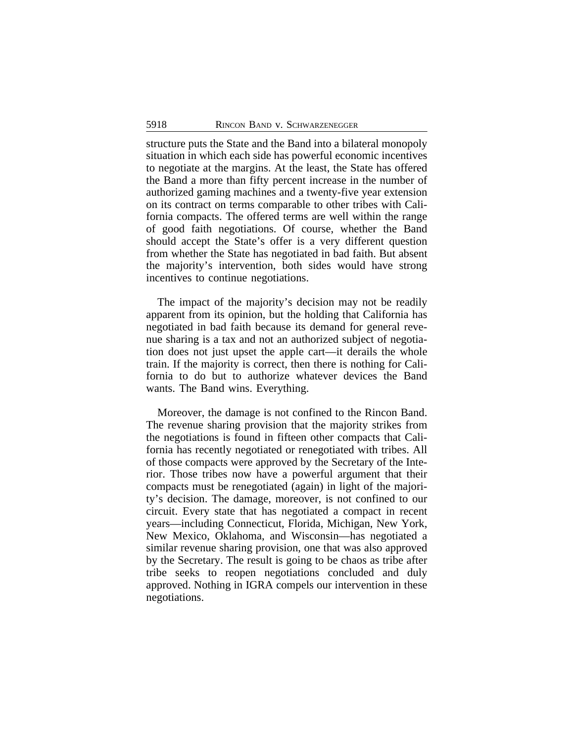structure puts the State and the Band into a bilateral monopoly situation in which each side has powerful economic incentives to negotiate at the margins. At the least, the State has offered the Band a more than fifty percent increase in the number of authorized gaming machines and a twenty-five year extension on its contract on terms comparable to other tribes with California compacts. The offered terms are well within the range of good faith negotiations. Of course, whether the Band should accept the State's offer is a very different question from whether the State has negotiated in bad faith. But absent the majority's intervention, both sides would have strong incentives to continue negotiations.

The impact of the majority's decision may not be readily apparent from its opinion, but the holding that California has negotiated in bad faith because its demand for general revenue sharing is a tax and not an authorized subject of negotiation does not just upset the apple cart—it derails the whole train. If the majority is correct, then there is nothing for California to do but to authorize whatever devices the Band wants. The Band wins. Everything.

Moreover, the damage is not confined to the Rincon Band. The revenue sharing provision that the majority strikes from the negotiations is found in fifteen other compacts that California has recently negotiated or renegotiated with tribes. All of those compacts were approved by the Secretary of the Interior. Those tribes now have a powerful argument that their compacts must be renegotiated (again) in light of the majority's decision. The damage, moreover, is not confined to our circuit. Every state that has negotiated a compact in recent years—including Connecticut, Florida, Michigan, New York, New Mexico, Oklahoma, and Wisconsin—has negotiated a similar revenue sharing provision, one that was also approved by the Secretary. The result is going to be chaos as tribe after tribe seeks to reopen negotiations concluded and duly approved. Nothing in IGRA compels our intervention in these negotiations.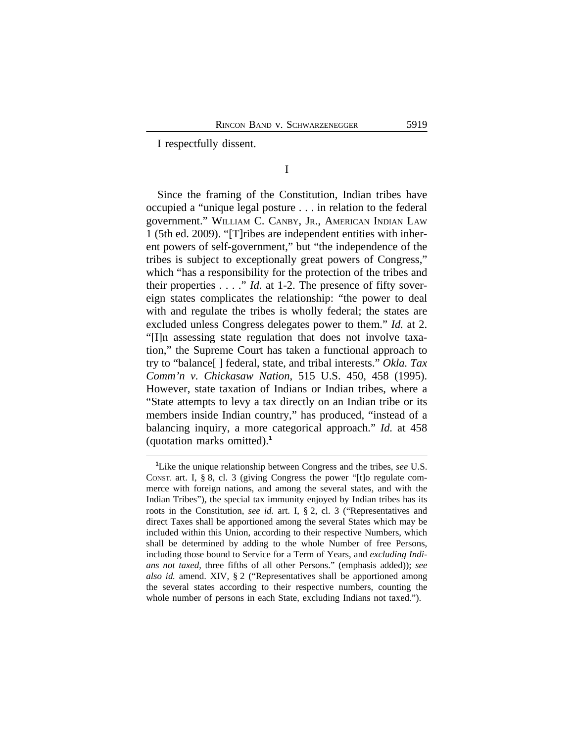I respectfully dissent.

I

Since the framing of the Constitution, Indian tribes have occupied a "unique legal posture . . . in relation to the federal government." WILLIAM C. CANBY, JR., AMERICAN INDIAN LAW 1 (5th ed. 2009). "[T]ribes are independent entities with inherent powers of self-government," but "the independence of the tribes is subject to exceptionally great powers of Congress," which "has a responsibility for the protection of the tribes and their properties . . . ." *Id.* at 1-2. The presence of fifty sovereign states complicates the relationship: "the power to deal with and regulate the tribes is wholly federal; the states are excluded unless Congress delegates power to them." *Id.* at 2. "[I]n assessing state regulation that does not involve taxation," the Supreme Court has taken a functional approach to try to "balance[ ] federal, state, and tribal interests." *Okla. Tax Comm'n v. Chickasaw Nation*, 515 U.S. 450, 458 (1995). However, state taxation of Indians or Indian tribes, where a "State attempts to levy a tax directly on an Indian tribe or its members inside Indian country," has produced, "instead of a balancing inquiry, a more categorical approach." *Id.* at 458 (quotation marks omitted).**<sup>1</sup>**

**<sup>1</sup>**Like the unique relationship between Congress and the tribes, *see* U.S. CONST. art. I, § 8, cl. 3 (giving Congress the power "[t]o regulate commerce with foreign nations, and among the several states, and with the Indian Tribes"), the special tax immunity enjoyed by Indian tribes has its roots in the Constitution, *see id.* art. I, § 2, cl. 3 ("Representatives and direct Taxes shall be apportioned among the several States which may be included within this Union, according to their respective Numbers, which shall be determined by adding to the whole Number of free Persons, including those bound to Service for a Term of Years, and *excluding Indians not taxed*, three fifths of all other Persons." (emphasis added)); *see also id.* amend. XIV, § 2 ("Representatives shall be apportioned among the several states according to their respective numbers, counting the whole number of persons in each State, excluding Indians not taxed.").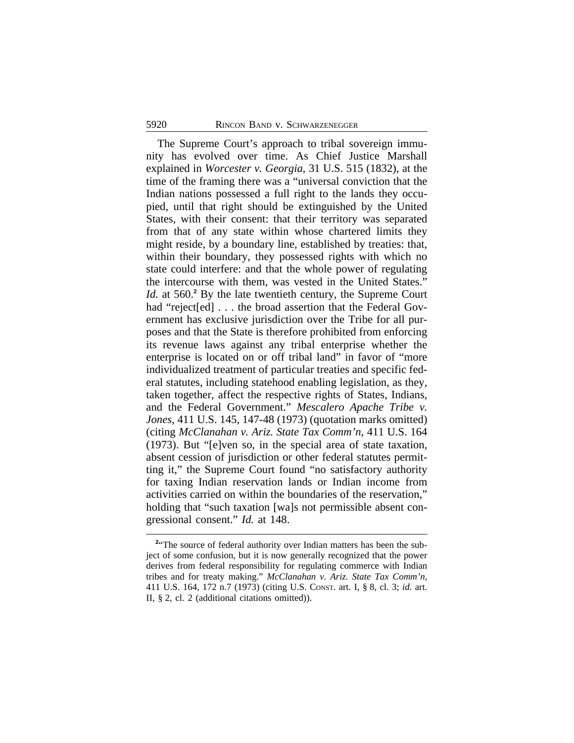The Supreme Court's approach to tribal sovereign immunity has evolved over time. As Chief Justice Marshall explained in *Worcester v. Georgia*, 31 U.S. 515 (1832), at the time of the framing there was a "universal conviction that the Indian nations possessed a full right to the lands they occupied, until that right should be extinguished by the United States, with their consent: that their territory was separated from that of any state within whose chartered limits they might reside, by a boundary line, established by treaties: that, within their boundary, they possessed rights with which no state could interfere: and that the whole power of regulating the intercourse with them, was vested in the United States." Id. at 560.<sup>2</sup> By the late twentieth century, the Supreme Court had "reject[ed] . . . the broad assertion that the Federal Government has exclusive jurisdiction over the Tribe for all purposes and that the State is therefore prohibited from enforcing its revenue laws against any tribal enterprise whether the enterprise is located on or off tribal land" in favor of "more individualized treatment of particular treaties and specific federal statutes, including statehood enabling legislation, as they, taken together, affect the respective rights of States, Indians, and the Federal Government." *Mescalero Apache Tribe v. Jones*, 411 U.S. 145, 147-48 (1973) (quotation marks omitted) (citing *McClanahan v. Ariz. State Tax Comm'n*, 411 U.S. 164 (1973). But "[e]ven so, in the special area of state taxation, absent cession of jurisdiction or other federal statutes permitting it," the Supreme Court found "no satisfactory authority for taxing Indian reservation lands or Indian income from activities carried on within the boundaries of the reservation," holding that "such taxation [wa]s not permissible absent congressional consent." *Id.* at 148.

<sup>&</sup>lt;sup>2</sup><sup>*a*</sup>The source of federal authority over Indian matters has been the subject of some confusion, but it is now generally recognized that the power derives from federal responsibility for regulating commerce with Indian tribes and for treaty making." *McClanahan v. Ariz. State Tax Comm'n*, 411 U.S. 164, 172 n.7 (1973) (citing U.S. CONST. art. I, § 8, cl. 3; *id.* art. II, § 2, cl. 2 (additional citations omitted)).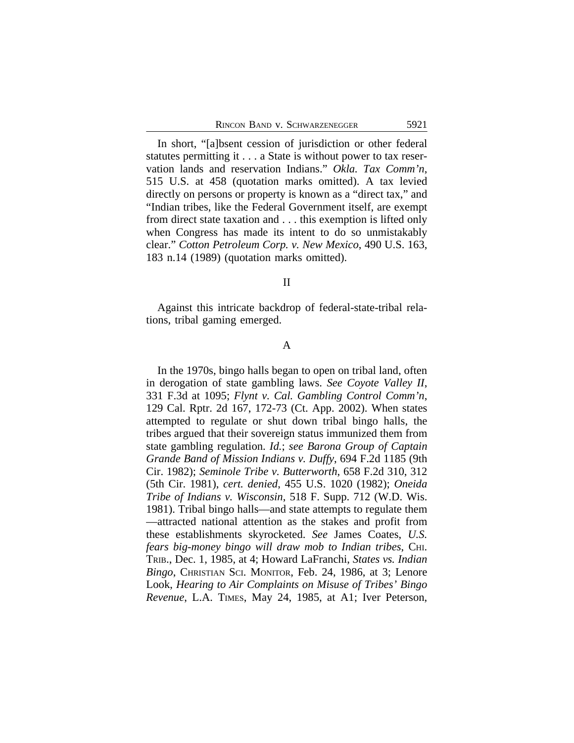In short, "[a]bsent cession of jurisdiction or other federal statutes permitting it . . . a State is without power to tax reservation lands and reservation Indians." *Okla. Tax Comm'n*, 515 U.S. at 458 (quotation marks omitted). A tax levied directly on persons or property is known as a "direct tax," and "Indian tribes, like the Federal Government itself, are exempt from direct state taxation and . . . this exemption is lifted only when Congress has made its intent to do so unmistakably clear." *Cotton Petroleum Corp. v. New Mexico*, 490 U.S. 163, 183 n.14 (1989) (quotation marks omitted).

#### II

Against this intricate backdrop of federal-state-tribal relations, tribal gaming emerged.

# A

In the 1970s, bingo halls began to open on tribal land, often in derogation of state gambling laws. *See Coyote Valley II*, 331 F.3d at 1095; *Flynt v. Cal. Gambling Control Comm'n*, 129 Cal. Rptr. 2d 167, 172-73 (Ct. App. 2002). When states attempted to regulate or shut down tribal bingo halls, the tribes argued that their sovereign status immunized them from state gambling regulation. *Id.*; *see Barona Group of Captain Grande Band of Mission Indians v. Duffy*, 694 F.2d 1185 (9th Cir. 1982); *Seminole Tribe v. Butterworth*, 658 F.2d 310, 312 (5th Cir. 1981), *cert. denied*, 455 U.S. 1020 (1982); *Oneida Tribe of Indians v. Wisconsin*, 518 F. Supp. 712 (W.D. Wis. 1981). Tribal bingo halls—and state attempts to regulate them —attracted national attention as the stakes and profit from these establishments skyrocketed. *See* James Coates, *U.S. fears big-money bingo will draw mob to Indian tribes*, CHI. TRIB., Dec. 1, 1985, at 4; Howard LaFranchi, *States vs. Indian Bingo*, CHRISTIAN SCI. MONITOR, Feb. 24, 1986, at 3; Lenore Look, *Hearing to Air Complaints on Misuse of Tribes' Bingo Revenue*, L.A. TIMES, May 24, 1985, at A1; Iver Peterson,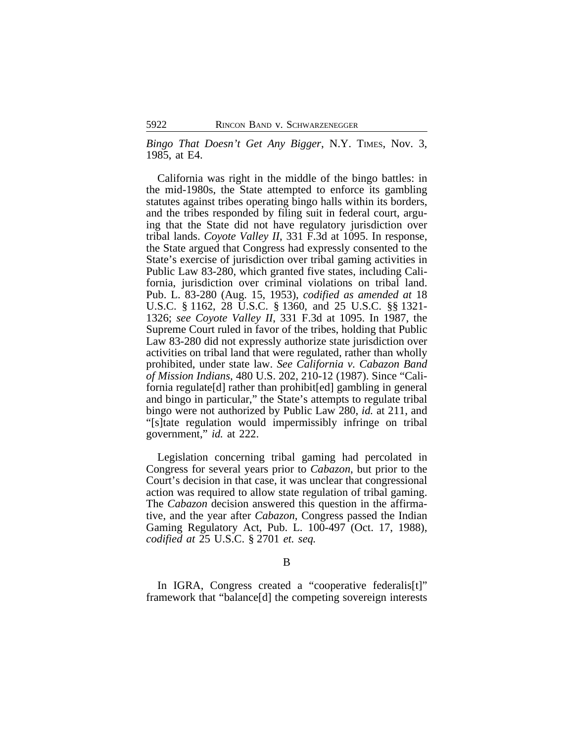*Bingo That Doesn't Get Any Bigger*, N.Y. TIMES, Nov. 3, 1985, at E4.

California was right in the middle of the bingo battles: in the mid-1980s, the State attempted to enforce its gambling statutes against tribes operating bingo halls within its borders, and the tribes responded by filing suit in federal court, arguing that the State did not have regulatory jurisdiction over tribal lands. *Coyote Valley II*, 331 F.3d at 1095. In response, the State argued that Congress had expressly consented to the State's exercise of jurisdiction over tribal gaming activities in Public Law 83-280, which granted five states, including California, jurisdiction over criminal violations on tribal land. Pub. L. 83-280 (Aug. 15, 1953), *codified as amended at* 18 U.S.C. § 1162, 28 U.S.C. § 1360, and 25 U.S.C. §§ 1321- 1326; *see Coyote Valley II*, 331 F.3d at 1095. In 1987, the Supreme Court ruled in favor of the tribes, holding that Public Law 83-280 did not expressly authorize state jurisdiction over activities on tribal land that were regulated, rather than wholly prohibited, under state law. *See California v. Cabazon Band of Mission Indians*, 480 U.S. 202, 210-12 (1987). Since "California regulate[d] rather than prohibit[ed] gambling in general and bingo in particular," the State's attempts to regulate tribal bingo were not authorized by Public Law 280, *id.* at 211, and "[s]tate regulation would impermissibly infringe on tribal government," *id.* at 222.

Legislation concerning tribal gaming had percolated in Congress for several years prior to *Cabazon*, but prior to the Court's decision in that case, it was unclear that congressional action was required to allow state regulation of tribal gaming. The *Cabazon* decision answered this question in the affirmative, and the year after *Cabazon*, Congress passed the Indian Gaming Regulatory Act, Pub. L. 100-497 (Oct. 17, 1988), *codified at* 25 U.S.C. § 2701 *et. seq.*

In IGRA, Congress created a "cooperative federalis[t]" framework that "balance[d] the competing sovereign interests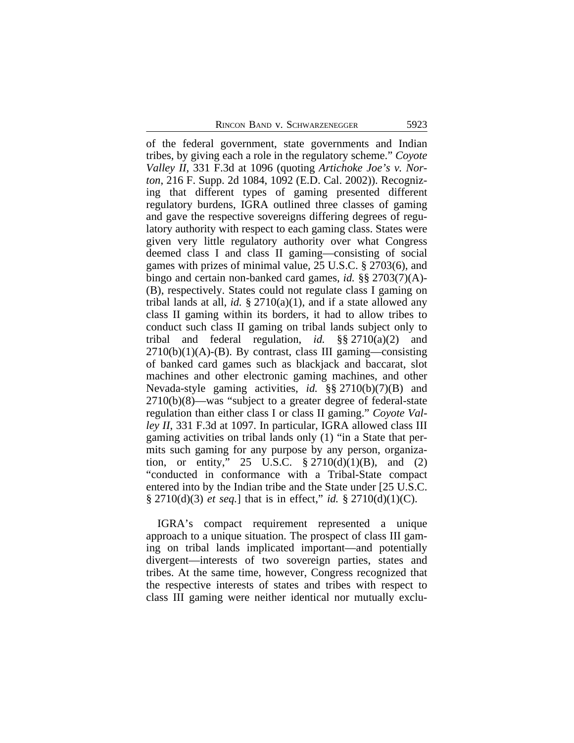RINCON BAND V. SCHWARZENEGGER 5923

of the federal government, state governments and Indian tribes, by giving each a role in the regulatory scheme." *Coyote Valley II*, 331 F.3d at 1096 (quoting *Artichoke Joe's v. Norton*, 216 F. Supp. 2d 1084, 1092 (E.D. Cal. 2002)). Recognizing that different types of gaming presented different regulatory burdens, IGRA outlined three classes of gaming and gave the respective sovereigns differing degrees of regulatory authority with respect to each gaming class. States were given very little regulatory authority over what Congress deemed class I and class II gaming—consisting of social games with prizes of minimal value, 25 U.S.C. § 2703(6), and bingo and certain non-banked card games, *id.* §§ 2703(7)(A)- (B), respectively. States could not regulate class I gaming on tribal lands at all, *id.*  $\S 2710(a)(1)$ , and if a state allowed any class II gaming within its borders, it had to allow tribes to conduct such class II gaming on tribal lands subject only to tribal and federal regulation, *id.* §§ 2710(a)(2) and  $2710(b)(1)(A)$ -(B). By contrast, class III gaming—consisting of banked card games such as blackjack and baccarat, slot machines and other electronic gaming machines, and other Nevada-style gaming activities, *id.* §§ 2710(b)(7)(B) and 2710(b)(8)—was "subject to a greater degree of federal-state regulation than either class I or class II gaming." *Coyote Valley II*, 331 F.3d at 1097. In particular, IGRA allowed class III gaming activities on tribal lands only (1) "in a State that permits such gaming for any purpose by any person, organization, or entity," 25 U.S.C.  $\S 2710(d)(1)(B)$ , and (2) "conducted in conformance with a Tribal-State compact entered into by the Indian tribe and the State under [25 U.S.C. § 2710(d)(3) *et seq.*] that is in effect," *id.* § 2710(d)(1)(C).

IGRA's compact requirement represented a unique approach to a unique situation. The prospect of class III gaming on tribal lands implicated important—and potentially divergent—interests of two sovereign parties, states and tribes. At the same time, however, Congress recognized that the respective interests of states and tribes with respect to class III gaming were neither identical nor mutually exclu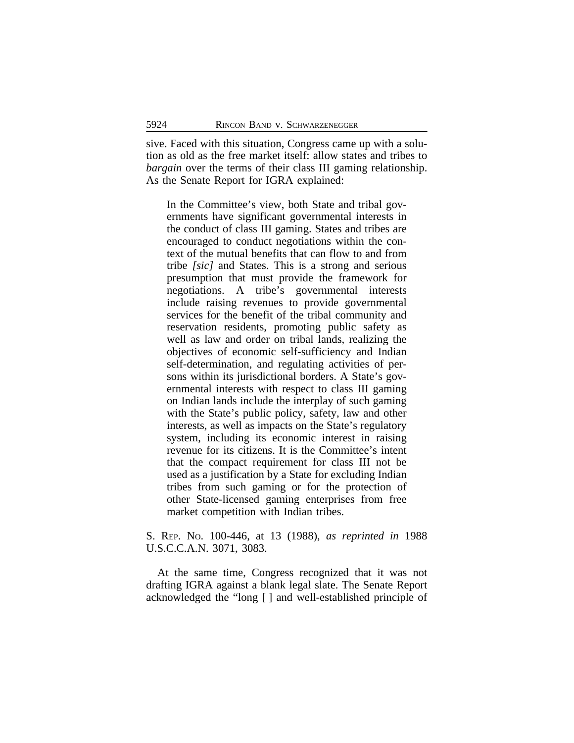sive. Faced with this situation, Congress came up with a solution as old as the free market itself: allow states and tribes to *bargain* over the terms of their class III gaming relationship. As the Senate Report for IGRA explained:

In the Committee's view, both State and tribal governments have significant governmental interests in the conduct of class III gaming. States and tribes are encouraged to conduct negotiations within the context of the mutual benefits that can flow to and from tribe *[sic]* and States. This is a strong and serious presumption that must provide the framework for negotiations. A tribe's governmental interests include raising revenues to provide governmental services for the benefit of the tribal community and reservation residents, promoting public safety as well as law and order on tribal lands, realizing the objectives of economic self-sufficiency and Indian self-determination, and regulating activities of persons within its jurisdictional borders. A State's governmental interests with respect to class III gaming on Indian lands include the interplay of such gaming with the State's public policy, safety, law and other interests, as well as impacts on the State's regulatory system, including its economic interest in raising revenue for its citizens. It is the Committee's intent that the compact requirement for class III not be used as a justification by a State for excluding Indian tribes from such gaming or for the protection of other State-licensed gaming enterprises from free market competition with Indian tribes.

# S. REP. NO. 100-446, at 13 (1988), *as reprinted in* 1988 U.S.C.C.A.N. 3071, 3083.

At the same time, Congress recognized that it was not drafting IGRA against a blank legal slate. The Senate Report acknowledged the "long [ ] and well-established principle of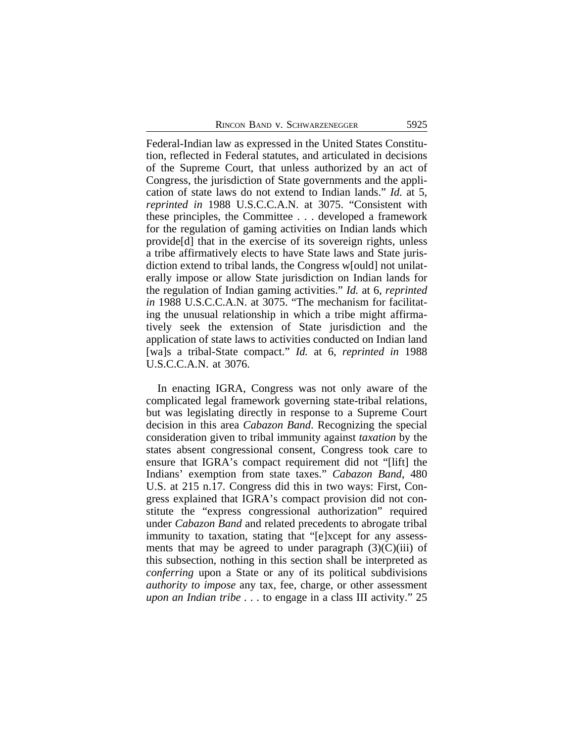Federal-Indian law as expressed in the United States Constitution, reflected in Federal statutes, and articulated in decisions of the Supreme Court, that unless authorized by an act of Congress, the jurisdiction of State governments and the application of state laws do not extend to Indian lands." *Id.* at 5, *reprinted in* 1988 U.S.C.C.A.N. at 3075. "Consistent with these principles, the Committee . . . developed a framework for the regulation of gaming activities on Indian lands which provide[d] that in the exercise of its sovereign rights, unless a tribe affirmatively elects to have State laws and State jurisdiction extend to tribal lands, the Congress w[ould] not unilaterally impose or allow State jurisdiction on Indian lands for the regulation of Indian gaming activities." *Id.* at 6, *reprinted in* 1988 U.S.C.C.A.N. at 3075. "The mechanism for facilitating the unusual relationship in which a tribe might affirmatively seek the extension of State jurisdiction and the application of state laws to activities conducted on Indian land [wa]s a tribal-State compact." *Id.* at 6, *reprinted in* 1988 U.S.C.C.A.N. at 3076.

In enacting IGRA, Congress was not only aware of the complicated legal framework governing state-tribal relations, but was legislating directly in response to a Supreme Court decision in this area *Cabazon Band*. Recognizing the special consideration given to tribal immunity against *taxation* by the states absent congressional consent, Congress took care to ensure that IGRA's compact requirement did not "[lift] the Indians' exemption from state taxes." *Cabazon Band*, 480 U.S. at 215 n.17. Congress did this in two ways: First, Congress explained that IGRA's compact provision did not constitute the "express congressional authorization" required under *Cabazon Band* and related precedents to abrogate tribal immunity to taxation, stating that "[e]xcept for any assessments that may be agreed to under paragraph  $(3)(C)(iii)$  of this subsection, nothing in this section shall be interpreted as *conferring* upon a State or any of its political subdivisions *authority to impose* any tax, fee, charge, or other assessment *upon an Indian tribe . . .* to engage in a class III activity." 25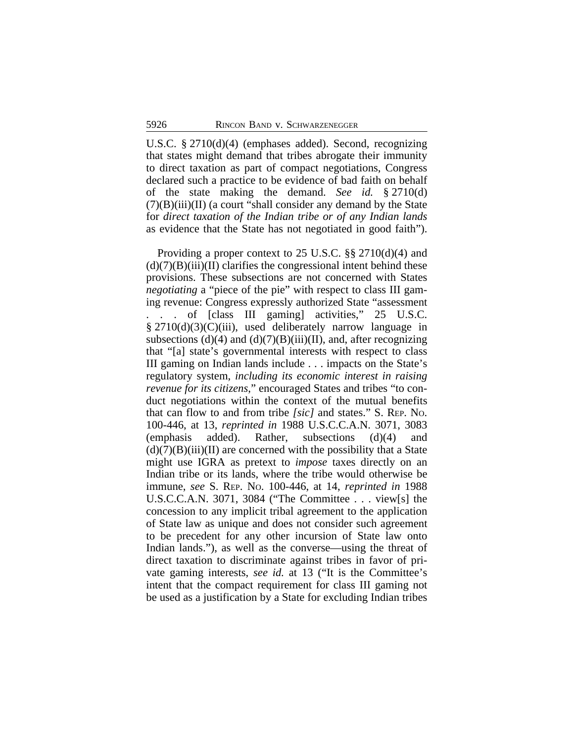U.S.C. § 2710(d)(4) (emphases added). Second, recognizing that states might demand that tribes abrogate their immunity to direct taxation as part of compact negotiations, Congress declared such a practice to be evidence of bad faith on behalf of the state making the demand. *See id.* § 2710(d)  $(7)(B)(iii)(II)$  (a court "shall consider any demand by the State for *direct taxation of the Indian tribe or of any Indian lands* as evidence that the State has not negotiated in good faith").

Providing a proper context to 25 U.S.C. §§ 2710(d)(4) and  $(d)(7)(B)(iii)(II)$  clarifies the congressional intent behind these provisions. These subsections are not concerned with States *negotiating* a "piece of the pie" with respect to class III gaming revenue: Congress expressly authorized State "assessment . . . of [class III gaming] activities," 25 U.S.C. § 2710(d)(3)(C)(iii), used deliberately narrow language in subsections (d)(4) and (d)(7)(B)(iii)(II), and, after recognizing that "[a] state's governmental interests with respect to class III gaming on Indian lands include . . . impacts on the State's regulatory system, *including its economic interest in raising revenue for its citizens*," encouraged States and tribes "to conduct negotiations within the context of the mutual benefits that can flow to and from tribe *[sic]* and states." S. REP. NO. 100-446, at 13, *reprinted in* 1988 U.S.C.C.A.N. 3071, 3083 (emphasis added). Rather, subsections (d)(4) and  $(d)(7)(B)(iii)(II)$  are concerned with the possibility that a State might use IGRA as pretext to *impose* taxes directly on an Indian tribe or its lands, where the tribe would otherwise be immune, *see* S. REP. NO. 100-446, at 14, *reprinted in* 1988 U.S.C.C.A.N. 3071, 3084 ("The Committee . . . view[s] the concession to any implicit tribal agreement to the application of State law as unique and does not consider such agreement to be precedent for any other incursion of State law onto Indian lands."), as well as the converse—using the threat of direct taxation to discriminate against tribes in favor of private gaming interests, *see id.* at 13 ("It is the Committee's intent that the compact requirement for class III gaming not be used as a justification by a State for excluding Indian tribes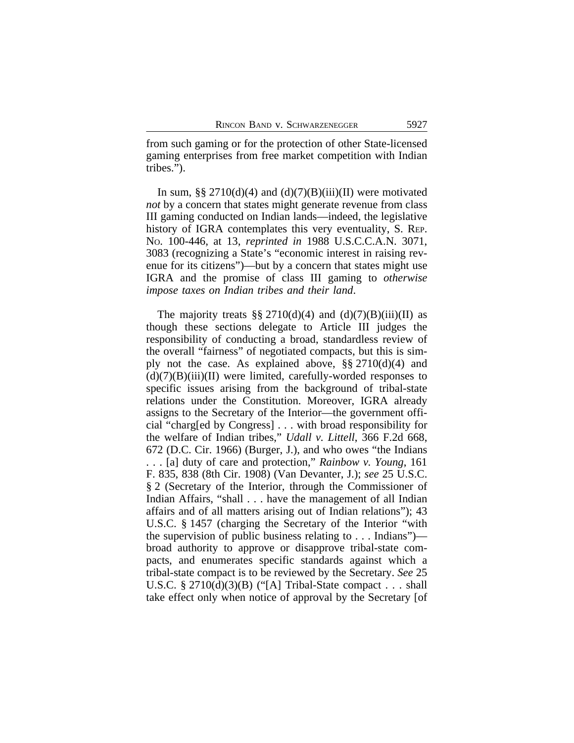from such gaming or for the protection of other State-licensed gaming enterprises from free market competition with Indian tribes.").

In sum, §§  $2710(d)(4)$  and  $(d)(7)(B)(iii)(II)$  were motivated *not* by a concern that states might generate revenue from class III gaming conducted on Indian lands—indeed, the legislative history of IGRA contemplates this very eventuality, S. REP. NO. 100-446, at 13, *reprinted in* 1988 U.S.C.C.A.N. 3071, 3083 (recognizing a State's "economic interest in raising revenue for its citizens")—but by a concern that states might use IGRA and the promise of class III gaming to *otherwise impose taxes on Indian tribes and their land*.

The majority treats §§ 2710(d)(4) and (d)(7)(B)(iii)(II) as though these sections delegate to Article III judges the responsibility of conducting a broad, standardless review of the overall "fairness" of negotiated compacts, but this is simply not the case. As explained above, §§ 2710(d)(4) and  $(d)(7)(B)(iii)(II)$  were limited, carefully-worded responses to specific issues arising from the background of tribal-state relations under the Constitution. Moreover, IGRA already assigns to the Secretary of the Interior—the government official "charg[ed by Congress] . . . with broad responsibility for the welfare of Indian tribes," *Udall v. Littell*, 366 F.2d 668, 672 (D.C. Cir. 1966) (Burger, J.), and who owes "the Indians . . . [a] duty of care and protection," *Rainbow v. Young*, 161 F. 835, 838 (8th Cir. 1908) (Van Devanter, J.); *see* 25 U.S.C. § 2 (Secretary of the Interior, through the Commissioner of Indian Affairs, "shall . . . have the management of all Indian affairs and of all matters arising out of Indian relations"); 43 U.S.C. § 1457 (charging the Secretary of the Interior "with the supervision of public business relating to . . . Indians") broad authority to approve or disapprove tribal-state compacts, and enumerates specific standards against which a tribal-state compact is to be reviewed by the Secretary. *See* 25 U.S.C.  $\S 2710(d)(3)(B)$  ("[A] Tribal-State compact . . . shall take effect only when notice of approval by the Secretary [of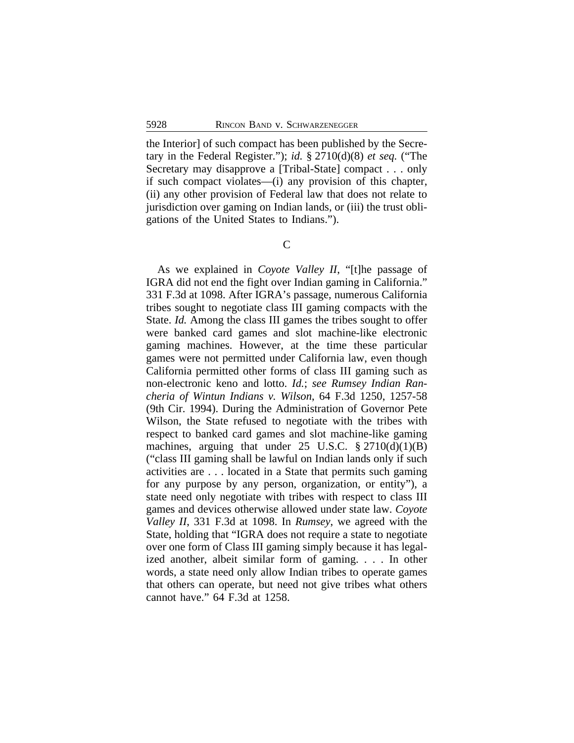the Interior] of such compact has been published by the Secretary in the Federal Register."); *id.* § 2710(d)(8) *et seq.* ("The Secretary may disapprove a [Tribal-State] compact . . . only if such compact violates—(i) any provision of this chapter, (ii) any other provision of Federal law that does not relate to jurisdiction over gaming on Indian lands, or (iii) the trust obligations of the United States to Indians.").

 $\overline{C}$ 

As we explained in *Coyote Valley II*, "[t]he passage of IGRA did not end the fight over Indian gaming in California." 331 F.3d at 1098. After IGRA's passage, numerous California tribes sought to negotiate class III gaming compacts with the State. *Id.* Among the class III games the tribes sought to offer were banked card games and slot machine-like electronic gaming machines. However, at the time these particular games were not permitted under California law, even though California permitted other forms of class III gaming such as non-electronic keno and lotto. *Id.*; *see Rumsey Indian Rancheria of Wintun Indians v. Wilson*, 64 F.3d 1250, 1257-58 (9th Cir. 1994). During the Administration of Governor Pete Wilson, the State refused to negotiate with the tribes with respect to banked card games and slot machine-like gaming machines, arguing that under  $25 \text{ U.S.C. } § 2710(d)(1)(B)$ ("class III gaming shall be lawful on Indian lands only if such activities are . . . located in a State that permits such gaming for any purpose by any person, organization, or entity"), a state need only negotiate with tribes with respect to class III games and devices otherwise allowed under state law. *Coyote Valley II*, 331 F.3d at 1098. In *Rumsey*, we agreed with the State, holding that "IGRA does not require a state to negotiate over one form of Class III gaming simply because it has legalized another, albeit similar form of gaming. . . . In other words, a state need only allow Indian tribes to operate games that others can operate, but need not give tribes what others cannot have." 64 F.3d at 1258.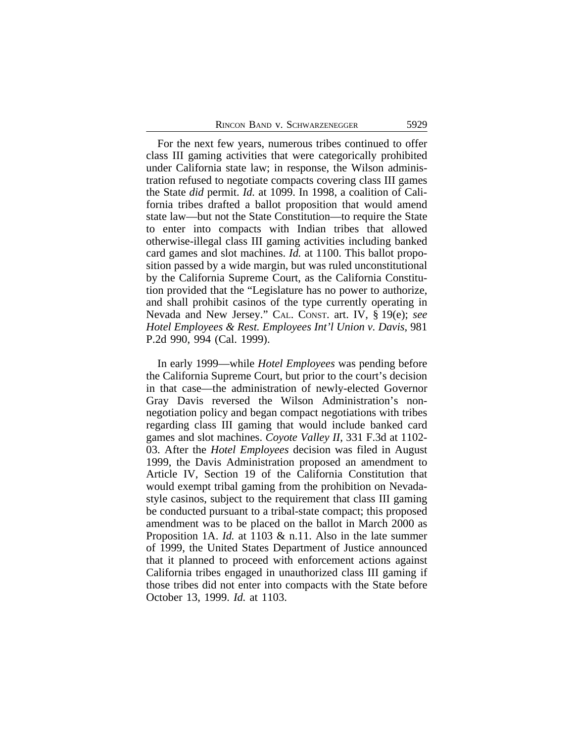For the next few years, numerous tribes continued to offer class III gaming activities that were categorically prohibited under California state law; in response, the Wilson administration refused to negotiate compacts covering class III games the State *did* permit. *Id.* at 1099. In 1998, a coalition of California tribes drafted a ballot proposition that would amend state law—but not the State Constitution—to require the State to enter into compacts with Indian tribes that allowed otherwise-illegal class III gaming activities including banked card games and slot machines. *Id.* at 1100. This ballot proposition passed by a wide margin, but was ruled unconstitutional by the California Supreme Court, as the California Constitution provided that the "Legislature has no power to authorize, and shall prohibit casinos of the type currently operating in Nevada and New Jersey." CAL. CONST. art. IV, § 19(e); *see Hotel Employees & Rest. Employees Int'l Union v. Davis*, 981 P.2d 990, 994 (Cal. 1999).

In early 1999—while *Hotel Employees* was pending before the California Supreme Court, but prior to the court's decision in that case—the administration of newly-elected Governor Gray Davis reversed the Wilson Administration's nonnegotiation policy and began compact negotiations with tribes regarding class III gaming that would include banked card games and slot machines. *Coyote Valley II*, 331 F.3d at 1102- 03. After the *Hotel Employees* decision was filed in August 1999, the Davis Administration proposed an amendment to Article IV, Section 19 of the California Constitution that would exempt tribal gaming from the prohibition on Nevadastyle casinos, subject to the requirement that class III gaming be conducted pursuant to a tribal-state compact; this proposed amendment was to be placed on the ballot in March 2000 as Proposition 1A. *Id.* at 1103 & n.11. Also in the late summer of 1999, the United States Department of Justice announced that it planned to proceed with enforcement actions against California tribes engaged in unauthorized class III gaming if those tribes did not enter into compacts with the State before October 13, 1999. *Id.* at 1103.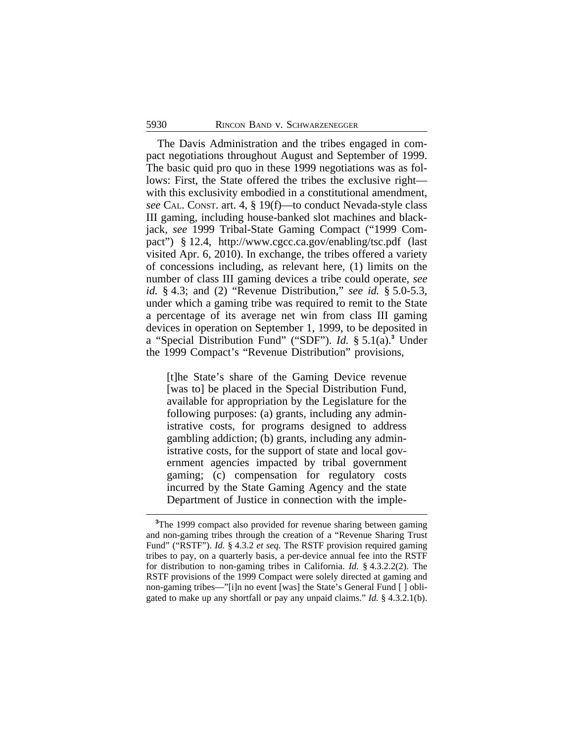The Davis Administration and the tribes engaged in compact negotiations throughout August and September of 1999. The basic quid pro quo in these 1999 negotiations was as follows: First, the State offered the tribes the exclusive right with this exclusivity embodied in a constitutional amendment, *see* CAL. CONST. art. 4, § 19(f)—to conduct Nevada-style class III gaming, including house-banked slot machines and blackjack, *see* 1999 Tribal-State Gaming Compact ("1999 Compact") § 12.4, http://www.cgcc.ca.gov/enabling/tsc.pdf (last visited Apr. 6, 2010). In exchange, the tribes offered a variety of concessions including, as relevant here, (1) limits on the number of class III gaming devices a tribe could operate, *see id.* § 4.3; and (2) "Revenue Distribution," *see id.* § 5.0-5.3, under which a gaming tribe was required to remit to the State a percentage of its average net win from class III gaming devices in operation on September 1, 1999, to be deposited in a "Special Distribution Fund" ("SDF"). *Id.* § 5.1(a).**<sup>3</sup>** Under the 1999 Compact's "Revenue Distribution" provisions,

[t]he State's share of the Gaming Device revenue [was to] be placed in the Special Distribution Fund, available for appropriation by the Legislature for the following purposes: (a) grants, including any administrative costs, for programs designed to address gambling addiction; (b) grants, including any administrative costs, for the support of state and local government agencies impacted by tribal government gaming; (c) compensation for regulatory costs incurred by the State Gaming Agency and the state Department of Justice in connection with the imple-

**<sup>3</sup>**The 1999 compact also provided for revenue sharing between gaming and non-gaming tribes through the creation of a "Revenue Sharing Trust Fund" ("RSTF"). *Id.* § 4.3.2 *et seq.* The RSTF provision required gaming tribes to pay, on a quarterly basis, a per-device annual fee into the RSTF for distribution to non-gaming tribes in California. *Id.* § 4.3.2.2(2). The RSTF provisions of the 1999 Compact were solely directed at gaming and non-gaming tribes—"[i]n no event [was] the State's General Fund [ ] obligated to make up any shortfall or pay any unpaid claims." *Id.* § 4.3.2.1(b).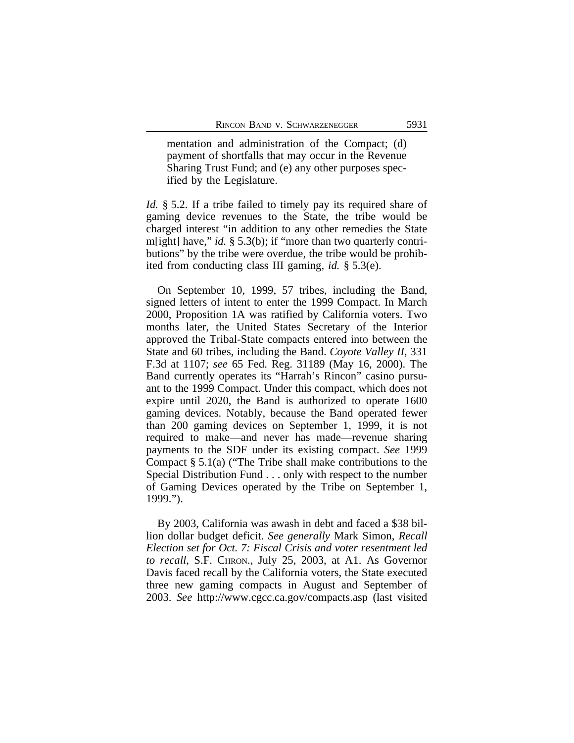mentation and administration of the Compact; (d) payment of shortfalls that may occur in the Revenue Sharing Trust Fund; and (e) any other purposes specified by the Legislature.

*Id.* § 5.2. If a tribe failed to timely pay its required share of gaming device revenues to the State, the tribe would be charged interest "in addition to any other remedies the State m[ight] have," *id.* § 5.3(b); if "more than two quarterly contributions" by the tribe were overdue, the tribe would be prohibited from conducting class III gaming, *id.* § 5.3(e).

On September 10, 1999, 57 tribes, including the Band, signed letters of intent to enter the 1999 Compact. In March 2000, Proposition 1A was ratified by California voters. Two months later, the United States Secretary of the Interior approved the Tribal-State compacts entered into between the State and 60 tribes, including the Band. *Coyote Valley II*, 331 F.3d at 1107; *see* 65 Fed. Reg. 31189 (May 16, 2000). The Band currently operates its "Harrah's Rincon" casino pursuant to the 1999 Compact. Under this compact, which does not expire until 2020, the Band is authorized to operate 1600 gaming devices. Notably, because the Band operated fewer than 200 gaming devices on September 1, 1999, it is not required to make—and never has made—revenue sharing payments to the SDF under its existing compact. *See* 1999 Compact § 5.1(a) ("The Tribe shall make contributions to the Special Distribution Fund . . . only with respect to the number of Gaming Devices operated by the Tribe on September 1, 1999.").

By 2003, California was awash in debt and faced a \$38 billion dollar budget deficit. *See generally* Mark Simon, *Recall Election set for Oct. 7: Fiscal Crisis and voter resentment led to recall*, S.F. CHRON., July 25, 2003, at A1. As Governor Davis faced recall by the California voters, the State executed three new gaming compacts in August and September of 2003. *See* http://www.cgcc.ca.gov/compacts.asp (last visited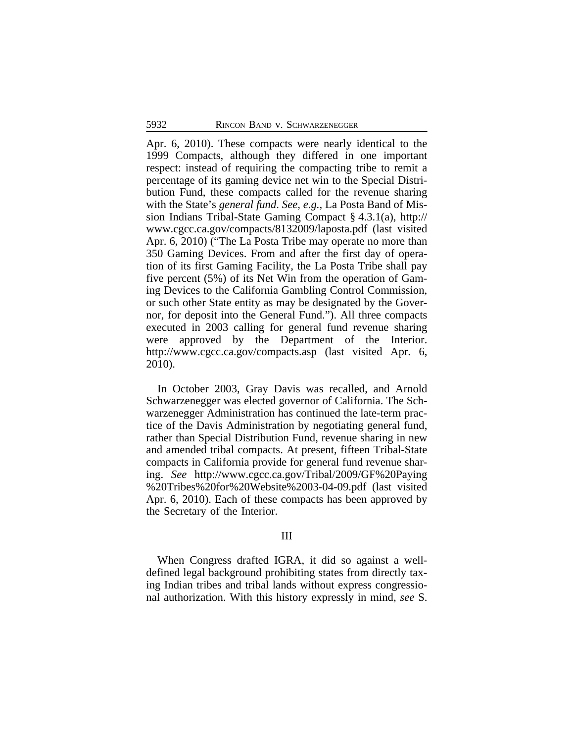Apr. 6, 2010). These compacts were nearly identical to the 1999 Compacts, although they differed in one important respect: instead of requiring the compacting tribe to remit a percentage of its gaming device net win to the Special Distribution Fund, these compacts called for the revenue sharing with the State's *general fund*. *See, e.g.,* La Posta Band of Mission Indians Tribal-State Gaming Compact § 4.3.1(a), http:// www.cgcc.ca.gov/compacts/8132009/laposta.pdf (last visited Apr. 6, 2010) ("The La Posta Tribe may operate no more than 350 Gaming Devices. From and after the first day of operation of its first Gaming Facility, the La Posta Tribe shall pay five percent (5%) of its Net Win from the operation of Gaming Devices to the California Gambling Control Commission, or such other State entity as may be designated by the Governor, for deposit into the General Fund."). All three compacts executed in 2003 calling for general fund revenue sharing were approved by the Department of the Interior. http://www.cgcc.ca.gov/compacts.asp (last visited Apr. 6, 2010).

In October 2003, Gray Davis was recalled, and Arnold Schwarzenegger was elected governor of California. The Schwarzenegger Administration has continued the late-term practice of the Davis Administration by negotiating general fund, rather than Special Distribution Fund, revenue sharing in new and amended tribal compacts. At present, fifteen Tribal-State compacts in California provide for general fund revenue sharing. *See* http://www.cgcc.ca.gov/Tribal/2009/GF%20Paying %20Tribes%20for%20Website%2003-04-09.pdf (last visited Apr. 6, 2010). Each of these compacts has been approved by the Secretary of the Interior.

# III

When Congress drafted IGRA, it did so against a welldefined legal background prohibiting states from directly taxing Indian tribes and tribal lands without express congressional authorization. With this history expressly in mind, *see* S.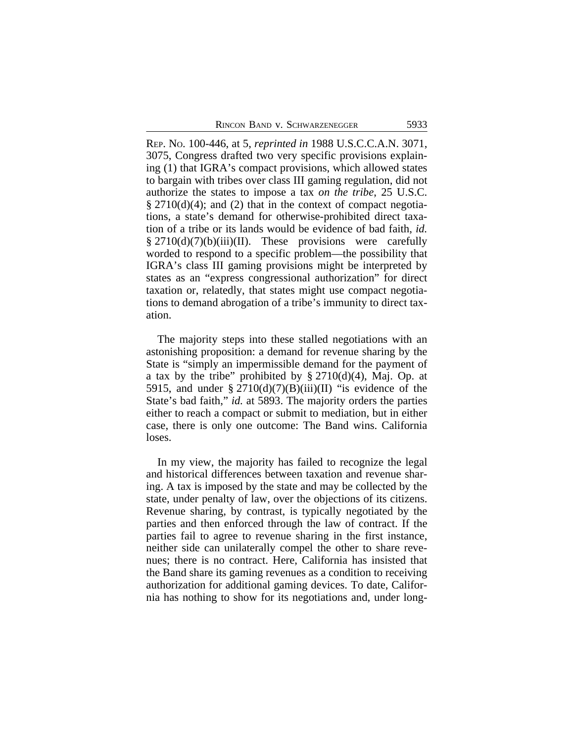REP. NO. 100-446, at 5, *reprinted in* 1988 U.S.C.C.A.N. 3071, 3075, Congress drafted two very specific provisions explaining (1) that IGRA's compact provisions, which allowed states to bargain with tribes over class III gaming regulation, did not authorize the states to impose a tax *on the tribe*, 25 U.S.C.  $\S 2710(d)(4)$ ; and (2) that in the context of compact negotiations, a state's demand for otherwise-prohibited direct taxation of a tribe or its lands would be evidence of bad faith, *id.*  $§$  2710(d)(7)(b)(iii)(II). These provisions were carefully worded to respond to a specific problem—the possibility that IGRA's class III gaming provisions might be interpreted by states as an "express congressional authorization" for direct taxation or, relatedly, that states might use compact negotiations to demand abrogation of a tribe's immunity to direct taxation.

The majority steps into these stalled negotiations with an astonishing proposition: a demand for revenue sharing by the State is "simply an impermissible demand for the payment of a tax by the tribe" prohibited by  $\S 2710(d)(4)$ , Maj. Op. at 5915, and under  $\S 2710(d)(7)(B)(iii)(II)$  "is evidence of the State's bad faith," *id.* at 5893. The majority orders the parties either to reach a compact or submit to mediation, but in either case, there is only one outcome: The Band wins. California loses.

In my view, the majority has failed to recognize the legal and historical differences between taxation and revenue sharing. A tax is imposed by the state and may be collected by the state, under penalty of law, over the objections of its citizens. Revenue sharing, by contrast, is typically negotiated by the parties and then enforced through the law of contract. If the parties fail to agree to revenue sharing in the first instance, neither side can unilaterally compel the other to share revenues; there is no contract. Here, California has insisted that the Band share its gaming revenues as a condition to receiving authorization for additional gaming devices. To date, California has nothing to show for its negotiations and, under long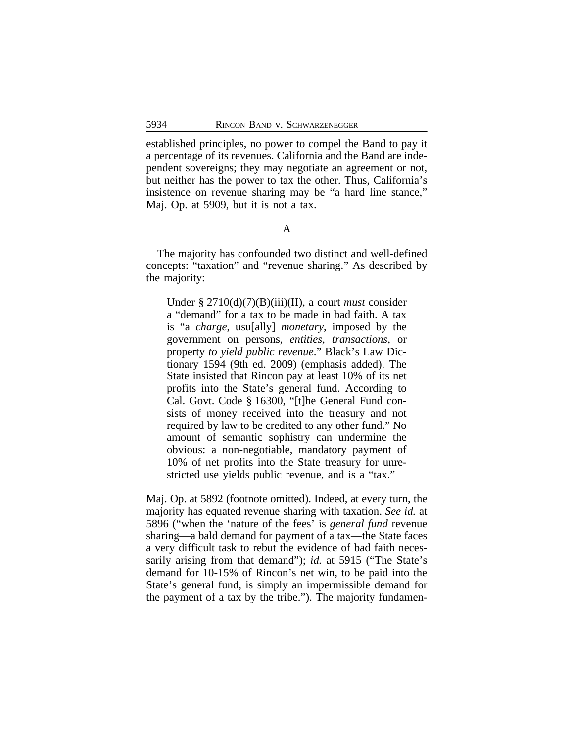established principles, no power to compel the Band to pay it a percentage of its revenues. California and the Band are independent sovereigns; they may negotiate an agreement or not, but neither has the power to tax the other. Thus, California's insistence on revenue sharing may be "a hard line stance," Maj. Op. at 5909, but it is not a tax.

### A

The majority has confounded two distinct and well-defined concepts: "taxation" and "revenue sharing." As described by the majority:

Under § 2710(d)(7)(B)(iii)(II), a court *must* consider a "demand" for a tax to be made in bad faith. A tax is "a *charge*, usu[ally] *monetary*, imposed by the government on persons, *entities, transactions*, or property *to yield public revenue*." Black's Law Dictionary 1594 (9th ed. 2009) (emphasis added). The State insisted that Rincon pay at least 10% of its net profits into the State's general fund. According to Cal. Govt. Code § 16300, "[t]he General Fund consists of money received into the treasury and not required by law to be credited to any other fund." No amount of semantic sophistry can undermine the obvious: a non-negotiable, mandatory payment of 10% of net profits into the State treasury for unrestricted use yields public revenue, and is a "tax."

Maj. Op. at 5892 (footnote omitted). Indeed, at every turn, the majority has equated revenue sharing with taxation. *See id.* at 5896 ("when the 'nature of the fees' is *general fund* revenue sharing—a bald demand for payment of a tax—the State faces a very difficult task to rebut the evidence of bad faith necessarily arising from that demand"); *id.* at 5915 ("The State's demand for 10-15% of Rincon's net win, to be paid into the State's general fund, is simply an impermissible demand for the payment of a tax by the tribe."). The majority fundamen-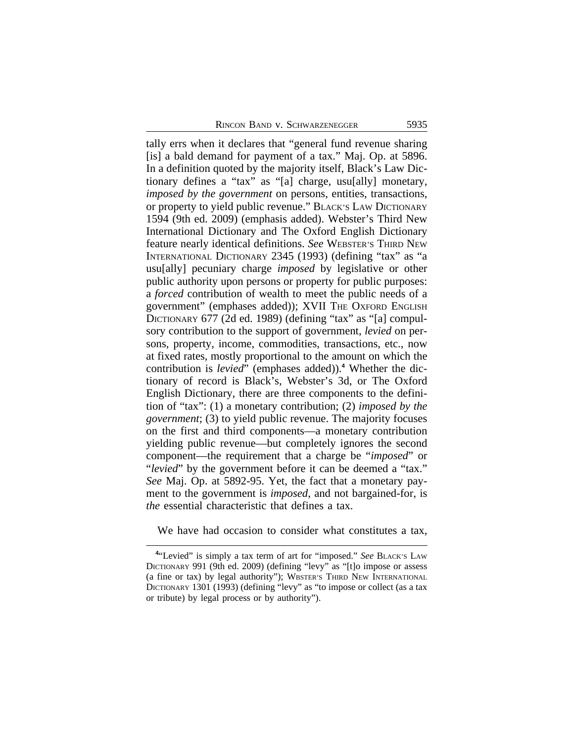tally errs when it declares that "general fund revenue sharing [is] a bald demand for payment of a tax." Maj. Op. at 5896. In a definition quoted by the majority itself, Black's Law Dictionary defines a "tax" as "[a] charge, usu[ally] monetary, *imposed by the government* on persons, entities, transactions, or property to yield public revenue." BLACK'S LAW DICTIONARY 1594 (9th ed. 2009) (emphasis added). Webster's Third New International Dictionary and The Oxford English Dictionary feature nearly identical definitions. *See* WEBSTER'S THIRD NEW INTERNATIONAL DICTIONARY 2345 (1993) (defining "tax" as "a usu[ally] pecuniary charge *imposed* by legislative or other public authority upon persons or property for public purposes: a *forced* contribution of wealth to meet the public needs of a government" (emphases added)); XVII THE OXFORD ENGLISH DICTIONARY 677 (2d ed. 1989) (defining "tax" as "[a] compulsory contribution to the support of government, *levied* on persons, property, income, commodities, transactions, etc., now at fixed rates, mostly proportional to the amount on which the contribution is *levied*" (emphases added)).**<sup>4</sup>** Whether the dictionary of record is Black's, Webster's 3d, or The Oxford English Dictionary, there are three components to the definition of "tax": (1) a monetary contribution; (2) *imposed by the government*; (3) to yield public revenue. The majority focuses on the first and third components—a monetary contribution yielding public revenue—but completely ignores the second component—the requirement that a charge be "*imposed*" or "*levied*" by the government before it can be deemed a "tax." *See* Maj. Op. at 5892-95. Yet, the fact that a monetary payment to the government is *imposed*, and not bargained-for, is *the* essential characteristic that defines a tax.

We have had occasion to consider what constitutes a tax,

**<sup>4</sup>** "Levied" is simply a tax term of art for "imposed." *See* BLACK'S LAW DICTIONARY 991 (9th ed. 2009) (defining "levy" as "[t]o impose or assess (a fine or tax) by legal authority"); WBSTER'S THIRD NEW INTERNATIONAL DICTIONARY 1301 (1993) (defining "levy" as "to impose or collect (as a tax or tribute) by legal process or by authority").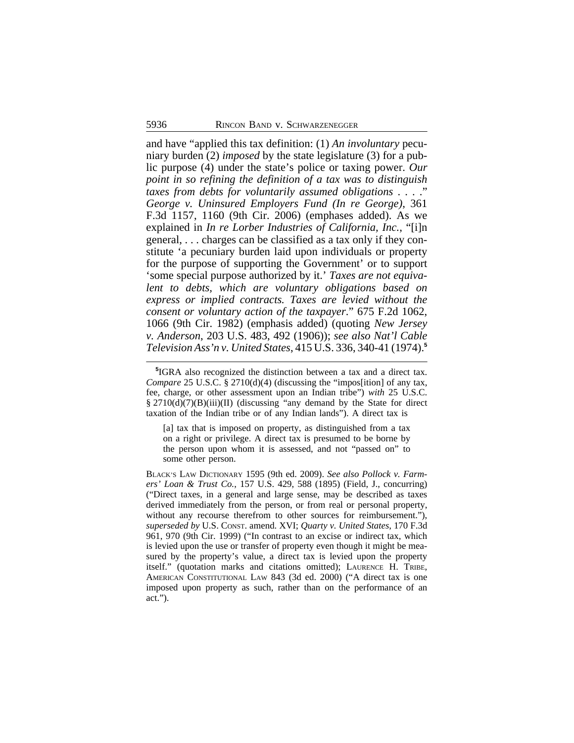and have "applied this tax definition: (1) *An involuntary* pecuniary burden (2) *imposed* by the state legislature (3) for a public purpose (4) under the state's police or taxing power. *Our point in so refining the definition of a tax was to distinguish taxes from debts for voluntarily assumed obligations* . . . ." *George v. Uninsured Employers Fund (In re George)*, 361 F.3d 1157, 1160 (9th Cir. 2006) (emphases added). As we explained in *In re Lorber Industries of California, Inc.*, "[i]n general, . . . charges can be classified as a tax only if they constitute 'a pecuniary burden laid upon individuals or property for the purpose of supporting the Government' or to support 'some special purpose authorized by it.' *Taxes are not equivalent to debts, which are voluntary obligations based on express or implied contracts. Taxes are levied without the consent or voluntary action of the taxpayer*." 675 F.2d 1062, 1066 (9th Cir. 1982) (emphasis added) (quoting *New Jersey v. Anderson*, 203 U.S. 483, 492 (1906)); *see also Nat'l Cable Television Ass'n v. United States*, 415 U.S. 336, 340-41 (1974).**<sup>5</sup>**

[a] tax that is imposed on property, as distinguished from a tax on a right or privilege. A direct tax is presumed to be borne by the person upon whom it is assessed, and not "passed on" to some other person.

BLACK'S LAW DICTIONARY 1595 (9th ed. 2009). *See also Pollock v. Farmers' Loan & Trust Co.*, 157 U.S. 429, 588 (1895) (Field, J., concurring) ("Direct taxes, in a general and large sense, may be described as taxes derived immediately from the person, or from real or personal property, without any recourse therefrom to other sources for reimbursement."), *superseded by* U.S. CONST. amend. XVI; *Quarty v. United States*, 170 F.3d 961, 970 (9th Cir. 1999) ("In contrast to an excise or indirect tax, which is levied upon the use or transfer of property even though it might be measured by the property's value, a direct tax is levied upon the property itself." (quotation marks and citations omitted); LAURENCE H. TRIBE, AMERICAN CONSTITUTIONAL LAW 843 (3d ed. 2000) ("A direct tax is one imposed upon property as such, rather than on the performance of an act.").

**<sup>5</sup>** IGRA also recognized the distinction between a tax and a direct tax. *Compare* 25 U.S.C. § 2710(d)(4) (discussing the "impos[ition] of any tax, fee, charge, or other assessment upon an Indian tribe") *with* 25 U.S.C. § 2710(d)(7)(B)(iii)(II) (discussing "any demand by the State for direct taxation of the Indian tribe or of any Indian lands"). A direct tax is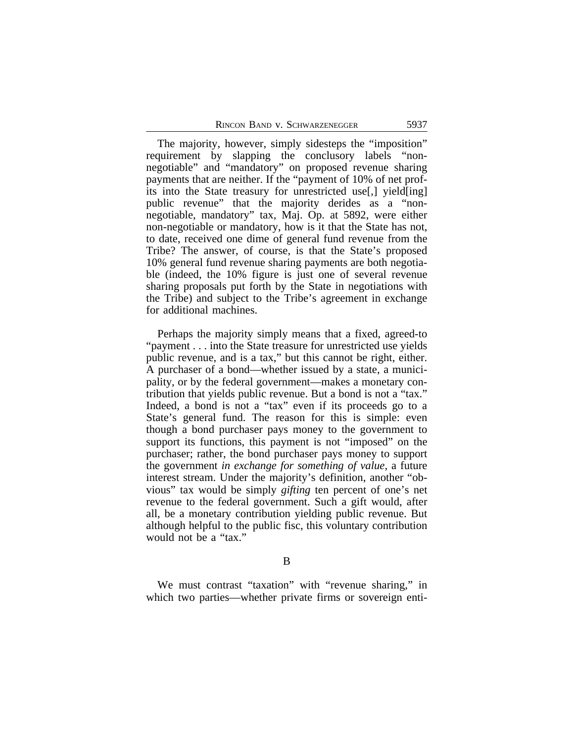The majority, however, simply sidesteps the "imposition" requirement by slapping the conclusory labels "nonnegotiable" and "mandatory" on proposed revenue sharing payments that are neither. If the "payment of 10% of net profits into the State treasury for unrestricted use[,] yield[ing] public revenue" that the majority derides as a "nonnegotiable, mandatory" tax, Maj. Op. at 5892, were either non-negotiable or mandatory, how is it that the State has not, to date, received one dime of general fund revenue from the Tribe? The answer, of course, is that the State's proposed 10% general fund revenue sharing payments are both negotiable (indeed, the 10% figure is just one of several revenue sharing proposals put forth by the State in negotiations with the Tribe) and subject to the Tribe's agreement in exchange for additional machines.

Perhaps the majority simply means that a fixed, agreed-to "payment . . . into the State treasure for unrestricted use yields public revenue, and is a tax," but this cannot be right, either. A purchaser of a bond—whether issued by a state, a municipality, or by the federal government—makes a monetary contribution that yields public revenue. But a bond is not a "tax." Indeed, a bond is not a "tax" even if its proceeds go to a State's general fund. The reason for this is simple: even though a bond purchaser pays money to the government to support its functions, this payment is not "imposed" on the purchaser; rather, the bond purchaser pays money to support the government *in exchange for something of value*, a future interest stream. Under the majority's definition, another "obvious" tax would be simply *gifting* ten percent of one's net revenue to the federal government. Such a gift would, after all, be a monetary contribution yielding public revenue. But although helpful to the public fisc, this voluntary contribution would not be a "tax."

We must contrast "taxation" with "revenue sharing," in which two parties—whether private firms or sovereign enti-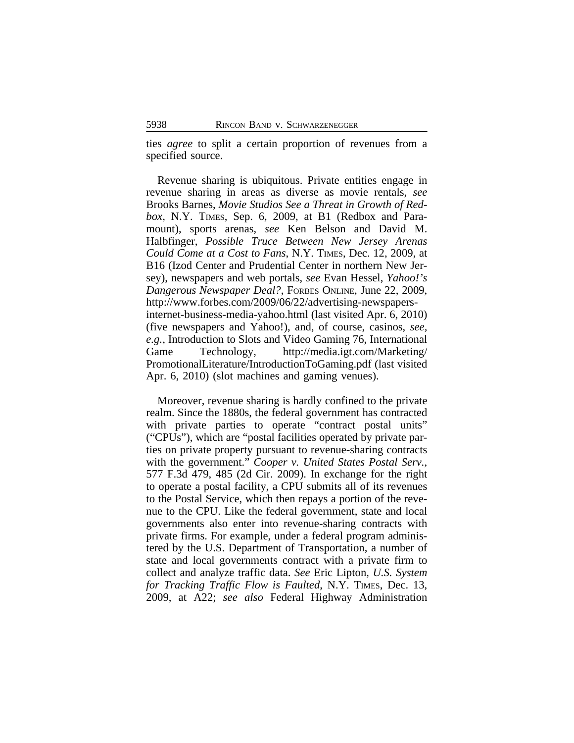ties *agree* to split a certain proportion of revenues from a specified source.

Revenue sharing is ubiquitous. Private entities engage in revenue sharing in areas as diverse as movie rentals, *see* Brooks Barnes, *Movie Studios See a Threat in Growth of Redbox*, N.Y. TIMES, Sep. 6, 2009, at B1 (Redbox and Paramount), sports arenas, *see* Ken Belson and David M. Halbfinger, *Possible Truce Between New Jersey Arenas Could Come at a Cost to Fans*, N.Y. TIMES, Dec. 12, 2009, at B16 (Izod Center and Prudential Center in northern New Jersey), newspapers and web portals, *see* Evan Hessel, *Yahoo!'s Dangerous Newspaper Deal?*, FORBES ONLINE, June 22, 2009, http://www.forbes.com/2009/06/22/advertising-newspapersinternet-business-media-yahoo.html (last visited Apr. 6, 2010) (five newspapers and Yahoo!), and, of course, casinos, *see, e.g.,* Introduction to Slots and Video Gaming 76, International Game Technology, http://media.igt.com/Marketing/ PromotionalLiterature/IntroductionToGaming.pdf (last visited Apr. 6, 2010) (slot machines and gaming venues).

Moreover, revenue sharing is hardly confined to the private realm. Since the 1880s, the federal government has contracted with private parties to operate "contract postal units" ("CPUs"), which are "postal facilities operated by private parties on private property pursuant to revenue-sharing contracts with the government." *Cooper v. United States Postal Serv.*, 577 F.3d 479, 485 (2d Cir. 2009). In exchange for the right to operate a postal facility, a CPU submits all of its revenues to the Postal Service, which then repays a portion of the revenue to the CPU. Like the federal government, state and local governments also enter into revenue-sharing contracts with private firms. For example, under a federal program administered by the U.S. Department of Transportation, a number of state and local governments contract with a private firm to collect and analyze traffic data. *See* Eric Lipton*, U.S. System for Tracking Traffic Flow is Faulted*, N.Y. TIMES, Dec. 13, 2009, at A22; *see also* Federal Highway Administration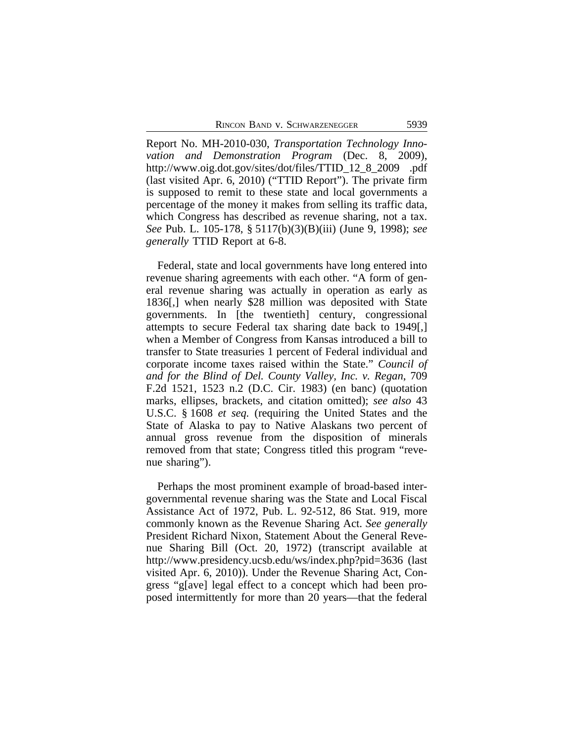Report No. MH-2010-030, *Transportation Technology Innovation and Demonstration Program* (Dec. 8, 2009), http://www.oig.dot.gov/sites/dot/files/TTID\_12\_8\_2009 .pdf (last visited Apr. 6, 2010) ("TTID Report"). The private firm is supposed to remit to these state and local governments a percentage of the money it makes from selling its traffic data, which Congress has described as revenue sharing, not a tax. *See* Pub. L. 105-178, § 5117(b)(3)(B)(iii) (June 9, 1998); *see generally* TTID Report at 6-8.

Federal, state and local governments have long entered into revenue sharing agreements with each other. "A form of general revenue sharing was actually in operation as early as 1836[,] when nearly \$28 million was deposited with State governments. In [the twentieth] century, congressional attempts to secure Federal tax sharing date back to 1949[,] when a Member of Congress from Kansas introduced a bill to transfer to State treasuries 1 percent of Federal individual and corporate income taxes raised within the State." *Council of and for the Blind of Del. County Valley, Inc. v. Regan*, 709 F.2d 1521, 1523 n.2 (D.C. Cir. 1983) (en banc) (quotation marks, ellipses, brackets, and citation omitted); *see also* 43 U.S.C. § 1608 *et seq.* (requiring the United States and the State of Alaska to pay to Native Alaskans two percent of annual gross revenue from the disposition of minerals removed from that state; Congress titled this program "revenue sharing").

Perhaps the most prominent example of broad-based intergovernmental revenue sharing was the State and Local Fiscal Assistance Act of 1972, Pub. L. 92-512, 86 Stat. 919, more commonly known as the Revenue Sharing Act. *See generally* President Richard Nixon, Statement About the General Revenue Sharing Bill (Oct. 20, 1972) (transcript available at http://www.presidency.ucsb.edu/ws/index.php?pid=3636 (last visited Apr. 6, 2010)). Under the Revenue Sharing Act, Congress "g[ave] legal effect to a concept which had been proposed intermittently for more than 20 years—that the federal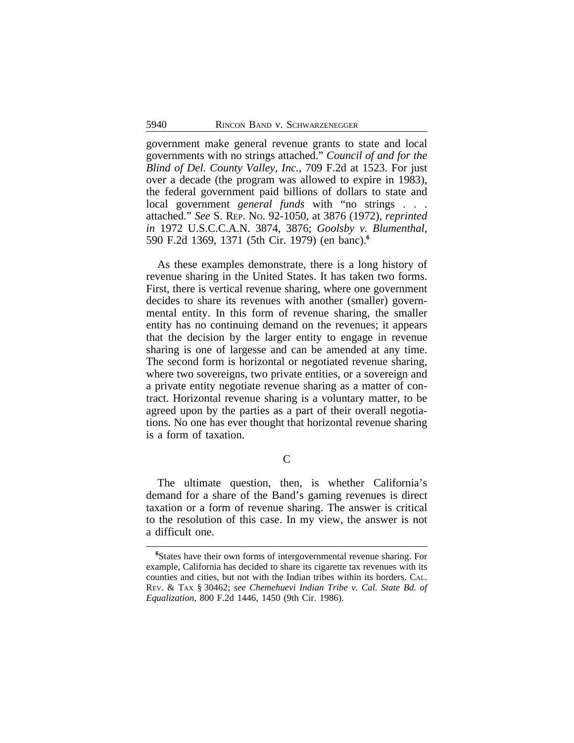government make general revenue grants to state and local governments with no strings attached." *Council of and for the Blind of Del. County Valley, Inc.*, 709 F.2d at 1523. For just over a decade (the program was allowed to expire in 1983), the federal government paid billions of dollars to state and local government *general funds* with "no strings . . . attached." *See* S. REP. NO. 92-1050, at 3876 (1972), *reprinted in* 1972 U.S.C.C.A.N. 3874, 3876; *Goolsby v. Blumenthal*, 590 F.2d 1369, 1371 (5th Cir. 1979) (en banc).**<sup>6</sup>**

As these examples demonstrate, there is a long history of revenue sharing in the United States. It has taken two forms. First, there is vertical revenue sharing, where one government decides to share its revenues with another (smaller) governmental entity. In this form of revenue sharing, the smaller entity has no continuing demand on the revenues; it appears that the decision by the larger entity to engage in revenue sharing is one of largesse and can be amended at any time. The second form is horizontal or negotiated revenue sharing, where two sovereigns, two private entities, or a sovereign and a private entity negotiate revenue sharing as a matter of contract. Horizontal revenue sharing is a voluntary matter, to be agreed upon by the parties as a part of their overall negotiations. No one has ever thought that horizontal revenue sharing is a form of taxation.

C

The ultimate question, then, is whether California's demand for a share of the Band's gaming revenues is direct taxation or a form of revenue sharing. The answer is critical to the resolution of this case. In my view, the answer is not a difficult one.

**<sup>6</sup>**States have their own forms of intergovernmental revenue sharing. For example, California has decided to share its cigarette tax revenues with its counties and cities, but not with the Indian tribes within its borders. CAL. REV. & TAX § 30462; *see Chemehuevi Indian Tribe v. Cal. State Bd. of Equalization*, 800 F.2d 1446, 1450 (9th Cir. 1986).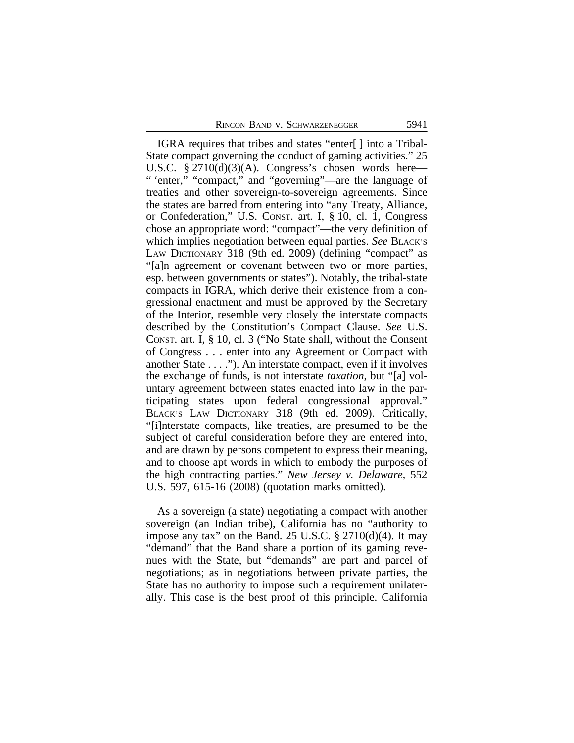IGRA requires that tribes and states "enter[ ] into a Tribal-State compact governing the conduct of gaming activities." 25 U.S.C.  $\S 2710(d)(3)(A)$ . Congress's chosen words here— " 'enter," "compact," and "governing"—are the language of treaties and other sovereign-to-sovereign agreements. Since the states are barred from entering into "any Treaty, Alliance, or Confederation," U.S. CONST. art. I, § 10, cl. 1, Congress chose an appropriate word: "compact"—the very definition of which implies negotiation between equal parties. *See* BLACK'S LAW DICTIONARY 318 (9th ed. 2009) (defining "compact" as "[a]n agreement or covenant between two or more parties, esp. between governments or states"). Notably, the tribal-state compacts in IGRA, which derive their existence from a congressional enactment and must be approved by the Secretary of the Interior, resemble very closely the interstate compacts described by the Constitution's Compact Clause. *See* U.S. CONST. art. I, § 10, cl. 3 ("No State shall, without the Consent of Congress . . . enter into any Agreement or Compact with another State . . . ."). An interstate compact, even if it involves the exchange of funds, is not interstate *taxation*, but "[a] voluntary agreement between states enacted into law in the participating states upon federal congressional approval." BLACK'S LAW DICTIONARY 318 (9th ed. 2009). Critically, "[i]nterstate compacts, like treaties, are presumed to be the subject of careful consideration before they are entered into, and are drawn by persons competent to express their meaning, and to choose apt words in which to embody the purposes of the high contracting parties." *New Jersey v. Delaware*, 552 U.S. 597, 615-16 (2008) (quotation marks omitted).

As a sovereign (a state) negotiating a compact with another sovereign (an Indian tribe), California has no "authority to impose any tax" on the Band. 25 U.S.C.  $\S 2710(d)(4)$ . It may "demand" that the Band share a portion of its gaming revenues with the State, but "demands" are part and parcel of negotiations; as in negotiations between private parties, the State has no authority to impose such a requirement unilaterally. This case is the best proof of this principle. California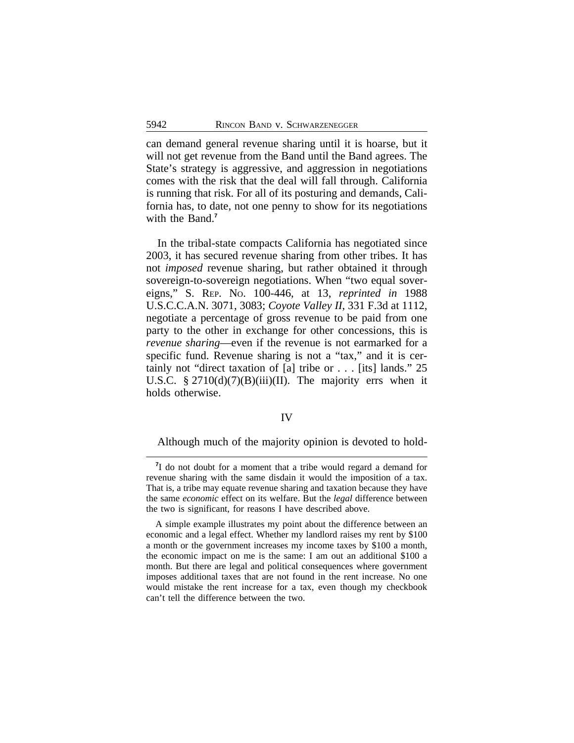can demand general revenue sharing until it is hoarse, but it will not get revenue from the Band until the Band agrees. The State's strategy is aggressive, and aggression in negotiations comes with the risk that the deal will fall through. California is running that risk. For all of its posturing and demands, California has, to date, not one penny to show for its negotiations with the Band.<sup>7</sup>

In the tribal-state compacts California has negotiated since 2003, it has secured revenue sharing from other tribes. It has not *imposed* revenue sharing, but rather obtained it through sovereign-to-sovereign negotiations. When "two equal sovereigns," S. REP. NO. 100-446, at 13, *reprinted in* 1988 U.S.C.C.A.N. 3071, 3083; *Coyote Valley II*, 331 F.3d at 1112, negotiate a percentage of gross revenue to be paid from one party to the other in exchange for other concessions, this is *revenue sharing*—even if the revenue is not earmarked for a specific fund. Revenue sharing is not a "tax," and it is certainly not "direct taxation of [a] tribe or . . . [its] lands." 25 U.S.C.  $\S 2710(d)(7)(B)(iii)(II)$ . The majority errs when it holds otherwise.

### IV

Although much of the majority opinion is devoted to hold-

<sup>&</sup>lt;sup>7</sup>I do not doubt for a moment that a tribe would regard a demand for revenue sharing with the same disdain it would the imposition of a tax. That is, a tribe may equate revenue sharing and taxation because they have the same *economic* effect on its welfare. But the *legal* difference between the two is significant, for reasons I have described above.

A simple example illustrates my point about the difference between an economic and a legal effect. Whether my landlord raises my rent by \$100 a month or the government increases my income taxes by \$100 a month, the economic impact on me is the same: I am out an additional \$100 a month. But there are legal and political consequences where government imposes additional taxes that are not found in the rent increase. No one would mistake the rent increase for a tax, even though my checkbook can't tell the difference between the two.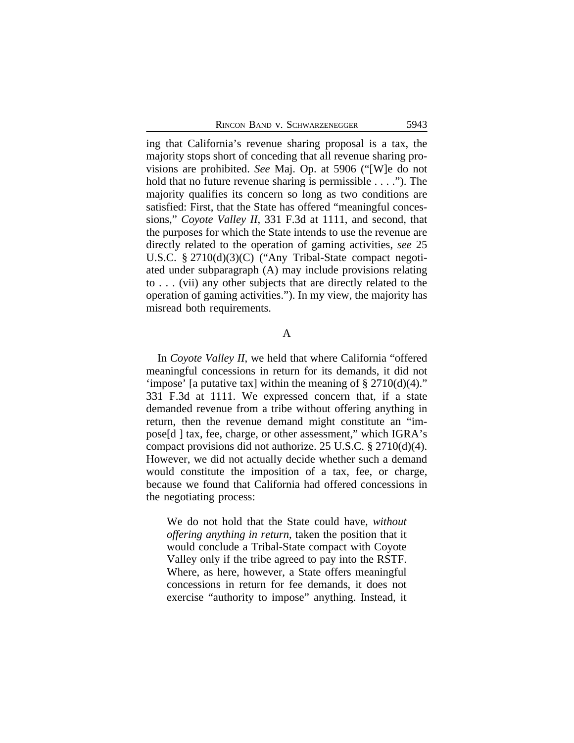ing that California's revenue sharing proposal is a tax, the majority stops short of conceding that all revenue sharing provisions are prohibited. *See* Maj. Op. at 5906 ("[W]e do not hold that no future revenue sharing is permissible . . . ."). The majority qualifies its concern so long as two conditions are satisfied: First, that the State has offered "meaningful concessions," *Coyote Valley II*, 331 F.3d at 1111, and second, that the purposes for which the State intends to use the revenue are directly related to the operation of gaming activities, *see* 25 U.S.C. § 2710(d)(3)(C) ("Any Tribal-State compact negotiated under subparagraph (A) may include provisions relating to . . . (vii) any other subjects that are directly related to the operation of gaming activities."). In my view, the majority has misread both requirements.

## A

In *Coyote Valley II*, we held that where California "offered meaningful concessions in return for its demands, it did not 'impose' [a putative tax] within the meaning of  $\S 2710(d)(4)$ ." 331 F.3d at 1111. We expressed concern that, if a state demanded revenue from a tribe without offering anything in return, then the revenue demand might constitute an "impose[d ] tax, fee, charge, or other assessment," which IGRA's compact provisions did not authorize. 25 U.S.C. § 2710(d)(4). However, we did not actually decide whether such a demand would constitute the imposition of a tax, fee, or charge, because we found that California had offered concessions in the negotiating process:

We do not hold that the State could have, *without offering anything in return*, taken the position that it would conclude a Tribal-State compact with Coyote Valley only if the tribe agreed to pay into the RSTF. Where, as here, however, a State offers meaningful concessions in return for fee demands, it does not exercise "authority to impose" anything. Instead, it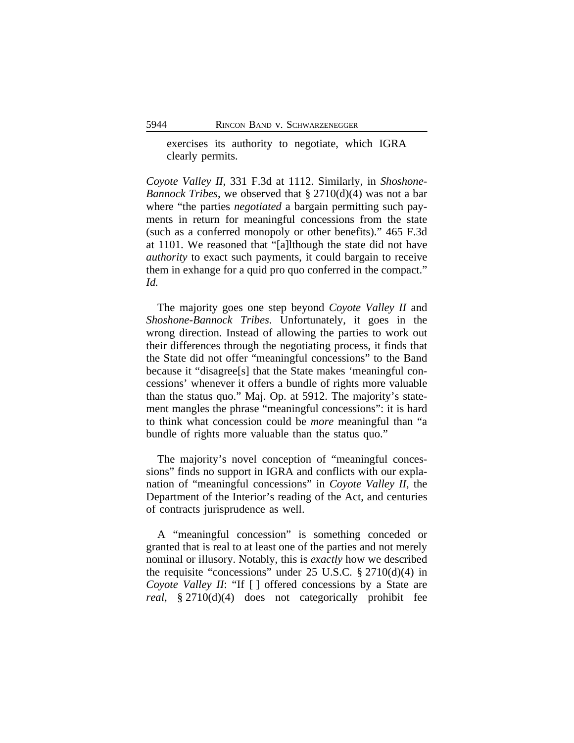exercises its authority to negotiate, which IGRA clearly permits.

*Coyote Valley II*, 331 F.3d at 1112. Similarly, in *Shoshone-Bannock Tribes*, we observed that § 2710(d)(4) was not a bar where "the parties *negotiated* a bargain permitting such payments in return for meaningful concessions from the state (such as a conferred monopoly or other benefits)." 465 F.3d at 1101. We reasoned that "[a]lthough the state did not have *authority* to exact such payments, it could bargain to receive them in exhange for a quid pro quo conferred in the compact." *Id.*

The majority goes one step beyond *Coyote Valley II* and *Shoshone-Bannock Tribes*. Unfortunately, it goes in the wrong direction. Instead of allowing the parties to work out their differences through the negotiating process, it finds that the State did not offer "meaningful concessions" to the Band because it "disagree[s] that the State makes 'meaningful concessions' whenever it offers a bundle of rights more valuable than the status quo." Maj. Op. at 5912. The majority's statement mangles the phrase "meaningful concessions": it is hard to think what concession could be *more* meaningful than "a bundle of rights more valuable than the status quo."

The majority's novel conception of "meaningful concessions" finds no support in IGRA and conflicts with our explanation of "meaningful concessions" in *Coyote Valley II*, the Department of the Interior's reading of the Act, and centuries of contracts jurisprudence as well.

A "meaningful concession" is something conceded or granted that is real to at least one of the parties and not merely nominal or illusory. Notably, this is *exactly* how we described the requisite "concessions" under  $25 \text{ U.S.C. }$  \$  $2710(d)(4)$  in *Coyote Valley II*: "If [ ] offered concessions by a State are *real*, § 2710(d)(4) does not categorically prohibit fee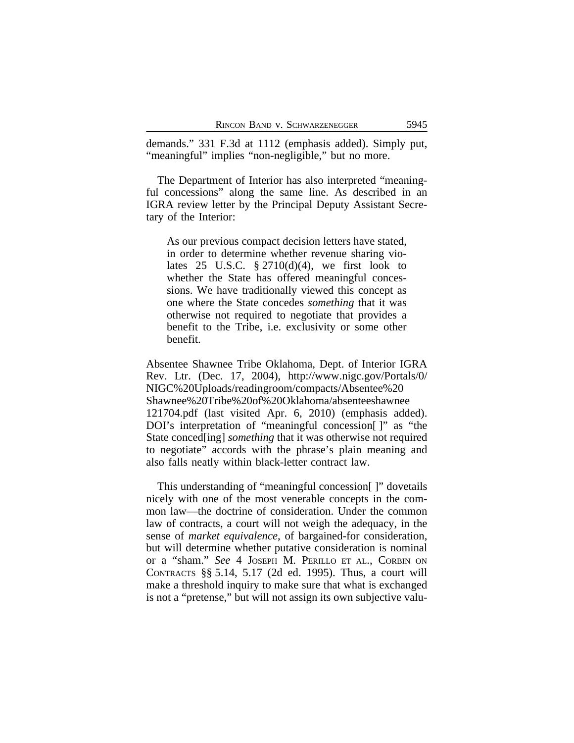demands." 331 F.3d at 1112 (emphasis added). Simply put, "meaningful" implies "non-negligible," but no more.

The Department of Interior has also interpreted "meaningful concessions" along the same line. As described in an IGRA review letter by the Principal Deputy Assistant Secretary of the Interior:

As our previous compact decision letters have stated, in order to determine whether revenue sharing violates 25 U.S.C.  $\S 2710(d)(4)$ , we first look to whether the State has offered meaningful concessions. We have traditionally viewed this concept as one where the State concedes *something* that it was otherwise not required to negotiate that provides a benefit to the Tribe, i.e. exclusivity or some other benefit.

Absentee Shawnee Tribe Oklahoma, Dept. of Interior IGRA Rev. Ltr. (Dec. 17, 2004), http://www.nigc.gov/Portals/0/ NIGC%20Uploads/readingroom/compacts/Absentee%20 Shawnee%20Tribe%20of%20Oklahoma/absenteeshawnee 121704.pdf (last visited Apr. 6, 2010) (emphasis added). DOI's interpretation of "meaningful concession[ ]" as "the State conced[ing] *something* that it was otherwise not required to negotiate" accords with the phrase's plain meaning and also falls neatly within black-letter contract law.

This understanding of "meaningful concession[ ]" dovetails nicely with one of the most venerable concepts in the common law—the doctrine of consideration. Under the common law of contracts, a court will not weigh the adequacy, in the sense of *market equivalence*, of bargained-for consideration, but will determine whether putative consideration is nominal or a "sham." *See* 4 JOSEPH M. PERILLO ET AL., CORBIN ON CONTRACTS §§ 5.14, 5.17 (2d ed. 1995). Thus, a court will make a threshold inquiry to make sure that what is exchanged is not a "pretense," but will not assign its own subjective valu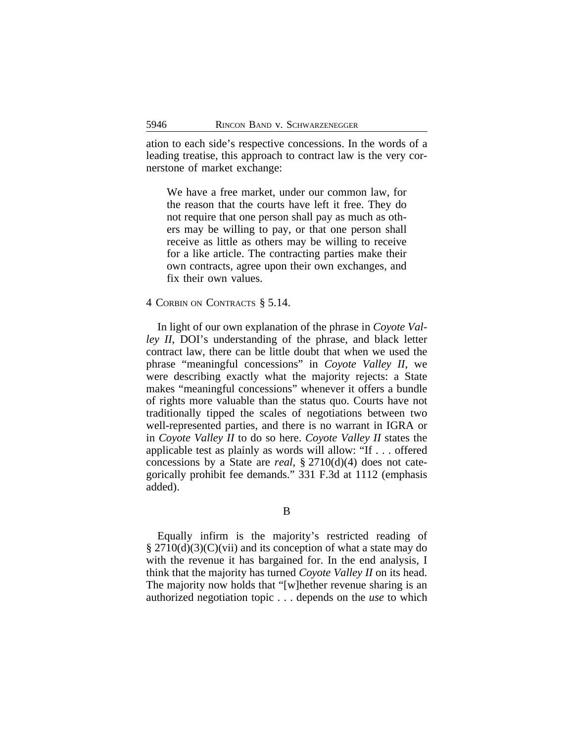ation to each side's respective concessions. In the words of a leading treatise, this approach to contract law is the very cornerstone of market exchange:

We have a free market, under our common law, for the reason that the courts have left it free. They do not require that one person shall pay as much as others may be willing to pay, or that one person shall receive as little as others may be willing to receive for a like article. The contracting parties make their own contracts, agree upon their own exchanges, and fix their own values.

### 4 CORBIN ON CONTRACTS § 5.14.

In light of our own explanation of the phrase in *Coyote Valley II*, DOI's understanding of the phrase, and black letter contract law, there can be little doubt that when we used the phrase "meaningful concessions" in *Coyote Valley II*, we were describing exactly what the majority rejects: a State makes "meaningful concessions" whenever it offers a bundle of rights more valuable than the status quo. Courts have not traditionally tipped the scales of negotiations between two well-represented parties, and there is no warrant in IGRA or in *Coyote Valley II* to do so here. *Coyote Valley II* states the applicable test as plainly as words will allow: "If . . . offered concessions by a State are *real*, § 2710(d)(4) does not categorically prohibit fee demands." 331 F.3d at 1112 (emphasis added).

B

Equally infirm is the majority's restricted reading of  $\S 2710(d)(3)(C)(vii)$  and its conception of what a state may do with the revenue it has bargained for. In the end analysis, I think that the majority has turned *Coyote Valley II* on its head. The majority now holds that "[w]hether revenue sharing is an authorized negotiation topic . . . depends on the *use* to which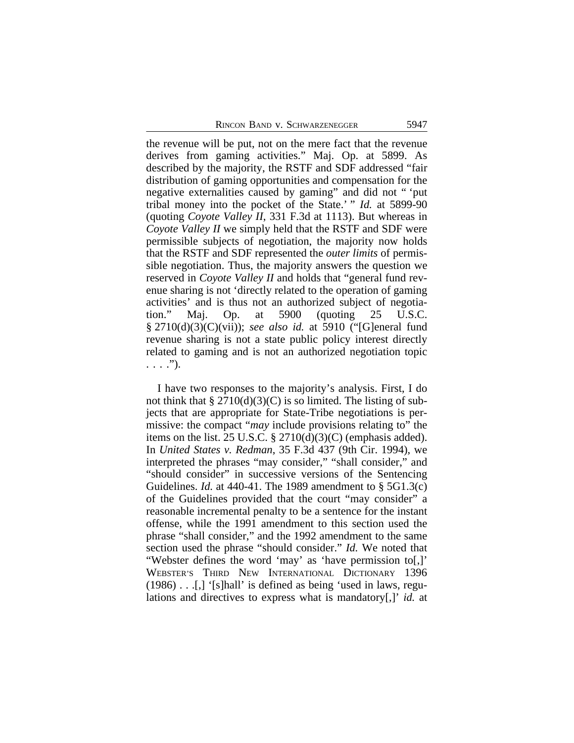the revenue will be put, not on the mere fact that the revenue derives from gaming activities." Maj. Op. at 5899. As described by the majority, the RSTF and SDF addressed "fair distribution of gaming opportunities and compensation for the negative externalities caused by gaming" and did not " 'put tribal money into the pocket of the State.' " *Id.* at 5899-90 (quoting *Coyote Valley II*, 331 F.3d at 1113). But whereas in *Coyote Valley II* we simply held that the RSTF and SDF were permissible subjects of negotiation, the majority now holds that the RSTF and SDF represented the *outer limits* of permissible negotiation. Thus, the majority answers the question we reserved in *Coyote Valley II* and holds that "general fund revenue sharing is not 'directly related to the operation of gaming activities' and is thus not an authorized subject of negotiation." Maj. Op. at 5900 (quoting 25 U.S.C. § 2710(d)(3)(C)(vii)); *see also id.* at 5910 ("[G]eneral fund revenue sharing is not a state public policy interest directly related to gaming and is not an authorized negotiation topic  $\ldots$  .").

I have two responses to the majority's analysis. First, I do not think that  $\S 2710(d)(3)(C)$  is so limited. The listing of subjects that are appropriate for State-Tribe negotiations is permissive: the compact "*may* include provisions relating to" the items on the list. 25 U.S.C.  $\S 2710(d)(3)(C)$  (emphasis added). In *United States v. Redman*, 35 F.3d 437 (9th Cir. 1994), we interpreted the phrases "may consider," "shall consider," and "should consider" in successive versions of the Sentencing Guidelines. *Id.* at 440-41. The 1989 amendment to § 5G1.3(c) of the Guidelines provided that the court "may consider" a reasonable incremental penalty to be a sentence for the instant offense, while the 1991 amendment to this section used the phrase "shall consider," and the 1992 amendment to the same section used the phrase "should consider." *Id.* We noted that "Webster defines the word 'may' as 'have permission to[,]' WEBSTER'S THIRD NEW INTERNATIONAL DICTIONARY 1396 (1986) . . .[,] '[s]hall' is defined as being 'used in laws, regulations and directives to express what is mandatory[,]' *id.* at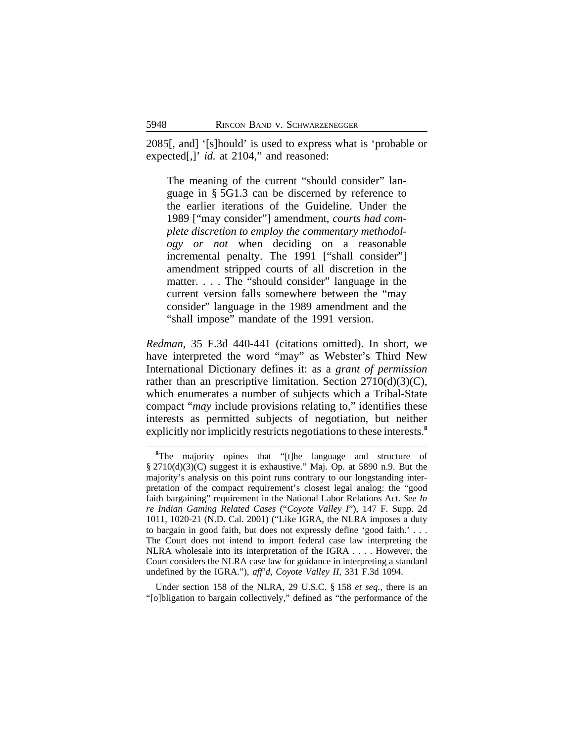2085[, and] '[s]hould' is used to express what is 'probable or expected<sup>[1,]</sup> *id.* at 2104," and reasoned:

The meaning of the current "should consider" language in § 5G1.3 can be discerned by reference to the earlier iterations of the Guideline. Under the 1989 ["may consider"] amendment, *courts had complete discretion to employ the commentary methodology or not* when deciding on a reasonable incremental penalty. The 1991 ["shall consider"] amendment stripped courts of all discretion in the matter. . . . The "should consider" language in the current version falls somewhere between the "may consider" language in the 1989 amendment and the "shall impose" mandate of the 1991 version.

*Redman*, 35 F.3d 440-441 (citations omitted). In short, we have interpreted the word "may" as Webster's Third New International Dictionary defines it: as a *grant of permission* rather than an prescriptive limitation. Section  $2710(d)(3)(C)$ , which enumerates a number of subjects which a Tribal-State compact "*may* include provisions relating to," identifies these interests as permitted subjects of negotiation, but neither explicitly nor implicitly restricts negotiations to these interests.**<sup>8</sup>**

Under section 158 of the NLRA, 29 U.S.C. § 158 *et seq.*, there is an "[o]bligation to bargain collectively," defined as "the performance of the

<sup>&</sup>lt;sup>8</sup>The majority opines that "[t]he language and structure of § 2710(d)(3)(C) suggest it is exhaustive." Maj. Op. at 5890 n.9. But the majority's analysis on this point runs contrary to our longstanding interpretation of the compact requirement's closest legal analog: the "good faith bargaining" requirement in the National Labor Relations Act. *See In re Indian Gaming Related Cases* ("*Coyote Valley I*"), 147 F. Supp. 2d 1011, 1020-21 (N.D. Cal. 2001) ("Like IGRA, the NLRA imposes a duty to bargain in good faith, but does not expressly define 'good faith.' . . . The Court does not intend to import federal case law interpreting the NLRA wholesale into its interpretation of the IGRA . . . . However, the Court considers the NLRA case law for guidance in interpreting a standard undefined by the IGRA."), *aff'd*, *Coyote Valley II*, 331 F.3d 1094.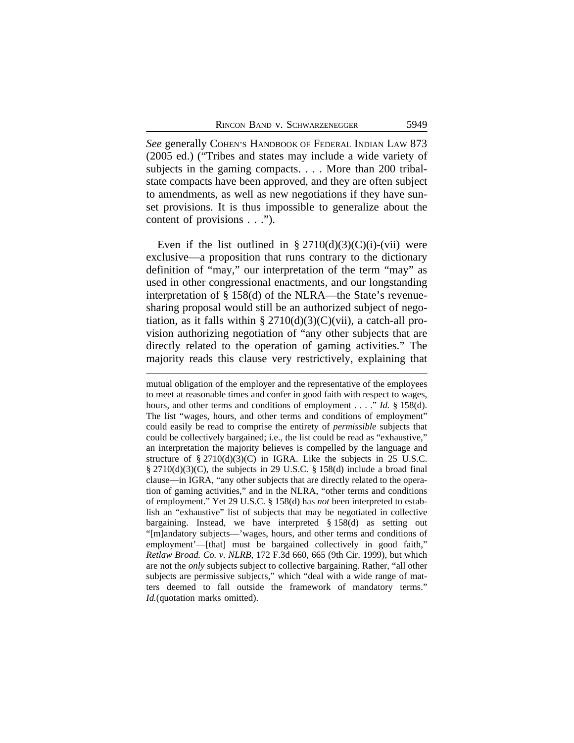*See* generally COHEN'S HANDBOOK OF FEDERAL INDIAN LAW 873 (2005 ed.) ("Tribes and states may include a wide variety of subjects in the gaming compacts. . . . More than 200 tribalstate compacts have been approved, and they are often subject to amendments, as well as new negotiations if they have sunset provisions. It is thus impossible to generalize about the content of provisions . . .").

Even if the list outlined in §  $2710(d)(3)(C)(i)$ -(vii) were exclusive—a proposition that runs contrary to the dictionary definition of "may," our interpretation of the term "may" as used in other congressional enactments, and our longstanding interpretation of § 158(d) of the NLRA—the State's revenuesharing proposal would still be an authorized subject of negotiation, as it falls within  $\S 2710(d)(3)(C)(vii)$ , a catch-all provision authorizing negotiation of "any other subjects that are directly related to the operation of gaming activities." The majority reads this clause very restrictively, explaining that

mutual obligation of the employer and the representative of the employees to meet at reasonable times and confer in good faith with respect to wages, hours, and other terms and conditions of employment . . . ." *Id.* § 158(d). The list "wages, hours, and other terms and conditions of employment" could easily be read to comprise the entirety of *permissible* subjects that could be collectively bargained; i.e., the list could be read as "exhaustive," an interpretation the majority believes is compelled by the language and structure of § 2710(d)(3)(C) in IGRA. Like the subjects in 25 U.S.C. § 2710(d)(3)(C), the subjects in 29 U.S.C. § 158(d) include a broad final clause—in IGRA, "any other subjects that are directly related to the operation of gaming activities," and in the NLRA, "other terms and conditions of employment." Yet 29 U.S.C. § 158(d) has *not* been interpreted to establish an "exhaustive" list of subjects that may be negotiated in collective bargaining. Instead, we have interpreted § 158(d) as setting out "[m]andatory subjects—'wages, hours, and other terms and conditions of employment'—[that] must be bargained collectively in good faith," *Retlaw Broad. Co. v. NLRB*, 172 F.3d 660, 665 (9th Cir. 1999), but which are not the *only* subjects subject to collective bargaining. Rather, "all other subjects are permissive subjects," which "deal with a wide range of matters deemed to fall outside the framework of mandatory terms." *Id.*(quotation marks omitted).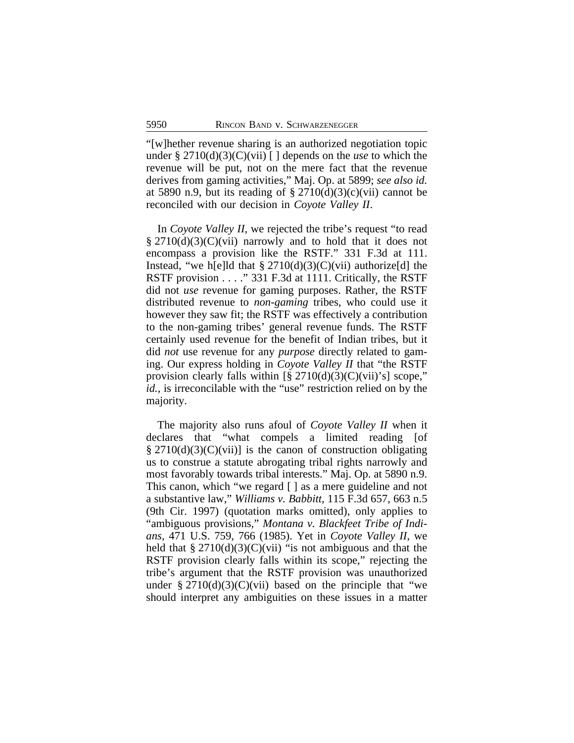"[w]hether revenue sharing is an authorized negotiation topic under § 2710(d)(3)(C)(vii) [ ] depends on the *use* to which the revenue will be put, not on the mere fact that the revenue derives from gaming activities," Maj. Op. at 5899; *see also id.* at 5890 n.9, but its reading of  $\S 2710(d)(3)(c)(vii)$  cannot be reconciled with our decision in *Coyote Valley II*.

In *Coyote Valley II*, we rejected the tribe's request "to read  $\S 2710(d)(3)(C)(vii)$  narrowly and to hold that it does not encompass a provision like the RSTF." 331 F.3d at 111. Instead, "we h[e]ld that  $\S 2710(d)(3)(C)(vii)$  authorize[d] the RSTF provision . . . . " 331 F.3d at 1111. Critically, the RSTF did not *use* revenue for gaming purposes. Rather, the RSTF distributed revenue to *non-gaming* tribes, who could use it however they saw fit; the RSTF was effectively a contribution to the non-gaming tribes' general revenue funds. The RSTF certainly used revenue for the benefit of Indian tribes, but it did *not* use revenue for any *purpose* directly related to gaming. Our express holding in *Coyote Valley II* that "the RSTF provision clearly falls within  $[\S 2710(d)(3)(C)(vii)$ 's] scope," *id.*, is irreconcilable with the "use" restriction relied on by the majority.

The majority also runs afoul of *Coyote Valley II* when it declares that "what compels a limited reading [of § 2710(d)(3)(C)(vii)] is the canon of construction obligating us to construe a statute abrogating tribal rights narrowly and most favorably towards tribal interests." Maj. Op. at 5890 n.9. This canon, which "we regard [ ] as a mere guideline and not a substantive law," *Williams v. Babbitt*, 115 F.3d 657, 663 n.5 (9th Cir. 1997) (quotation marks omitted), only applies to "ambiguous provisions," *Montana v. Blackfeet Tribe of Indians*, 471 U.S. 759, 766 (1985). Yet in *Coyote Valley II*, we held that  $\S 2710(d)(3)(C)(vii)$  "is not ambiguous and that the RSTF provision clearly falls within its scope," rejecting the tribe's argument that the RSTF provision was unauthorized under  $\S 2710(d)(3)(C)(vii)$  based on the principle that "we should interpret any ambiguities on these issues in a matter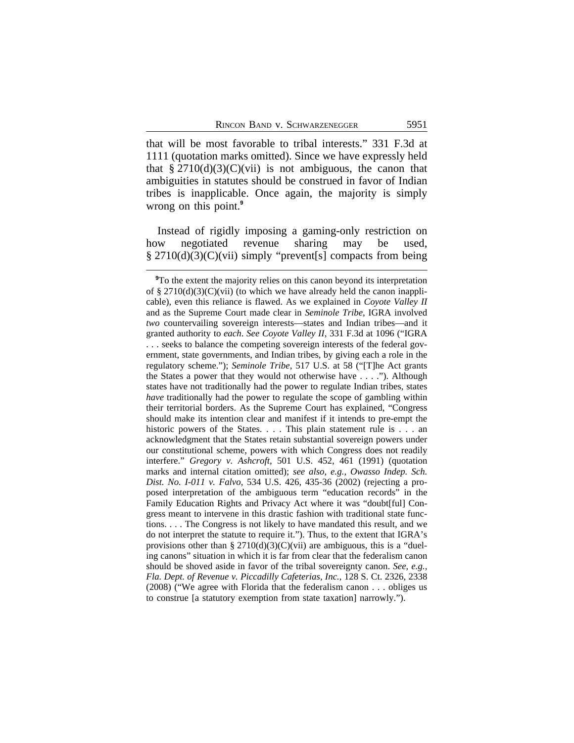that will be most favorable to tribal interests." 331 F.3d at 1111 (quotation marks omitted). Since we have expressly held that  $\S 2710(d)(3)(C)(vii)$  is not ambiguous, the canon that ambiguities in statutes should be construed in favor of Indian tribes is inapplicable. Once again, the majority is simply wrong on this point.**<sup>9</sup>**

Instead of rigidly imposing a gaming-only restriction on how negotiated revenue sharing may be used, § 2710(d)(3)(C)(vii) simply "prevent[s] compacts from being

**<sup>9</sup>**To the extent the majority relies on this canon beyond its interpretation of § 2710(d)(3)(C)(vii) (to which we have already held the canon inapplicable), even this reliance is flawed. As we explained in *Coyote Valley II* and as the Supreme Court made clear in *Seminole Tribe*, IGRA involved *two* countervailing sovereign interests—states and Indian tribes—and it granted authority to *each*. *See Coyote Valley II*, 331 F.3d at 1096 ("IGRA . . . seeks to balance the competing sovereign interests of the federal government, state governments, and Indian tribes, by giving each a role in the regulatory scheme."); *Seminole Tribe*, 517 U.S. at 58 ("[T]he Act grants the States a power that they would not otherwise have . . . ."). Although states have not traditionally had the power to regulate Indian tribes, states *have* traditionally had the power to regulate the scope of gambling within their territorial borders. As the Supreme Court has explained, "Congress should make its intention clear and manifest if it intends to pre-empt the historic powers of the States. . . . This plain statement rule is . . . an acknowledgment that the States retain substantial sovereign powers under our constitutional scheme, powers with which Congress does not readily interfere." *Gregory v. Ashcroft*, 501 U.S. 452, 461 (1991) (quotation marks and internal citation omitted); *see also, e.g., Owasso Indep. Sch. Dist. No. I-011 v. Falvo*, 534 U.S. 426, 435-36 (2002) (rejecting a proposed interpretation of the ambiguous term "education records" in the Family Education Rights and Privacy Act where it was "doubt[ful] Congress meant to intervene in this drastic fashion with traditional state functions. . . . The Congress is not likely to have mandated this result, and we do not interpret the statute to require it."). Thus, to the extent that IGRA's provisions other than §  $2710(d)(3)(C)(vii)$  are ambiguous, this is a "dueling canons" situation in which it is far from clear that the federalism canon should be shoved aside in favor of the tribal sovereignty canon. *See, e.g., Fla. Dept. of Revenue v. Piccadilly Cafeterias, Inc.*, 128 S. Ct. 2326, 2338 (2008) ("We agree with Florida that the federalism canon . . . obliges us to construe [a statutory exemption from state taxation] narrowly.").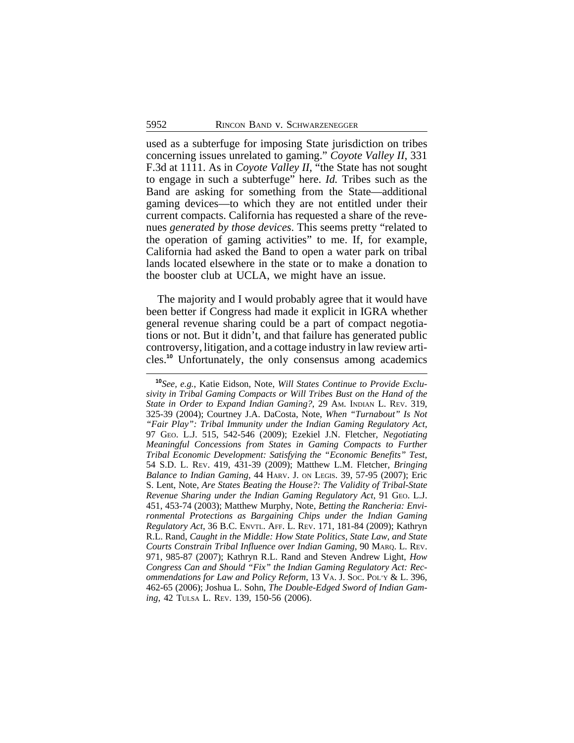used as a subterfuge for imposing State jurisdiction on tribes concerning issues unrelated to gaming." *Coyote Valley II*, 331 F.3d at 1111. As in *Coyote Valley II*, "the State has not sought to engage in such a subterfuge" here. *Id.* Tribes such as the Band are asking for something from the State—additional gaming devices—to which they are not entitled under their current compacts. California has requested a share of the revenues *generated by those devices*. This seems pretty "related to the operation of gaming activities" to me. If, for example, California had asked the Band to open a water park on tribal lands located elsewhere in the state or to make a donation to the booster club at UCLA, we might have an issue.

The majority and I would probably agree that it would have been better if Congress had made it explicit in IGRA whether general revenue sharing could be a part of compact negotiations or not. But it didn't, and that failure has generated public controversy, litigation, and a cottage industry in law review articles.**<sup>10</sup>** Unfortunately, the only consensus among academics

**<sup>10</sup>***See, e.g.*, Katie Eidson, Note, *Will States Continue to Provide Exclusivity in Tribal Gaming Compacts or Will Tribes Bust on the Hand of the State in Order to Expand Indian Gaming?*, 29 AM. INDIAN L. REV. 319, 325-39 (2004); Courtney J.A. DaCosta, Note, *When "Turnabout" Is Not "Fair Play": Tribal Immunity under the Indian Gaming Regulatory Act*, 97 GEO. L.J. 515, 542-546 (2009); Ezekiel J.N. Fletcher, *Negotiating Meaningful Concessions from States in Gaming Compacts to Further Tribal Economic Development: Satisfying the "Economic Benefits" Test*, 54 S.D. L. REV. 419, 431-39 (2009); Matthew L.M. Fletcher, *Bringing Balance to Indian Gaming*, 44 HARV. J. ON LEGIS. 39, 57-95 (2007); Eric S. Lent, Note, *Are States Beating the House?: The Validity of Tribal-State Revenue Sharing under the Indian Gaming Regulatory Act*, 91 GEO. L.J. 451, 453-74 (2003); Matthew Murphy, Note, *Betting the Rancheria: Environmental Protections as Bargaining Chips under the Indian Gaming Regulatory Act*, 36 B.C. ENVTL. AFF. L. REV. 171, 181-84 (2009); Kathryn R.L. Rand, *Caught in the Middle: How State Politics, State Law, and State Courts Constrain Tribal Influence over Indian Gaming*, 90 MARQ. L. REV. 971, 985-87 (2007); Kathryn R.L. Rand and Steven Andrew Light, *How Congress Can and Should "Fix" the Indian Gaming Regulatory Act: Recommendations for Law and Policy Reform*, 13 VA. J. SOC. POL'Y & L. 396, 462-65 (2006); Joshua L. Sohn, *The Double-Edged Sword of Indian Gaming*, 42 TULSA L. REV. 139, 150-56 (2006).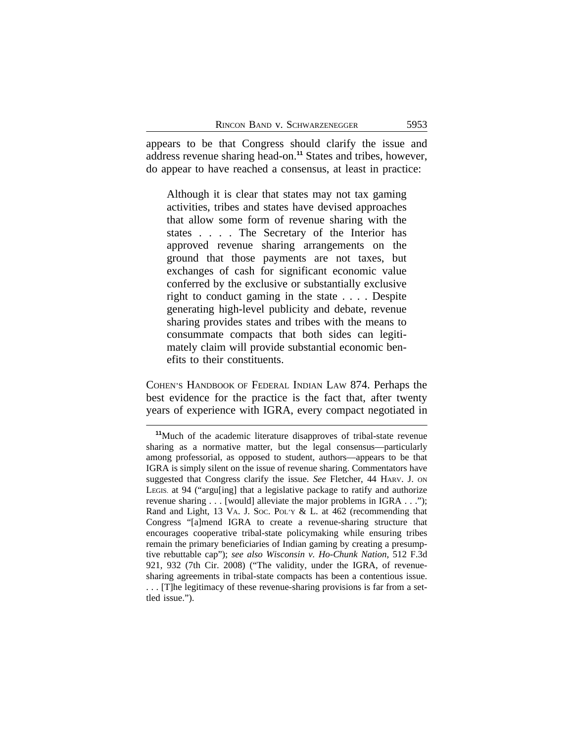appears to be that Congress should clarify the issue and address revenue sharing head-on.**<sup>11</sup>** States and tribes, however, do appear to have reached a consensus, at least in practice:

Although it is clear that states may not tax gaming activities, tribes and states have devised approaches that allow some form of revenue sharing with the states . . . . The Secretary of the Interior has approved revenue sharing arrangements on the ground that those payments are not taxes, but exchanges of cash for significant economic value conferred by the exclusive or substantially exclusive right to conduct gaming in the state . . . . Despite generating high-level publicity and debate, revenue sharing provides states and tribes with the means to consummate compacts that both sides can legitimately claim will provide substantial economic benefits to their constituents.

COHEN'S HANDBOOK OF FEDERAL INDIAN LAW 874. Perhaps the best evidence for the practice is the fact that, after twenty years of experience with IGRA, every compact negotiated in

**<sup>11</sup>**Much of the academic literature disapproves of tribal-state revenue sharing as a normative matter, but the legal consensus—particularly among professorial, as opposed to student, authors—appears to be that IGRA is simply silent on the issue of revenue sharing. Commentators have suggested that Congress clarify the issue. *See* Fletcher, 44 HARV. J. ON LEGIS. at 94 ("argu[ing] that a legislative package to ratify and authorize revenue sharing . . . [would] alleviate the major problems in IGRA . . ."); Rand and Light, 13 VA. J. Soc. Poly & L. at 462 (recommending that Congress "[a]mend IGRA to create a revenue-sharing structure that encourages cooperative tribal-state policymaking while ensuring tribes remain the primary beneficiaries of Indian gaming by creating a presumptive rebuttable cap"); *see also Wisconsin v. Ho-Chunk Nation*, 512 F.3d 921, 932 (7th Cir. 2008) ("The validity, under the IGRA, of revenuesharing agreements in tribal-state compacts has been a contentious issue. . . . [T]he legitimacy of these revenue-sharing provisions is far from a settled issue.").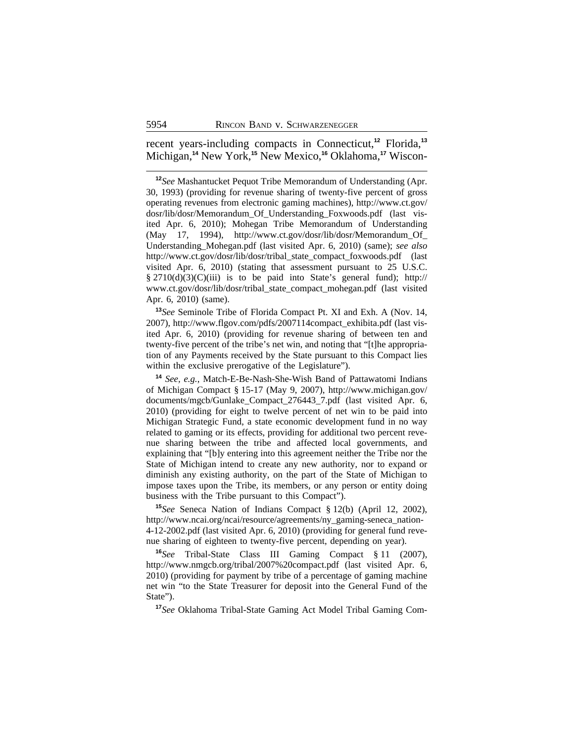recent years-including compacts in Connecticut,**<sup>12</sup>** Florida,**<sup>13</sup>** Michigan,**14** New York,**15** New Mexico,**16** Oklahoma,**17** Wiscon-

**<sup>12</sup>***See* Mashantucket Pequot Tribe Memorandum of Understanding (Apr. 30, 1993) (providing for revenue sharing of twenty-five percent of gross operating revenues from electronic gaming machines), http://www.ct.gov/ dosr/lib/dosr/Memorandum\_Of\_Understanding\_Foxwoods.pdf (last visited Apr. 6, 2010); Mohegan Tribe Memorandum of Understanding (May 17, 1994), http://www.ct.gov/dosr/lib/dosr/Memorandum\_Of\_ Understanding\_Mohegan.pdf (last visited Apr. 6, 2010) (same); *see also* http://www.ct.gov/dosr/lib/dosr/tribal\_state\_compact\_foxwoods.pdf (last visited Apr. 6, 2010) (stating that assessment pursuant to 25 U.S.C. § 2710(d)(3)(C)(iii) is to be paid into State's general fund); http:// www.ct.gov/dosr/lib/dosr/tribal\_state\_compact\_mohegan.pdf (last visited Apr. 6, 2010) (same).

**<sup>13</sup>***See* Seminole Tribe of Florida Compact Pt. XI and Exh. A (Nov. 14, 2007), http://www.flgov.com/pdfs/2007114compact\_exhibita.pdf (last visited Apr. 6, 2010) (providing for revenue sharing of between ten and twenty-five percent of the tribe's net win, and noting that "[t]he appropriation of any Payments received by the State pursuant to this Compact lies within the exclusive prerogative of the Legislature").

**<sup>14</sup>** *See, e.g.*, Match-E-Be-Nash-She-Wish Band of Pattawatomi Indians of Michigan Compact § 15-17 (May 9, 2007), http://www.michigan.gov/ documents/mgcb/Gunlake\_Compact\_276443\_7.pdf (last visited Apr. 6, 2010) (providing for eight to twelve percent of net win to be paid into Michigan Strategic Fund, a state economic development fund in no way related to gaming or its effects, providing for additional two percent revenue sharing between the tribe and affected local governments, and explaining that "[b]y entering into this agreement neither the Tribe nor the State of Michigan intend to create any new authority, nor to expand or diminish any existing authority, on the part of the State of Michigan to impose taxes upon the Tribe, its members, or any person or entity doing business with the Tribe pursuant to this Compact").

**<sup>15</sup>***See* Seneca Nation of Indians Compact § 12(b) (April 12, 2002), http://www.ncai.org/ncai/resource/agreements/ny\_gaming-seneca\_nation-4-12-2002.pdf (last visited Apr. 6, 2010) (providing for general fund revenue sharing of eighteen to twenty-five percent, depending on year).

**<sup>16</sup>***See* Tribal-State Class III Gaming Compact § 11 (2007), http://www.nmgcb.org/tribal/2007%20compact.pdf (last visited Apr. 6, 2010) (providing for payment by tribe of a percentage of gaming machine net win "to the State Treasurer for deposit into the General Fund of the State").

**<sup>17</sup>***See* Oklahoma Tribal-State Gaming Act Model Tribal Gaming Com-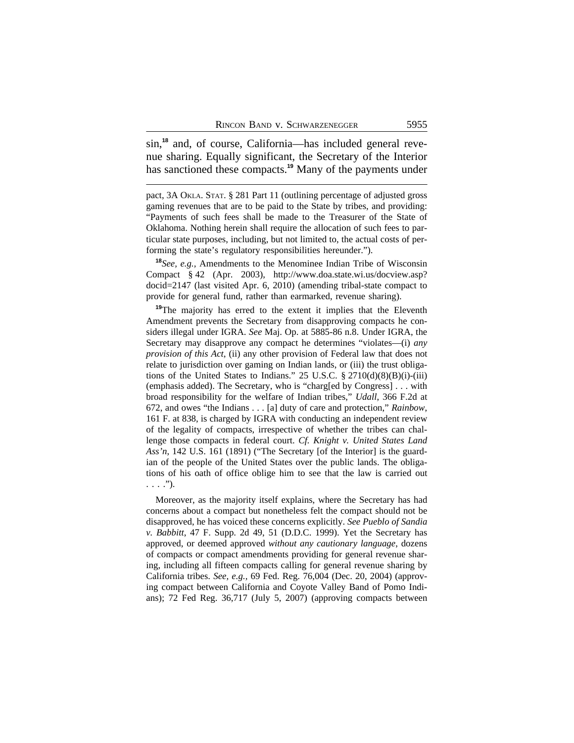sin,**18** and, of course, California—has included general revenue sharing. Equally significant, the Secretary of the Interior has sanctioned these compacts.**<sup>19</sup>** Many of the payments under

pact, 3A OKLA. STAT. § 281 Part 11 (outlining percentage of adjusted gross gaming revenues that are to be paid to the State by tribes, and providing: "Payments of such fees shall be made to the Treasurer of the State of Oklahoma. Nothing herein shall require the allocation of such fees to particular state purposes, including, but not limited to, the actual costs of performing the state's regulatory responsibilities hereunder.").

**<sup>18</sup>***See, e.g.,* Amendments to the Menominee Indian Tribe of Wisconsin Compact § 42 (Apr. 2003), http://www.doa.state.wi.us/docview.asp? docid=2147 (last visited Apr. 6, 2010) (amending tribal-state compact to provide for general fund, rather than earmarked, revenue sharing).

<sup>19</sup>The majority has erred to the extent it implies that the Eleventh Amendment prevents the Secretary from disapproving compacts he considers illegal under IGRA. *See* Maj. Op. at 5885-86 n.8. Under IGRA, the Secretary may disapprove any compact he determines "violates—(i) *any provision of this Act*, (ii) any other provision of Federal law that does not relate to jurisdiction over gaming on Indian lands, or (iii) the trust obligations of the United States to Indians." 25 U.S.C.  $\S 2710(d)(8)(B)(i)-(iii)$ (emphasis added). The Secretary, who is "charg[ed by Congress] . . . with broad responsibility for the welfare of Indian tribes," *Udall*, 366 F.2d at 672, and owes "the Indians . . . [a] duty of care and protection," *Rainbow*, 161 F. at 838, is charged by IGRA with conducting an independent review of the legality of compacts, irrespective of whether the tribes can challenge those compacts in federal court. *Cf. Knight v. United States Land Ass'n*, 142 U.S. 161 (1891) ("The Secretary [of the Interior] is the guardian of the people of the United States over the public lands. The obligations of his oath of office oblige him to see that the law is carried out  $\ldots$ .").

Moreover, as the majority itself explains, where the Secretary has had concerns about a compact but nonetheless felt the compact should not be disapproved, he has voiced these concerns explicitly. *See Pueblo of Sandia v. Babbitt*, 47 F. Supp. 2d 49, 51 (D.D.C. 1999). Yet the Secretary has approved, or deemed approved *without any cautionary language*, dozens of compacts or compact amendments providing for general revenue sharing, including all fifteen compacts calling for general revenue sharing by California tribes. *See, e.g.,* 69 Fed. Reg. 76,004 (Dec. 20, 2004) (approving compact between California and Coyote Valley Band of Pomo Indians); 72 Fed Reg. 36,717 (July 5, 2007) (approving compacts between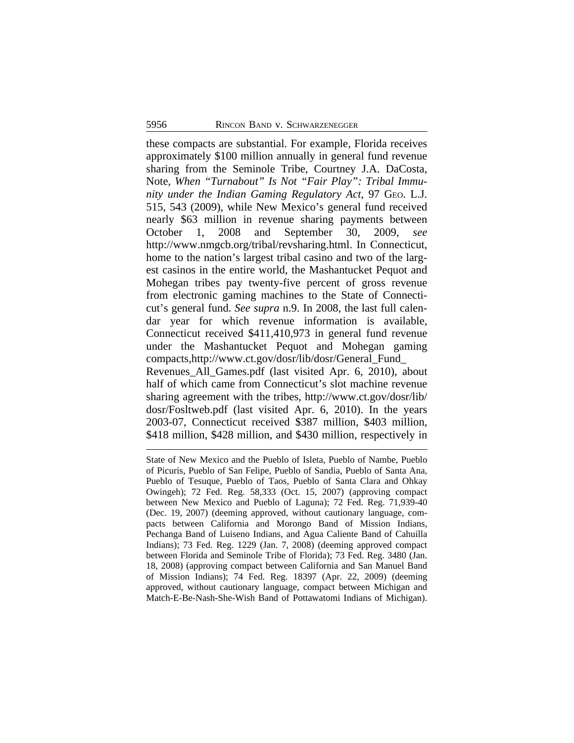these compacts are substantial. For example, Florida receives approximately \$100 million annually in general fund revenue sharing from the Seminole Tribe, Courtney J.A. DaCosta, Note, *When "Turnabout" Is Not "Fair Play": Tribal Immunity under the Indian Gaming Regulatory Act*, 97 GEO. L.J. 515, 543 (2009), while New Mexico's general fund received nearly \$63 million in revenue sharing payments between October 1, 2008 and September 30, 2009, *see* http://www.nmgcb.org/tribal/revsharing.html. In Connecticut, home to the nation's largest tribal casino and two of the largest casinos in the entire world, the Mashantucket Pequot and Mohegan tribes pay twenty-five percent of gross revenue from electronic gaming machines to the State of Connecticut's general fund. *See supra* n.9. In 2008, the last full calendar year for which revenue information is available, Connecticut received \$411,410,973 in general fund revenue under the Mashantucket Pequot and Mohegan gaming compacts,http://www.ct.gov/dosr/lib/dosr/General\_Fund\_ Revenues\_All\_Games.pdf (last visited Apr. 6, 2010), about half of which came from Connecticut's slot machine revenue sharing agreement with the tribes, http://www.ct.gov/dosr/lib/ dosr/Fosltweb.pdf (last visited Apr. 6, 2010). In the years 2003-07, Connecticut received \$387 million, \$403 million, \$418 million, \$428 million, and \$430 million, respectively in

State of New Mexico and the Pueblo of Isleta, Pueblo of Nambe, Pueblo of Picuris, Pueblo of San Felipe, Pueblo of Sandia, Pueblo of Santa Ana, Pueblo of Tesuque, Pueblo of Taos, Pueblo of Santa Clara and Ohkay Owingeh); 72 Fed. Reg. 58,333 (Oct. 15, 2007) (approving compact between New Mexico and Pueblo of Laguna); 72 Fed. Reg. 71,939-40 (Dec. 19, 2007) (deeming approved, without cautionary language, compacts between California and Morongo Band of Mission Indians, Pechanga Band of Luiseno Indians, and Agua Caliente Band of Cahuilla Indians); 73 Fed. Reg. 1229 (Jan. 7, 2008) (deeming approved compact between Florida and Seminole Tribe of Florida); 73 Fed. Reg. 3480 (Jan. 18, 2008) (approving compact between California and San Manuel Band of Mission Indians); 74 Fed. Reg. 18397 (Apr. 22, 2009) (deeming approved, without cautionary language, compact between Michigan and Match-E-Be-Nash-She-Wish Band of Pottawatomi Indians of Michigan).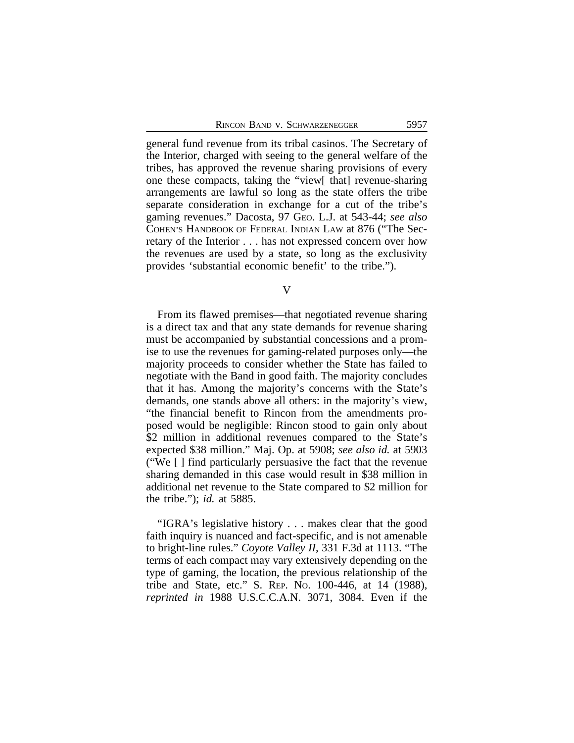general fund revenue from its tribal casinos. The Secretary of the Interior, charged with seeing to the general welfare of the tribes, has approved the revenue sharing provisions of every one these compacts, taking the "view[ that] revenue-sharing arrangements are lawful so long as the state offers the tribe separate consideration in exchange for a cut of the tribe's gaming revenues." Dacosta, 97 GEO. L.J. at 543-44; *see also* COHEN'S HANDBOOK OF FEDERAL INDIAN LAW at 876 ("The Secretary of the Interior . . . has not expressed concern over how the revenues are used by a state, so long as the exclusivity provides 'substantial economic benefit' to the tribe.").

V

From its flawed premises—that negotiated revenue sharing is a direct tax and that any state demands for revenue sharing must be accompanied by substantial concessions and a promise to use the revenues for gaming-related purposes only—the majority proceeds to consider whether the State has failed to negotiate with the Band in good faith. The majority concludes that it has. Among the majority's concerns with the State's demands, one stands above all others: in the majority's view, "the financial benefit to Rincon from the amendments proposed would be negligible: Rincon stood to gain only about \$2 million in additional revenues compared to the State's expected \$38 million." Maj. Op. at 5908; *see also id.* at 5903 ("We [ ] find particularly persuasive the fact that the revenue sharing demanded in this case would result in \$38 million in additional net revenue to the State compared to \$2 million for the tribe."); *id.* at 5885.

"IGRA's legislative history . . . makes clear that the good faith inquiry is nuanced and fact-specific, and is not amenable to bright-line rules." *Coyote Valley II*, 331 F.3d at 1113. "The terms of each compact may vary extensively depending on the type of gaming, the location, the previous relationship of the tribe and State, etc." S. REP. NO. 100-446, at 14 (1988), *reprinted in* 1988 U.S.C.C.A.N. 3071, 3084. Even if the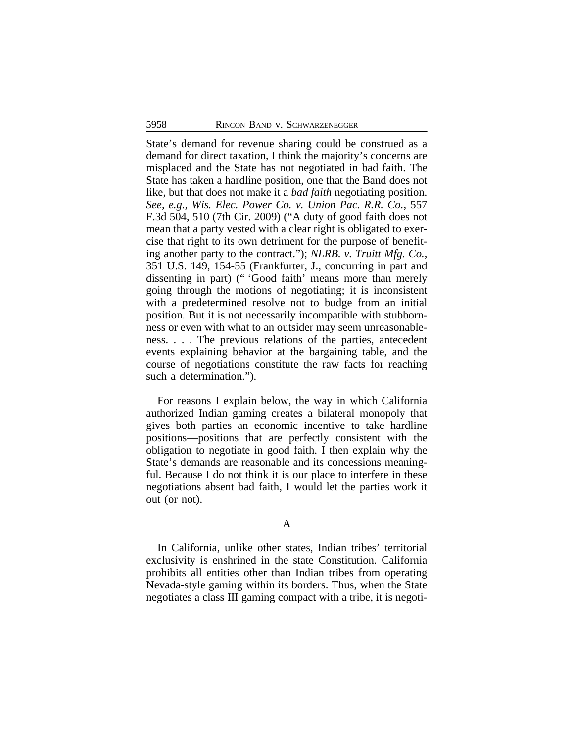State's demand for revenue sharing could be construed as a demand for direct taxation, I think the majority's concerns are misplaced and the State has not negotiated in bad faith. The State has taken a hardline position, one that the Band does not like, but that does not make it a *bad faith* negotiating position. *See, e.g., Wis. Elec. Power Co. v. Union Pac. R.R. Co.*, 557 F.3d 504, 510 (7th Cir. 2009) ("A duty of good faith does not mean that a party vested with a clear right is obligated to exercise that right to its own detriment for the purpose of benefiting another party to the contract."); *NLRB. v. Truitt Mfg. Co.*, 351 U.S. 149, 154-55 (Frankfurter, J., concurring in part and dissenting in part) (" 'Good faith' means more than merely going through the motions of negotiating; it is inconsistent with a predetermined resolve not to budge from an initial position. But it is not necessarily incompatible with stubbornness or even with what to an outsider may seem unreasonableness. . . . The previous relations of the parties, antecedent events explaining behavior at the bargaining table, and the course of negotiations constitute the raw facts for reaching such a determination.").

For reasons I explain below, the way in which California authorized Indian gaming creates a bilateral monopoly that gives both parties an economic incentive to take hardline positions—positions that are perfectly consistent with the obligation to negotiate in good faith. I then explain why the State's demands are reasonable and its concessions meaningful. Because I do not think it is our place to interfere in these negotiations absent bad faith, I would let the parties work it out (or not).

## A

In California, unlike other states, Indian tribes' territorial exclusivity is enshrined in the state Constitution. California prohibits all entities other than Indian tribes from operating Nevada-style gaming within its borders. Thus, when the State negotiates a class III gaming compact with a tribe, it is negoti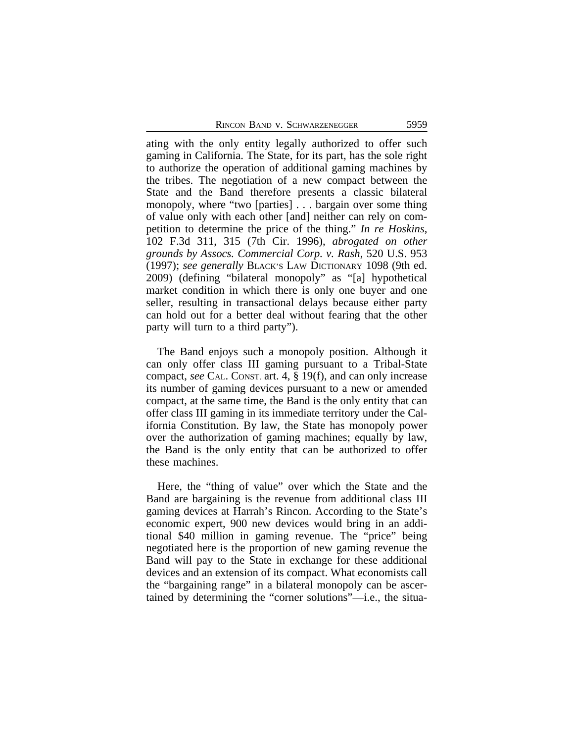ating with the only entity legally authorized to offer such gaming in California. The State, for its part, has the sole right to authorize the operation of additional gaming machines by the tribes. The negotiation of a new compact between the State and the Band therefore presents a classic bilateral monopoly, where "two [parties] . . . bargain over some thing of value only with each other [and] neither can rely on competition to determine the price of the thing." *In re Hoskins*, 102 F.3d 311, 315 (7th Cir. 1996), *abrogated on other grounds by Assocs. Commercial Corp. v. Rash*, 520 U.S. 953 (1997); *see generally* BLACK'S LAW DICTIONARY 1098 (9th ed. 2009) (defining "bilateral monopoly" as "[a] hypothetical market condition in which there is only one buyer and one seller, resulting in transactional delays because either party can hold out for a better deal without fearing that the other party will turn to a third party").

The Band enjoys such a monopoly position. Although it can only offer class III gaming pursuant to a Tribal-State compact, *see* CAL. CONST. art. 4, § 19(f), and can only increase its number of gaming devices pursuant to a new or amended compact, at the same time, the Band is the only entity that can offer class III gaming in its immediate territory under the California Constitution. By law, the State has monopoly power over the authorization of gaming machines; equally by law, the Band is the only entity that can be authorized to offer these machines.

Here, the "thing of value" over which the State and the Band are bargaining is the revenue from additional class III gaming devices at Harrah's Rincon. According to the State's economic expert, 900 new devices would bring in an additional \$40 million in gaming revenue. The "price" being negotiated here is the proportion of new gaming revenue the Band will pay to the State in exchange for these additional devices and an extension of its compact. What economists call the "bargaining range" in a bilateral monopoly can be ascertained by determining the "corner solutions"—i.e., the situa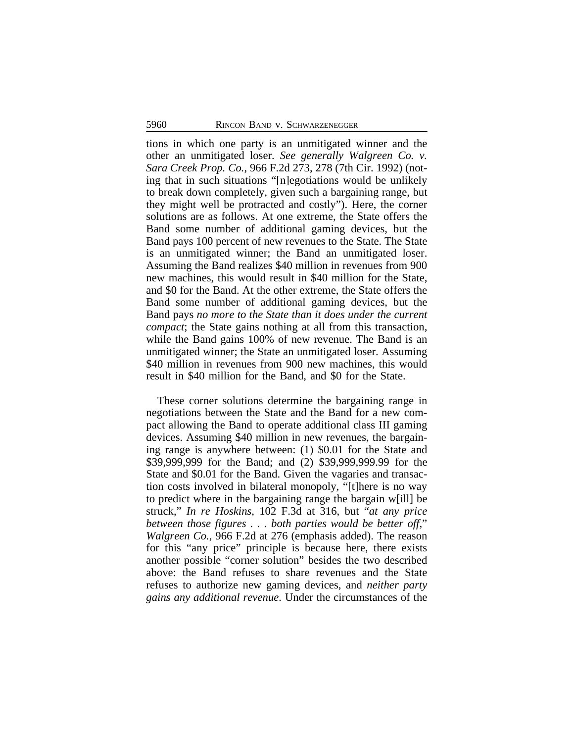tions in which one party is an unmitigated winner and the other an unmitigated loser. *See generally Walgreen Co. v. Sara Creek Prop. Co.*, 966 F.2d 273, 278 (7th Cir. 1992) (noting that in such situations "[n]egotiations would be unlikely to break down completely, given such a bargaining range, but they might well be protracted and costly"). Here, the corner solutions are as follows. At one extreme, the State offers the Band some number of additional gaming devices, but the Band pays 100 percent of new revenues to the State. The State is an unmitigated winner; the Band an unmitigated loser. Assuming the Band realizes \$40 million in revenues from 900 new machines, this would result in \$40 million for the State, and \$0 for the Band. At the other extreme, the State offers the Band some number of additional gaming devices, but the Band pays *no more to the State than it does under the current compact*; the State gains nothing at all from this transaction, while the Band gains 100% of new revenue. The Band is an unmitigated winner; the State an unmitigated loser. Assuming \$40 million in revenues from 900 new machines, this would result in \$40 million for the Band, and \$0 for the State.

These corner solutions determine the bargaining range in negotiations between the State and the Band for a new compact allowing the Band to operate additional class III gaming devices. Assuming \$40 million in new revenues, the bargaining range is anywhere between: (1) \$0.01 for the State and \$39,999,999 for the Band; and (2) \$39,999,999.99 for the State and \$0.01 for the Band. Given the vagaries and transaction costs involved in bilateral monopoly, "[t]here is no way to predict where in the bargaining range the bargain w[ill] be struck," *In re Hoskins*, 102 F.3d at 316, but "*at any price between those figures . . . both parties would be better off*," *Walgreen Co.*, 966 F.2d at 276 (emphasis added). The reason for this "any price" principle is because here, there exists another possible "corner solution" besides the two described above: the Band refuses to share revenues and the State refuses to authorize new gaming devices, and *neither party gains any additional revenue*. Under the circumstances of the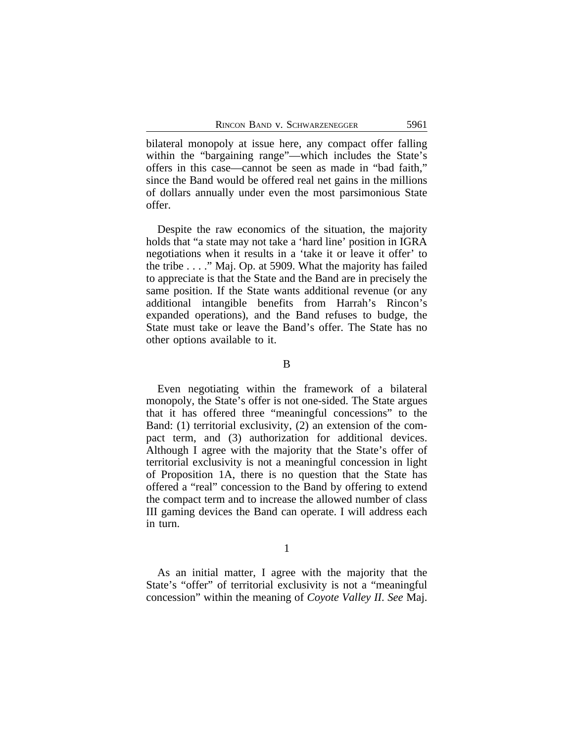bilateral monopoly at issue here, any compact offer falling within the "bargaining range"—which includes the State's offers in this case—cannot be seen as made in "bad faith," since the Band would be offered real net gains in the millions of dollars annually under even the most parsimonious State offer.

Despite the raw economics of the situation, the majority holds that "a state may not take a 'hard line' position in IGRA negotiations when it results in a 'take it or leave it offer' to the tribe . . . ." Maj. Op. at 5909. What the majority has failed to appreciate is that the State and the Band are in precisely the same position. If the State wants additional revenue (or any additional intangible benefits from Harrah's Rincon's expanded operations), and the Band refuses to budge, the State must take or leave the Band's offer. The State has no other options available to it.

B

Even negotiating within the framework of a bilateral monopoly, the State's offer is not one-sided. The State argues that it has offered three "meaningful concessions" to the Band: (1) territorial exclusivity, (2) an extension of the compact term, and (3) authorization for additional devices. Although I agree with the majority that the State's offer of territorial exclusivity is not a meaningful concession in light of Proposition 1A, there is no question that the State has offered a "real" concession to the Band by offering to extend the compact term and to increase the allowed number of class III gaming devices the Band can operate. I will address each in turn.

1

As an initial matter, I agree with the majority that the State's "offer" of territorial exclusivity is not a "meaningful concession" within the meaning of *Coyote Valley II*. *See* Maj.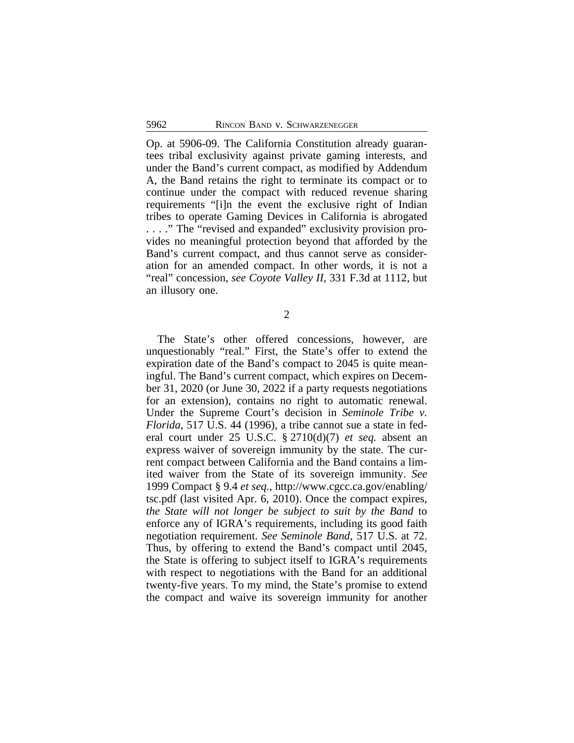Op. at 5906-09. The California Constitution already guarantees tribal exclusivity against private gaming interests, and under the Band's current compact, as modified by Addendum A, the Band retains the right to terminate its compact or to continue under the compact with reduced revenue sharing requirements "[i]n the event the exclusive right of Indian tribes to operate Gaming Devices in California is abrogated . . . ." The "revised and expanded" exclusivity provision provides no meaningful protection beyond that afforded by the Band's current compact, and thus cannot serve as consideration for an amended compact. In other words, it is not a "real" concession, *see Coyote Valley II*, 331 F.3d at 1112, but an illusory one.

2

The State's other offered concessions, however, are unquestionably "real." First, the State's offer to extend the expiration date of the Band's compact to 2045 is quite meaningful. The Band's current compact, which expires on December 31, 2020 (or June 30, 2022 if a party requests negotiations for an extension), contains no right to automatic renewal. Under the Supreme Court's decision in *Seminole Tribe v. Florida*, 517 U.S. 44 (1996), a tribe cannot sue a state in federal court under 25 U.S.C. § 2710(d)(7) *et seq.* absent an express waiver of sovereign immunity by the state. The current compact between California and the Band contains a limited waiver from the State of its sovereign immunity. *See* 1999 Compact § 9.4 *et seq.*, http://www.cgcc.ca.gov/enabling/ tsc.pdf (last visited Apr. 6, 2010). Once the compact expires, *the State will not longer be subject to suit by the Band* to enforce any of IGRA's requirements, including its good faith negotiation requirement. *See Seminole Band*, 517 U.S. at 72. Thus, by offering to extend the Band's compact until 2045, the State is offering to subject itself to IGRA's requirements with respect to negotiations with the Band for an additional twenty-five years. To my mind, the State's promise to extend the compact and waive its sovereign immunity for another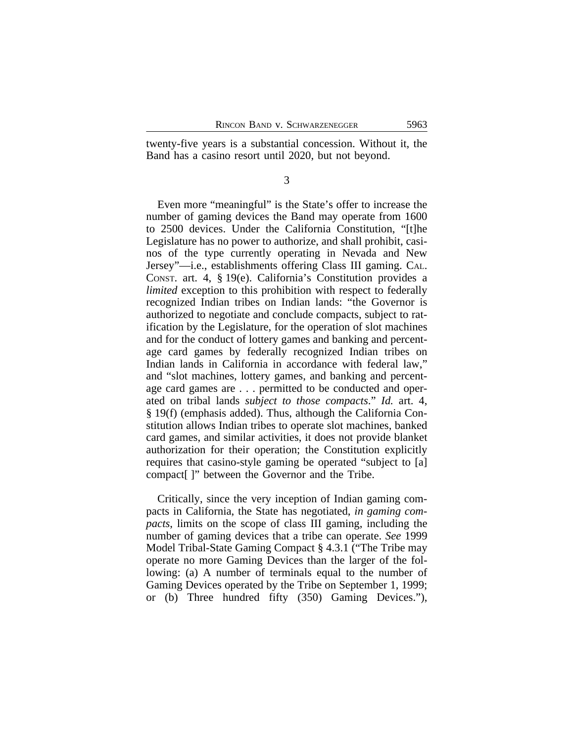twenty-five years is a substantial concession. Without it, the Band has a casino resort until 2020, but not beyond.

3

Even more "meaningful" is the State's offer to increase the number of gaming devices the Band may operate from 1600 to 2500 devices. Under the California Constitution, "[t]he Legislature has no power to authorize, and shall prohibit, casinos of the type currently operating in Nevada and New Jersey"—i.e., establishments offering Class III gaming. CAL. CONST. art. 4, § 19(e). California's Constitution provides a *limited* exception to this prohibition with respect to federally recognized Indian tribes on Indian lands: "the Governor is authorized to negotiate and conclude compacts, subject to ratification by the Legislature, for the operation of slot machines and for the conduct of lottery games and banking and percentage card games by federally recognized Indian tribes on Indian lands in California in accordance with federal law," and "slot machines, lottery games, and banking and percentage card games are . . . permitted to be conducted and operated on tribal lands *subject to those compacts*." *Id.* art. 4, § 19(f) (emphasis added). Thus, although the California Constitution allows Indian tribes to operate slot machines, banked card games, and similar activities, it does not provide blanket authorization for their operation; the Constitution explicitly requires that casino-style gaming be operated "subject to [a] compact[ ]" between the Governor and the Tribe.

Critically, since the very inception of Indian gaming compacts in California, the State has negotiated, *in gaming compacts*, limits on the scope of class III gaming, including the number of gaming devices that a tribe can operate. *See* 1999 Model Tribal-State Gaming Compact § 4.3.1 ("The Tribe may operate no more Gaming Devices than the larger of the following: (a) A number of terminals equal to the number of Gaming Devices operated by the Tribe on September 1, 1999; or (b) Three hundred fifty (350) Gaming Devices."),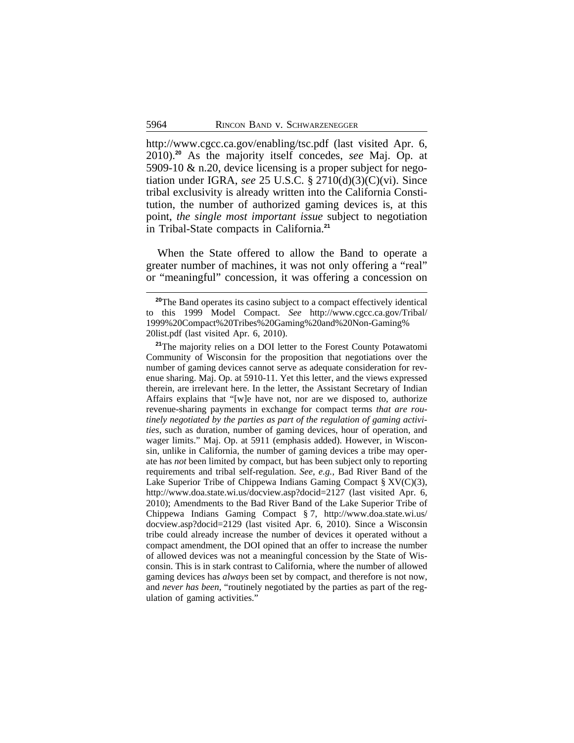http://www.cgcc.ca.gov/enabling/tsc.pdf (last visited Apr. 6, 2010).**<sup>20</sup>** As the majority itself concedes, *see* Maj. Op. at 5909-10 & n.20, device licensing is a proper subject for negotiation under IGRA, *see* 25 U.S.C. § 2710(d)(3)(C)(vi). Since tribal exclusivity is already written into the California Constitution, the number of authorized gaming devices is, at this point, *the single most important issue* subject to negotiation in Tribal-State compacts in California.**<sup>21</sup>**

When the State offered to allow the Band to operate a greater number of machines, it was not only offering a "real" or "meaningful" concession, it was offering a concession on

<sup>&</sup>lt;sup>20</sup>The Band operates its casino subject to a compact effectively identical to this 1999 Model Compact. *See* http://www.cgcc.ca.gov/Tribal/ 1999%20Compact%20Tribes%20Gaming%20and%20Non-Gaming% 20list.pdf (last visited Apr. 6, 2010).

**<sup>21</sup>**The majority relies on a DOI letter to the Forest County Potawatomi Community of Wisconsin for the proposition that negotiations over the number of gaming devices cannot serve as adequate consideration for revenue sharing. Maj. Op. at 5910-11. Yet this letter, and the views expressed therein, are irrelevant here. In the letter, the Assistant Secretary of Indian Affairs explains that "[w]e have not, nor are we disposed to, authorize revenue-sharing payments in exchange for compact terms *that are routinely negotiated by the parties as part of the regulation of gaming activities*, such as duration, number of gaming devices, hour of operation, and wager limits." Maj. Op. at 5911 (emphasis added). However, in Wisconsin, unlike in California, the number of gaming devices a tribe may operate has *not* been limited by compact, but has been subject only to reporting requirements and tribal self-regulation. *See, e.g.,* Bad River Band of the Lake Superior Tribe of Chippewa Indians Gaming Compact  $\S XV(C)(3)$ , http://www.doa.state.wi.us/docview.asp?docid=2127 (last visited Apr. 6, 2010); Amendments to the Bad River Band of the Lake Superior Tribe of Chippewa Indians Gaming Compact § 7, http://www.doa.state.wi.us/ docview.asp?docid=2129 (last visited Apr. 6, 2010). Since a Wisconsin tribe could already increase the number of devices it operated without a compact amendment, the DOI opined that an offer to increase the number of allowed devices was not a meaningful concession by the State of Wisconsin. This is in stark contrast to California, where the number of allowed gaming devices has *always* been set by compact, and therefore is not now, and *never has been*, "routinely negotiated by the parties as part of the regulation of gaming activities."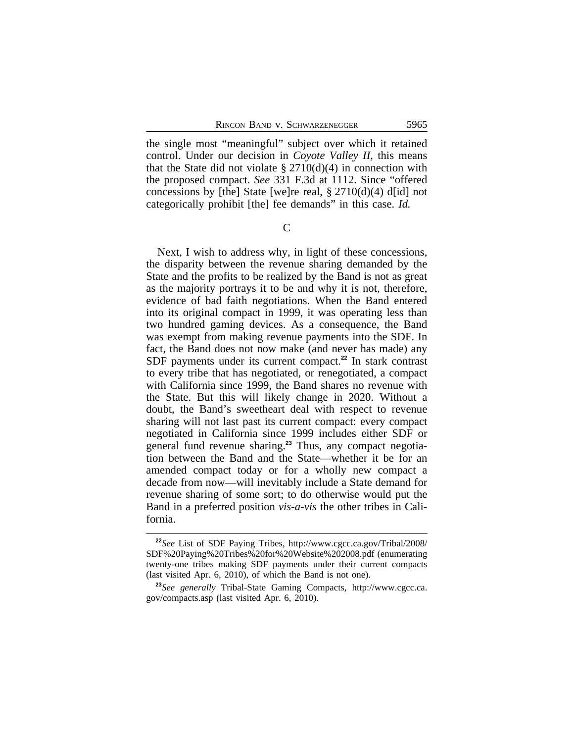the single most "meaningful" subject over which it retained control. Under our decision in *Coyote Valley II*, this means that the State did not violate  $\S 2710(d)(4)$  in connection with the proposed compact. *See* 331 F.3d at 1112. Since "offered concessions by [the] State [we]re real,  $\S 2710(d)(4)$  d[id] not categorically prohibit [the] fee demands" in this case. *Id.*

 $\overline{C}$ 

Next, I wish to address why, in light of these concessions, the disparity between the revenue sharing demanded by the State and the profits to be realized by the Band is not as great as the majority portrays it to be and why it is not, therefore, evidence of bad faith negotiations. When the Band entered into its original compact in 1999, it was operating less than two hundred gaming devices. As a consequence, the Band was exempt from making revenue payments into the SDF. In fact, the Band does not now make (and never has made) any SDF payments under its current compact.**<sup>22</sup>** In stark contrast to every tribe that has negotiated, or renegotiated, a compact with California since 1999, the Band shares no revenue with the State. But this will likely change in 2020. Without a doubt, the Band's sweetheart deal with respect to revenue sharing will not last past its current compact: every compact negotiated in California since 1999 includes either SDF or general fund revenue sharing.**23** Thus, any compact negotiation between the Band and the State—whether it be for an amended compact today or for a wholly new compact a decade from now—will inevitably include a State demand for revenue sharing of some sort; to do otherwise would put the Band in a preferred position *vis-a-vis* the other tribes in California.

**<sup>22</sup>***See* List of SDF Paying Tribes, http://www.cgcc.ca.gov/Tribal/2008/ SDF%20Paying%20Tribes%20for%20Website%202008.pdf (enumerating twenty-one tribes making SDF payments under their current compacts (last visited Apr. 6, 2010), of which the Band is not one).

**<sup>23</sup>***See generally* Tribal-State Gaming Compacts, http://www.cgcc.ca. gov/compacts.asp (last visited Apr. 6, 2010).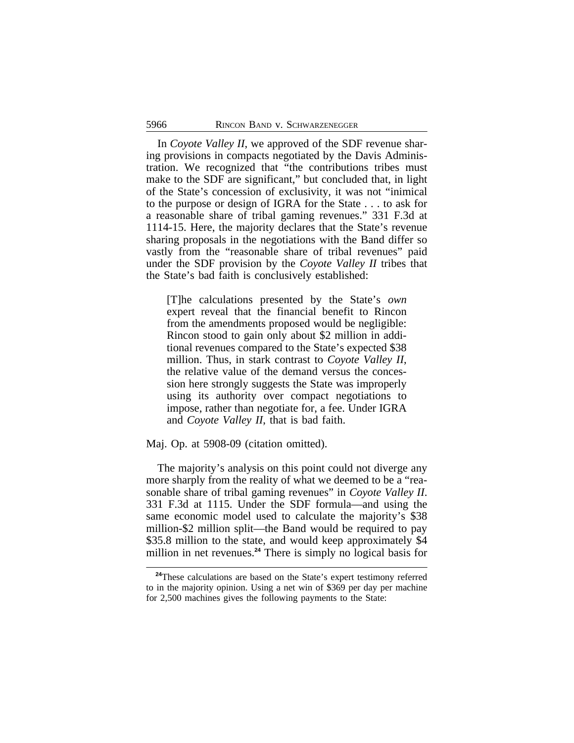In *Coyote Valley II*, we approved of the SDF revenue sharing provisions in compacts negotiated by the Davis Administration. We recognized that "the contributions tribes must make to the SDF are significant," but concluded that, in light of the State's concession of exclusivity, it was not "inimical to the purpose or design of IGRA for the State . . . to ask for a reasonable share of tribal gaming revenues." 331 F.3d at 1114-15. Here, the majority declares that the State's revenue sharing proposals in the negotiations with the Band differ so vastly from the "reasonable share of tribal revenues" paid under the SDF provision by the *Coyote Valley II* tribes that the State's bad faith is conclusively established:

[T]he calculations presented by the State's *own* expert reveal that the financial benefit to Rincon from the amendments proposed would be negligible: Rincon stood to gain only about \$2 million in additional revenues compared to the State's expected \$38 million. Thus, in stark contrast to *Coyote Valley II*, the relative value of the demand versus the concession here strongly suggests the State was improperly using its authority over compact negotiations to impose, rather than negotiate for, a fee. Under IGRA and *Coyote Valley II*, that is bad faith.

Maj. Op. at 5908-09 (citation omitted).

The majority's analysis on this point could not diverge any more sharply from the reality of what we deemed to be a "reasonable share of tribal gaming revenues" in *Coyote Valley II*. 331 F.3d at 1115. Under the SDF formula—and using the same economic model used to calculate the majority's \$38 million-\$2 million split—the Band would be required to pay \$35.8 million to the state, and would keep approximately \$4 million in net revenues.**<sup>24</sup>** There is simply no logical basis for

<sup>&</sup>lt;sup>24</sup>These calculations are based on the State's expert testimony referred to in the majority opinion. Using a net win of \$369 per day per machine for 2,500 machines gives the following payments to the State: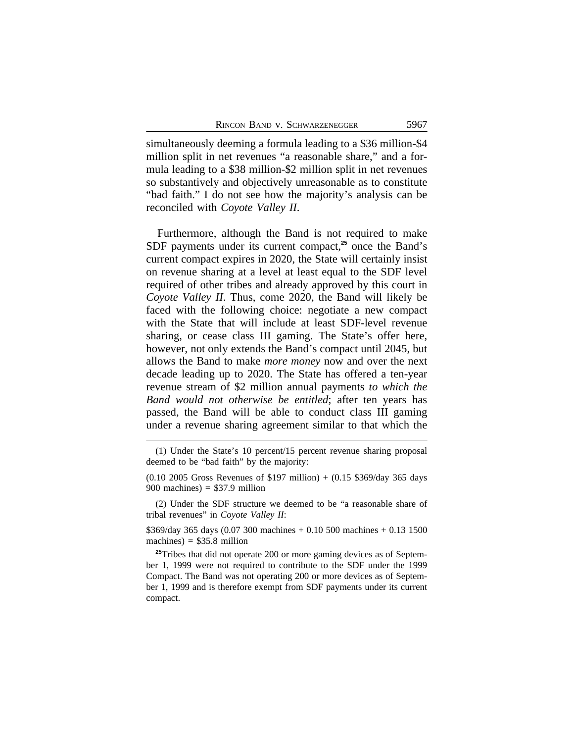simultaneously deeming a formula leading to a \$36 million-\$4 million split in net revenues "a reasonable share," and a formula leading to a \$38 million-\$2 million split in net revenues so substantively and objectively unreasonable as to constitute "bad faith." I do not see how the majority's analysis can be reconciled with *Coyote Valley II*.

Furthermore, although the Band is not required to make SDF payments under its current compact,**<sup>25</sup>** once the Band's current compact expires in 2020, the State will certainly insist on revenue sharing at a level at least equal to the SDF level required of other tribes and already approved by this court in *Coyote Valley II*. Thus, come 2020, the Band will likely be faced with the following choice: negotiate a new compact with the State that will include at least SDF-level revenue sharing, or cease class III gaming. The State's offer here, however, not only extends the Band's compact until 2045, but allows the Band to make *more money* now and over the next decade leading up to 2020. The State has offered a ten-year revenue stream of \$2 million annual payments *to which the Band would not otherwise be entitled*; after ten years has passed, the Band will be able to conduct class III gaming under a revenue sharing agreement similar to that which the

(2) Under the SDF structure we deemed to be "a reasonable share of tribal revenues" in *Coyote Valley II*:

\$369/day 365 days (0.07 300 machines + 0.10 500 machines + 0.13 1500 machines) =  $$35.8$  million

<sup>25</sup>Tribes that did not operate 200 or more gaming devices as of September 1, 1999 were not required to contribute to the SDF under the 1999 Compact. The Band was not operating 200 or more devices as of September 1, 1999 and is therefore exempt from SDF payments under its current compact.

<sup>(1)</sup> Under the State's 10 percent/15 percent revenue sharing proposal deemed to be "bad faith" by the majority:

<sup>(0.10 2005</sup> Gross Revenues of \$197 million) + (0.15 \$369/day 365 days 900 machines)  $= $37.9$  million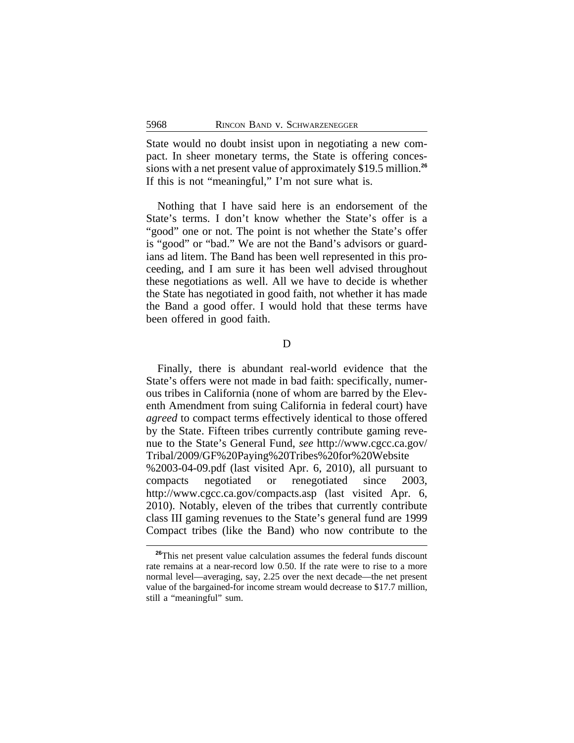State would no doubt insist upon in negotiating a new compact. In sheer monetary terms, the State is offering concessions with a net present value of approximately \$19.5 million.**<sup>26</sup>** If this is not "meaningful," I'm not sure what is.

Nothing that I have said here is an endorsement of the State's terms. I don't know whether the State's offer is a "good" one or not. The point is not whether the State's offer is "good" or "bad." We are not the Band's advisors or guardians ad litem. The Band has been well represented in this proceeding, and I am sure it has been well advised throughout these negotiations as well. All we have to decide is whether the State has negotiated in good faith, not whether it has made the Band a good offer. I would hold that these terms have been offered in good faith.

D

Finally, there is abundant real-world evidence that the State's offers were not made in bad faith: specifically, numerous tribes in California (none of whom are barred by the Eleventh Amendment from suing California in federal court) have *agreed* to compact terms effectively identical to those offered by the State. Fifteen tribes currently contribute gaming revenue to the State's General Fund, *see* http://www.cgcc.ca.gov/ Tribal/2009/GF%20Paying%20Tribes%20for%20Website %2003-04-09.pdf (last visited Apr. 6, 2010), all pursuant to compacts negotiated or renegotiated since 2003, http://www.cgcc.ca.gov/compacts.asp (last visited Apr. 6, 2010). Notably, eleven of the tribes that currently contribute class III gaming revenues to the State's general fund are 1999 Compact tribes (like the Band) who now contribute to the

<sup>&</sup>lt;sup>26</sup>This net present value calculation assumes the federal funds discount rate remains at a near-record low 0.50. If the rate were to rise to a more normal level—averaging, say, 2.25 over the next decade—the net present value of the bargained-for income stream would decrease to \$17.7 million, still a "meaningful" sum.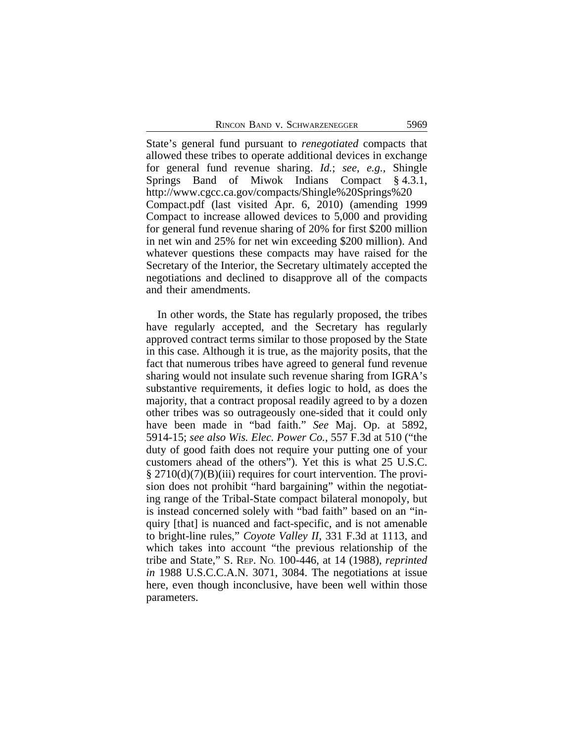State's general fund pursuant to *renegotiated* compacts that allowed these tribes to operate additional devices in exchange for general fund revenue sharing. *Id.*; *see, e.g.,* Shingle Springs Band of Miwok Indians Compact § 4.3.1, http://www.cgcc.ca.gov/compacts/Shingle%20Springs%20 Compact.pdf (last visited Apr. 6, 2010) (amending 1999 Compact to increase allowed devices to 5,000 and providing for general fund revenue sharing of 20% for first \$200 million in net win and 25% for net win exceeding \$200 million). And whatever questions these compacts may have raised for the Secretary of the Interior, the Secretary ultimately accepted the negotiations and declined to disapprove all of the compacts and their amendments.

In other words, the State has regularly proposed, the tribes have regularly accepted, and the Secretary has regularly approved contract terms similar to those proposed by the State in this case. Although it is true, as the majority posits, that the fact that numerous tribes have agreed to general fund revenue sharing would not insulate such revenue sharing from IGRA's substantive requirements, it defies logic to hold, as does the majority, that a contract proposal readily agreed to by a dozen other tribes was so outrageously one-sided that it could only have been made in "bad faith." *See* Maj. Op. at 5892, 5914-15; *see also Wis. Elec. Power Co.*, 557 F.3d at 510 ("the duty of good faith does not require your putting one of your customers ahead of the others"). Yet this is what 25 U.S.C. § 2710(d)(7)(B)(iii) requires for court intervention. The provision does not prohibit "hard bargaining" within the negotiating range of the Tribal-State compact bilateral monopoly, but is instead concerned solely with "bad faith" based on an "inquiry [that] is nuanced and fact-specific, and is not amenable to bright-line rules," *Coyote Valley II*, 331 F.3d at 1113, and which takes into account "the previous relationship of the tribe and State," S. REP. NO. 100-446, at 14 (1988), *reprinted in* 1988 U.S.C.C.A.N. 3071, 3084. The negotiations at issue here, even though inconclusive, have been well within those parameters.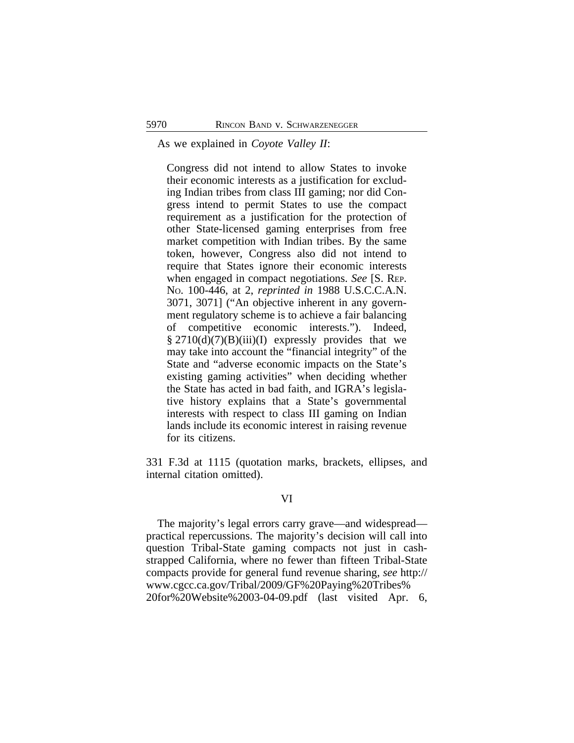As we explained in *Coyote Valley II*:

Congress did not intend to allow States to invoke their economic interests as a justification for excluding Indian tribes from class III gaming; nor did Congress intend to permit States to use the compact requirement as a justification for the protection of other State-licensed gaming enterprises from free market competition with Indian tribes. By the same token, however, Congress also did not intend to require that States ignore their economic interests when engaged in compact negotiations. *See* [S. REP. NO. 100-446, at 2, *reprinted in* 1988 U.S.C.C.A.N. 3071, 3071] ("An objective inherent in any government regulatory scheme is to achieve a fair balancing of competitive economic interests."). Indeed,  $§$  2710(d)(7)(B)(iii)(I) expressly provides that we may take into account the "financial integrity" of the State and "adverse economic impacts on the State's existing gaming activities" when deciding whether the State has acted in bad faith, and IGRA's legislative history explains that a State's governmental interests with respect to class III gaming on Indian lands include its economic interest in raising revenue for its citizens.

331 F.3d at 1115 (quotation marks, brackets, ellipses, and internal citation omitted).

## VI

The majority's legal errors carry grave—and widespread practical repercussions. The majority's decision will call into question Tribal-State gaming compacts not just in cashstrapped California, where no fewer than fifteen Tribal-State compacts provide for general fund revenue sharing, *see* http:// www.cgcc.ca.gov/Tribal/2009/GF%20Paying%20Tribes% 20for%20Website%2003-04-09.pdf (last visited Apr. 6,